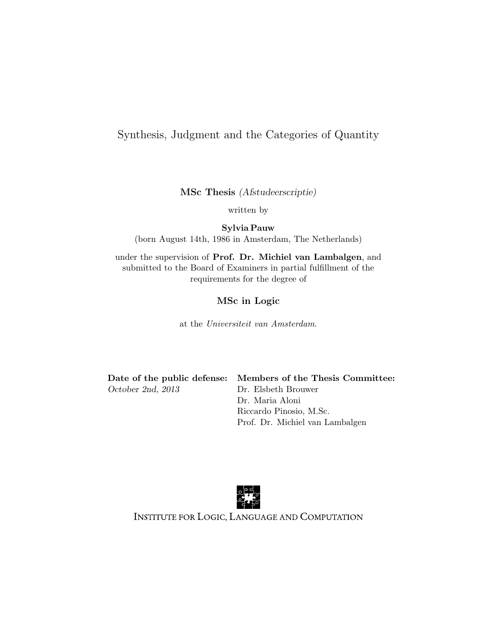#### Synthesis, Judgment and the Categories of Quantity

MSc Thesis (Afstudeerscriptie)

written by

Sylvia Pauw (born August 14th, 1986 in Amsterdam, The Netherlands)

under the supervision of Prof. Dr. Michiel van Lambalgen, and submitted to the Board of Examiners in partial fulfillment of the requirements for the degree of

#### MSc in Logic

at the Universiteit van Amsterdam.

October 2nd, 2013 Dr. Elsbeth Brouwer

Date of the public defense: Members of the Thesis Committee: Dr. Maria Aloni Riccardo Pinosio, M.Sc. Prof. Dr. Michiel van Lambalgen



INSTITUTE FOR LOGIC, LANGUAGE AND COMPUTATION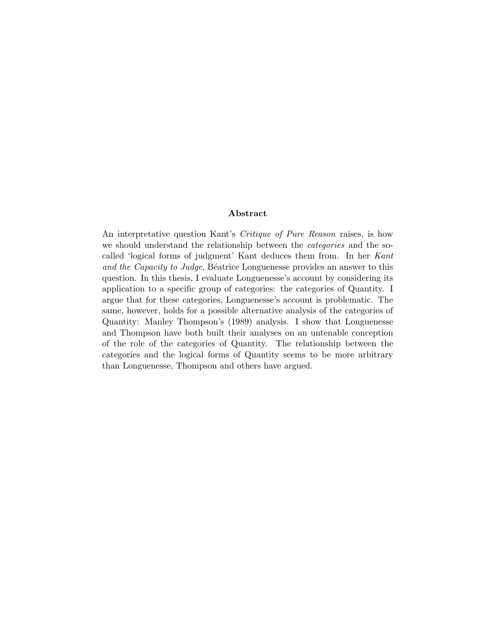#### Abstract

An interpretative question Kant's Critique of Pure Reason raises, is how we should understand the relationship between the *categories* and the socalled 'logical forms of judgment' Kant deduces them from. In her Kant and the Capacity to Judge, Béatrice Longuenesse provides an answer to this question. In this thesis, I evaluate Longuenesse's account by considering its application to a specific group of categories: the categories of Quantity. I argue that for these categories, Longuenesse's account is problematic. The same, however, holds for a possible alternative analysis of the categories of Quantity: Manley Thompson's (1989) analysis. I show that Longuenesse and Thompson have both built their analyses on an untenable conception of the role of the categories of Quantity. The relationship between the categories and the logical forms of Quantity seems to be more arbitrary than Longuenesse, Thompson and others have argued.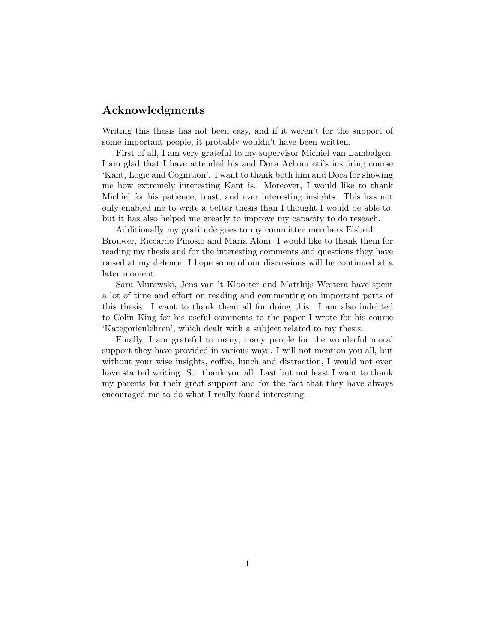#### Acknowledgments

Writing this thesis has not been easy, and if it weren't for the support of some important people, it probably wouldn't have been written.

First of all, I am very grateful to my supervisor Michiel van Lambalgen. I am glad that I have attended his and Dora Achourioti's inspiring course 'Kant, Logic and Cognition'. I want to thank both him and Dora for showing me how extremely interesting Kant is. Moreover, I would like to thank Michiel for his patience, trust, and ever interesting insights. This has not only enabled me to write a better thesis than I thought I would be able to, but it has also helped me greatly to improve my capacity to do reseach.

Additionally my gratitude goes to my committee members Elsbeth Brouwer, Riccardo Pinosio and Maria Aloni. I would like to thank them for reading my thesis and for the interesting comments and questions they have raised at my defence. I hope some of our discussions will be continued at a later moment.

Sara Murawski, Jens van 't Klooster and Matthijs Westera have spent a lot of time and effort on reading and commenting on important parts of this thesis. I want to thank them all for doing this. I am also indebted to Colin King for his useful comments to the paper I wrote for his course 'Kategorienlehren', which dealt with a subject related to my thesis.

Finally, I am grateful to many, many people for the wonderful moral support they have provided in various ways. I will not mention you all, but without your wise insights, coffee, lunch and distraction, I would not even have started writing. So: thank you all. Last but not least I want to thank my parents for their great support and for the fact that they have always encouraged me to do what I really found interesting.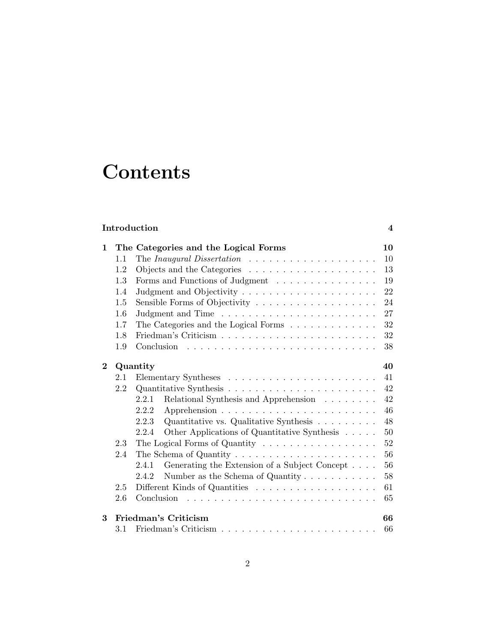# **Contents**

| Introduction |  |
|--------------|--|
|              |  |

| $\mathbf{1}$ |     | The Categories and the Logical Forms                                     | 10     |
|--------------|-----|--------------------------------------------------------------------------|--------|
|              | 1.1 | The Inaugural Dissertation $\ldots \ldots \ldots \ldots \ldots \ldots$   | 10     |
|              | 1.2 |                                                                          | 13     |
|              | 1.3 | Forms and Functions of Judgment                                          | 19     |
|              | 1.4 |                                                                          | 22     |
|              | 1.5 |                                                                          | 24     |
|              | 1.6 |                                                                          | 27     |
|              | 1.7 | The Categories and the Logical Forms $\ldots \ldots \ldots \ldots$       | 32     |
|              | 1.8 |                                                                          | 32     |
|              | 1.9 |                                                                          | 38     |
| $\bf{2}$     |     | Quantity                                                                 | 40     |
|              | 2.1 |                                                                          | 41     |
|              | 2.2 |                                                                          | 42     |
|              |     | Relational Synthesis and Apprehension<br>2.2.1                           | 42     |
|              |     | 2.2.2                                                                    | 46     |
|              |     | Quantitative vs. Qualitative Synthesis<br>2.2.3                          | 48     |
|              |     | Other Applications of Quantitative Synthesis<br>2.2.4                    | 50     |
|              | 2.3 | The Logical Forms of Quantity $\dots \dots \dots \dots \dots \dots$      | $52\,$ |
|              | 2.4 | The Schema of Quantity $\dots \dots \dots \dots \dots \dots \dots \dots$ | 56     |
|              |     | Generating the Extension of a Subject Concept<br>2.4.1                   | 56     |
|              |     | Number as the Schema of Quantity $\dots \dots \dots$<br>2.4.2            | 58     |
|              | 2.5 |                                                                          | 61     |
|              | 2.6 |                                                                          | 65     |
| 3            |     | Friedman's Criticism                                                     | 66     |
|              | 3.1 |                                                                          | 66     |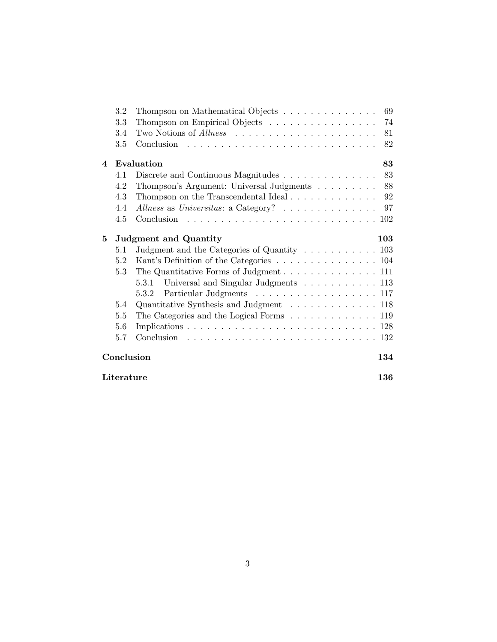|                        | 3.2        | Thompson on Mathematical Objects                                       | 69  |
|------------------------|------------|------------------------------------------------------------------------|-----|
|                        | 3.3        | Thompson on Empirical Objects                                          | 74  |
|                        | 3.4        |                                                                        | 81  |
|                        | 3.5        |                                                                        | 82  |
| $\boldsymbol{\Lambda}$ |            | Evaluation                                                             | 83  |
|                        | 4.1        | Discrete and Continuous Magnitudes                                     | 83  |
|                        | 4.2        | Thompson's Argument: Universal Judgments 88                            |     |
|                        | 4.3        | Thompson on the Transcendental Ideal $\ldots \ldots \ldots \ldots$ 92  |     |
|                        | 4.4        | Allness as Universitas: a Category? 97                                 |     |
|                        | 4.5        |                                                                        |     |
| 5                      |            | <b>Judgment and Quantity</b>                                           | 103 |
|                        | 5.1        | Judgment and the Categories of Quantity 103                            |     |
|                        | 5.2        | Kant's Definition of the Categories 104                                |     |
|                        | 5.3        | The Quantitative Forms of Judgment 111                                 |     |
|                        |            | Universal and Singular Judgments 113<br>5.3.1                          |     |
|                        |            | Particular Judgments 117<br>5.3.2                                      |     |
|                        | 5.4        | Quantitative Synthesis and Judgment 118                                |     |
|                        | 5.5        | The Categories and the Logical Forms $\ldots \ldots \ldots \ldots 119$ |     |
|                        | 5.6        |                                                                        |     |
|                        | 5.7        |                                                                        |     |
|                        |            | Conclusion                                                             | 134 |
|                        | Literature |                                                                        | 136 |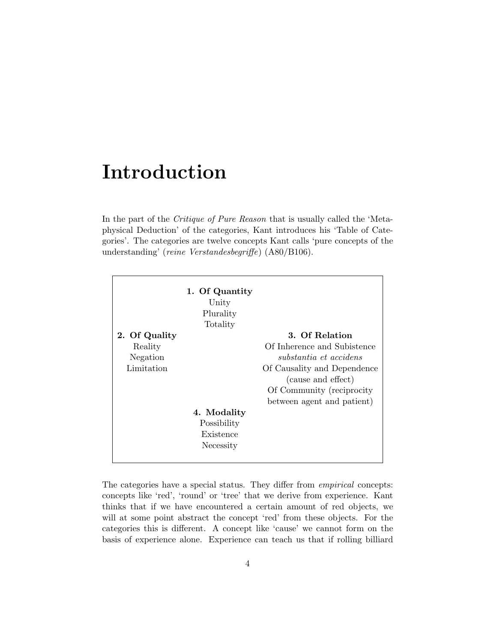## Introduction

In the part of the Critique of Pure Reason that is usually called the 'Metaphysical Deduction' of the categories, Kant introduces his 'Table of Categories'. The categories are twelve concepts Kant calls 'pure concepts of the understanding' (reine Verstandesbegriffe) (A80/B106).

| 2. Of Quality | 1. Of Quantity<br>Unity<br>Plurality<br>Totality | 3. Of Relation              |
|---------------|--------------------------------------------------|-----------------------------|
| Reality       |                                                  | Of Inherence and Subistence |
| Negation      |                                                  | substantia et accidens      |
| Limitation    |                                                  | Of Causality and Dependence |
|               |                                                  | (cause and effect)          |
|               |                                                  | Of Community (reciprocity)  |
|               |                                                  | between agent and patient)  |
|               | 4. Modality                                      |                             |
|               | Possibility                                      |                             |
|               | Existence                                        |                             |
|               | Necessity                                        |                             |
|               |                                                  |                             |

The categories have a special status. They differ from empirical concepts: concepts like 'red', 'round' or 'tree' that we derive from experience. Kant thinks that if we have encountered a certain amount of red objects, we will at some point abstract the concept 'red' from these objects. For the categories this is different. A concept like 'cause' we cannot form on the basis of experience alone. Experience can teach us that if rolling billiard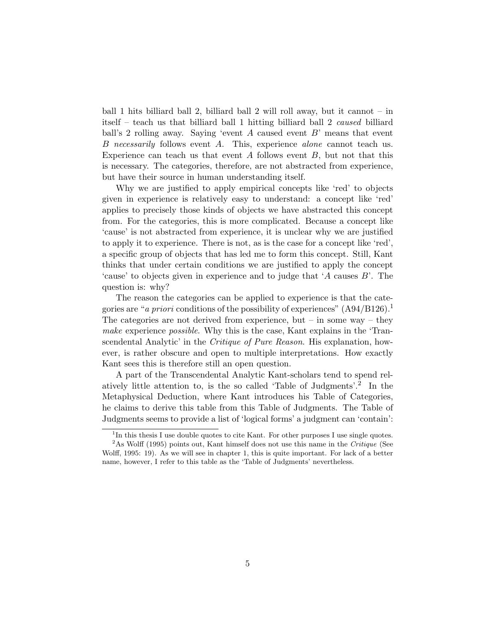ball 1 hits billiard ball 2, billiard ball 2 will roll away, but it cannot – in itself – teach us that billiard ball 1 hitting billiard ball 2 caused billiard ball's 2 rolling away. Saying 'event  $A$  caused event  $B'$  means that event B necessarily follows event A. This, experience alone cannot teach us. Experience can teach us that event  $A$  follows event  $B$ , but not that this is necessary. The categories, therefore, are not abstracted from experience, but have their source in human understanding itself.

Why we are justified to apply empirical concepts like 'red' to objects given in experience is relatively easy to understand: a concept like 'red' applies to precisely those kinds of objects we have abstracted this concept from. For the categories, this is more complicated. Because a concept like 'cause' is not abstracted from experience, it is unclear why we are justified to apply it to experience. There is not, as is the case for a concept like 'red', a specific group of objects that has led me to form this concept. Still, Kant thinks that under certain conditions we are justified to apply the concept 'cause' to objects given in experience and to judge that 'A causes B'. The question is: why?

The reason the categories can be applied to experience is that the categories are "*a priori* conditions of the possibility of experiences"  $(A94/B126)^{1}$ The categories are not derived from experience, but – in some way – they make experience *possible*. Why this is the case, Kant explains in the 'Transcendental Analytic' in the Critique of Pure Reason. His explanation, however, is rather obscure and open to multiple interpretations. How exactly Kant sees this is therefore still an open question.

A part of the Transcendental Analytic Kant-scholars tend to spend relatively little attention to, is the so called 'Table of Judgments'.<sup>2</sup> In the Metaphysical Deduction, where Kant introduces his Table of Categories, he claims to derive this table from this Table of Judgments. The Table of Judgments seems to provide a list of 'logical forms' a judgment can 'contain':

<sup>&</sup>lt;sup>1</sup>In this thesis I use double quotes to cite Kant. For other purposes I use single quotes.

 $2$ As Wolff (1995) points out, Kant himself does not use this name in the Critique (See Wolff, 1995: 19). As we will see in chapter 1, this is quite important. For lack of a better name, however, I refer to this table as the 'Table of Judgments' nevertheless.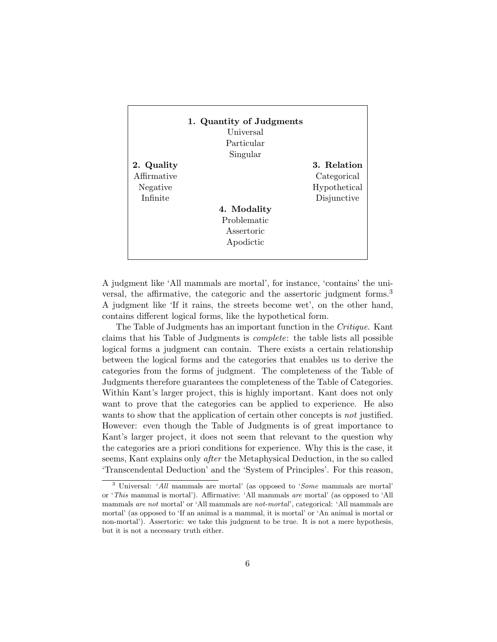|             | 1. Quantity of Judgments |              |
|-------------|--------------------------|--------------|
|             | Universal                |              |
|             | Particular               |              |
|             | Singular                 |              |
| 2. Quality  |                          | 3. Relation  |
| Affirmative |                          | Categorical  |
| Negative    |                          | Hypothetical |
| Infinite    |                          | Disjunctive  |
|             | 4. Modality              |              |
|             | Problematic              |              |
|             | Assertoric               |              |
|             | Apodictic                |              |
|             |                          |              |

A judgment like 'All mammals are mortal', for instance, 'contains' the universal, the affirmative, the categoric and the assertoric judgment forms.<sup>3</sup> A judgment like 'If it rains, the streets become wet', on the other hand, contains different logical forms, like the hypothetical form.

The Table of Judgments has an important function in the Critique. Kant claims that his Table of Judgments is complete: the table lists all possible logical forms a judgment can contain. There exists a certain relationship between the logical forms and the categories that enables us to derive the categories from the forms of judgment. The completeness of the Table of Judgments therefore guarantees the completeness of the Table of Categories. Within Kant's larger project, this is highly important. Kant does not only want to prove that the categories can be applied to experience. He also wants to show that the application of certain other concepts is *not* justified. However: even though the Table of Judgments is of great importance to Kant's larger project, it does not seem that relevant to the question why the categories are a priori conditions for experience. Why this is the case, it seems, Kant explains only after the Metaphysical Deduction, in the so called 'Transcendental Deduction' and the 'System of Principles'. For this reason,

<sup>3</sup> Universal: 'All mammals are mortal' (as opposed to 'Some mammals are mortal' or 'This mammal is mortal'). Affirmative: 'All mammals are mortal' (as opposed to 'All mammals are not mortal' or 'All mammals are not-mortal', categorical: 'All mammals are mortal' (as opposed to 'If an animal is a mammal, it is mortal' or 'An animal is mortal or non-mortal'). Assertoric: we take this judgment to be true. It is not a mere hypothesis, but it is not a necessary truth either.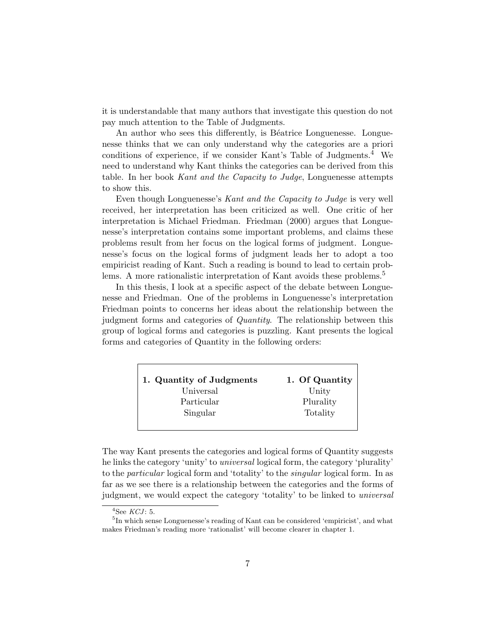it is understandable that many authors that investigate this question do not pay much attention to the Table of Judgments.

An author who sees this differently, is Béatrice Longuenesse. Longuenesse thinks that we can only understand why the categories are a priori conditions of experience, if we consider Kant's Table of Judgments.<sup>4</sup> We need to understand why Kant thinks the categories can be derived from this table. In her book Kant and the Capacity to Judge, Longuenesse attempts to show this.

Even though Longuenesse's Kant and the Capacity to Judge is very well received, her interpretation has been criticized as well. One critic of her interpretation is Michael Friedman. Friedman (2000) argues that Longuenesse's interpretation contains some important problems, and claims these problems result from her focus on the logical forms of judgment. Longuenesse's focus on the logical forms of judgment leads her to adopt a too empiricist reading of Kant. Such a reading is bound to lead to certain problems. A more rationalistic interpretation of Kant avoids these problems.<sup>5</sup>

In this thesis, I look at a specific aspect of the debate between Longuenesse and Friedman. One of the problems in Longuenesse's interpretation Friedman points to concerns her ideas about the relationship between the judgment forms and categories of Quantity. The relationship between this group of logical forms and categories is puzzling. Kant presents the logical forms and categories of Quantity in the following orders:

| 1. Quantity of Judgments | 1. Of Quantity |
|--------------------------|----------------|
| Universal                | Unity          |
| Particular               | Plurality      |
| Singular                 | Totality       |
|                          |                |

The way Kant presents the categories and logical forms of Quantity suggests he links the category 'unity' to universal logical form, the category 'plurality' to the particular logical form and 'totality' to the singular logical form. In as far as we see there is a relationship between the categories and the forms of judgment, we would expect the category 'totality' to be linked to universal

 ${}^4$ See *KCJ*: 5.

<sup>&</sup>lt;sup>5</sup>In which sense Longuenesse's reading of Kant can be considered 'empiricist', and what makes Friedman's reading more 'rationalist' will become clearer in chapter 1.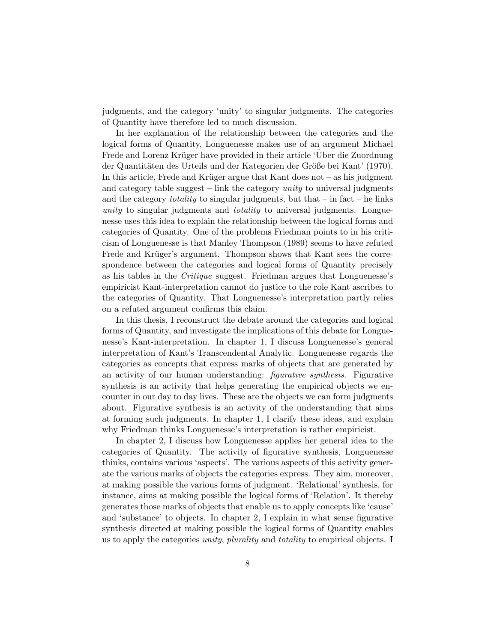judgments, and the category 'unity' to singular judgments. The categories of Quantity have therefore led to much discussion.

In her explanation of the relationship between the categories and the logical forms of Quantity, Longuenesse makes use of an argument Michael Frede and Lorenz Krüger have provided in their article 'Über die Zuordnung der Quantitäten des Urteils und der Kategorien der Größe bei Kant' (1970). In this article, Frede and Krüger argue that Kant does not  $-$  as his judgment and category table suggest – link the category unity to universal judgments and the category *totality* to singular judgments, but that  $-$  in fact  $-$  he links unity to singular judgments and *totality* to universal judgments. Longuenesse uses this idea to explain the relationship between the logical forms and categories of Quantity. One of the problems Friedman points to in his criticism of Longuenesse is that Manley Thompson (1989) seems to have refuted Frede and Krüger's argument. Thompson shows that Kant sees the correspondence between the categories and logical forms of Quantity precisely as his tables in the Critique suggest. Friedman argues that Longuenesse's empiricist Kant-interpretation cannot do justice to the role Kant ascribes to the categories of Quantity. That Longuenesse's interpretation partly relies on a refuted argument confirms this claim.

In this thesis, I reconstruct the debate around the categories and logical forms of Quantity, and investigate the implications of this debate for Longuenesse's Kant-interpretation. In chapter 1, I discuss Longuenesse's general interpretation of Kant's Transcendental Analytic. Longuenesse regards the categories as concepts that express marks of objects that are generated by an activity of our human understanding: figurative synthesis. Figurative synthesis is an activity that helps generating the empirical objects we encounter in our day to day lives. These are the objects we can form judgments about. Figurative synthesis is an activity of the understanding that aims at forming such judgments. In chapter 1, I clarify these ideas, and explain why Friedman thinks Longuenesse's interpretation is rather empiricist.

In chapter 2, I discuss how Longuenesse applies her general idea to the categories of Quantity. The activity of figurative synthesis, Longuenesse thinks, contains various 'aspects'. The various aspects of this activity generate the various marks of objects the categories express. They aim, moreover, at making possible the various forms of judgment. 'Relational' synthesis, for instance, aims at making possible the logical forms of 'Relation'. It thereby generates those marks of objects that enable us to apply concepts like 'cause' and 'substance' to objects. In chapter 2, I explain in what sense figurative synthesis directed at making possible the logical forms of Quantity enables us to apply the categories *unity, plurality* and *totality* to empirical objects. I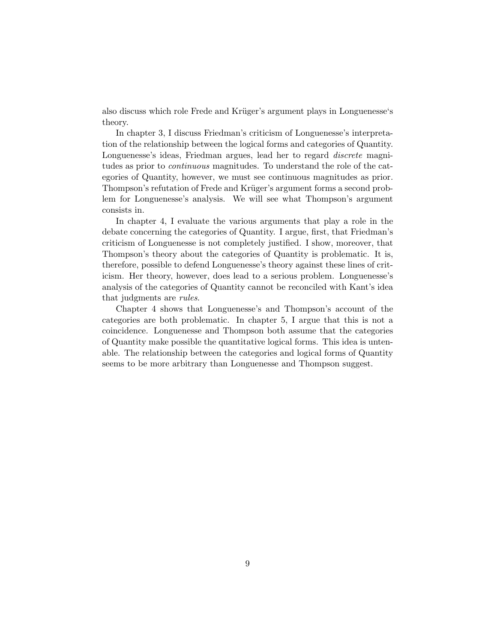also discuss which role Frede and Krüger's argument plays in Longuenesse's theory.

In chapter 3, I discuss Friedman's criticism of Longuenesse's interpretation of the relationship between the logical forms and categories of Quantity. Longuenesse's ideas, Friedman argues, lead her to regard discrete magnitudes as prior to *continuous* magnitudes. To understand the role of the categories of Quantity, however, we must see continuous magnitudes as prior. Thompson's refutation of Frede and Krüger's argument forms a second problem for Longuenesse's analysis. We will see what Thompson's argument consists in.

In chapter 4, I evaluate the various arguments that play a role in the debate concerning the categories of Quantity. I argue, first, that Friedman's criticism of Longuenesse is not completely justified. I show, moreover, that Thompson's theory about the categories of Quantity is problematic. It is, therefore, possible to defend Longuenesse's theory against these lines of criticism. Her theory, however, does lead to a serious problem. Longuenesse's analysis of the categories of Quantity cannot be reconciled with Kant's idea that judgments are rules.

Chapter 4 shows that Longuenesse's and Thompson's account of the categories are both problematic. In chapter 5, I argue that this is not a coincidence. Longuenesse and Thompson both assume that the categories of Quantity make possible the quantitative logical forms. This idea is untenable. The relationship between the categories and logical forms of Quantity seems to be more arbitrary than Longuenesse and Thompson suggest.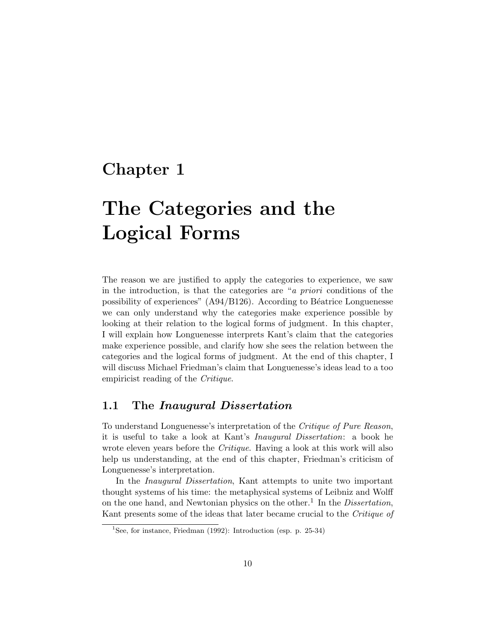### Chapter 1

# The Categories and the Logical Forms

The reason we are justified to apply the categories to experience, we saw in the introduction, is that the categories are "a priori conditions of the possibility of experiences"  $(A94/B126)$ . According to Béatrice Longuenesse we can only understand why the categories make experience possible by looking at their relation to the logical forms of judgment. In this chapter, I will explain how Longuenesse interprets Kant's claim that the categories make experience possible, and clarify how she sees the relation between the categories and the logical forms of judgment. At the end of this chapter, I will discuss Michael Friedman's claim that Longuenesse's ideas lead to a too empiricist reading of the Critique.

#### 1.1 The Inaugural Dissertation

To understand Longuenesse's interpretation of the Critique of Pure Reason, it is useful to take a look at Kant's Inaugural Dissertation: a book he wrote eleven years before the *Critique*. Having a look at this work will also help us understanding, at the end of this chapter, Friedman's criticism of Longuenesse's interpretation.

In the Inaugural Dissertation, Kant attempts to unite two important thought systems of his time: the metaphysical systems of Leibniz and Wolff on the one hand, and Newtonian physics on the other.<sup>1</sup> In the *Dissertation*, Kant presents some of the ideas that later became crucial to the Critique of

<sup>&</sup>lt;sup>1</sup>See, for instance, Friedman (1992): Introduction (esp. p. 25-34)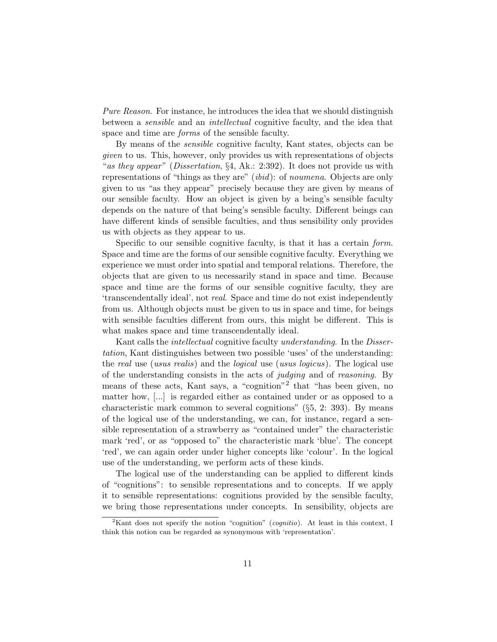Pure Reason. For instance, he introduces the idea that we should distinguish between a sensible and an intellectual cognitive faculty, and the idea that space and time are forms of the sensible faculty.

By means of the sensible cognitive faculty, Kant states, objects can be given to us. This, however, only provides us with representations of objects "as they appear" (Dissertation,  $\S 4$ , Ak.: 2:392). It does not provide us with representations of "things as they are" (ibid): of noumena. Objects are only given to us "as they appear" precisely because they are given by means of our sensible faculty. How an object is given by a being's sensible faculty depends on the nature of that being's sensible faculty. Different beings can have different kinds of sensible faculties, and thus sensibility only provides us with objects as they appear to us.

Specific to our sensible cognitive faculty, is that it has a certain form. Space and time are the forms of our sensible cognitive faculty. Everything we experience we must order into spatial and temporal relations. Therefore, the objects that are given to us necessarily stand in space and time. Because space and time are the forms of our sensible cognitive faculty, they are 'transcendentally ideal', not real. Space and time do not exist independently from us. Although objects must be given to us in space and time, for beings with sensible faculties different from ours, this might be different. This is what makes space and time transcendentally ideal.

Kant calls the *intellectual* cognitive faculty *understanding*. In the *Disser*tation, Kant distinguishes between two possible 'uses' of the understanding: the real use (usus realis) and the logical use (usus logicus). The logical use of the understanding consists in the acts of judging and of reasoning. By means of these acts, Kant says, a "cognition"<sup>2</sup> that "has been given, no matter how, [...] is regarded either as contained under or as opposed to a characteristic mark common to several cognitions" (§5, 2: 393). By means of the logical use of the understanding, we can, for instance, regard a sensible representation of a strawberry as "contained under" the characteristic mark 'red', or as "opposed to" the characteristic mark 'blue'. The concept 'red', we can again order under higher concepts like 'colour'. In the logical use of the understanding, we perform acts of these kinds.

The logical use of the understanding can be applied to different kinds of "cognitions": to sensible representations and to concepts. If we apply it to sensible representations: cognitions provided by the sensible faculty, we bring those representations under concepts. In sensibility, objects are

<sup>&</sup>lt;sup>2</sup>Kant does not specify the notion "cognition" (*cognitio*). At least in this context, I think this notion can be regarded as synonymous with 'representation'.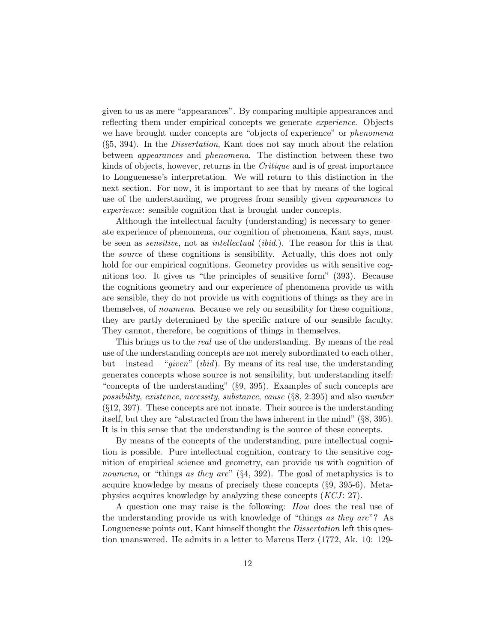given to us as mere "appearances". By comparing multiple appearances and reflecting them under empirical concepts we generate *experience*. Objects we have brought under concepts are "objects of experience" or *phenomena*  $(\S 5, 394)$ . In the *Dissertation*, Kant does not say much about the relation between appearances and phenomena. The distinction between these two kinds of objects, however, returns in the Critique and is of great importance to Longuenesse's interpretation. We will return to this distinction in the next section. For now, it is important to see that by means of the logical use of the understanding, we progress from sensibly given *appearances* to experience: sensible cognition that is brought under concepts.

Although the intellectual faculty (understanding) is necessary to generate experience of phenomena, our cognition of phenomena, Kant says, must be seen as *sensitive*, not as *intellectual (ibid.)*. The reason for this is that the source of these cognitions is sensibility. Actually, this does not only hold for our empirical cognitions. Geometry provides us with sensitive cognitions too. It gives us "the principles of sensitive form" (393). Because the cognitions geometry and our experience of phenomena provide us with are sensible, they do not provide us with cognitions of things as they are in themselves, of noumena. Because we rely on sensibility for these cognitions, they are partly determined by the specific nature of our sensible faculty. They cannot, therefore, be cognitions of things in themselves.

This brings us to the real use of the understanding. By means of the real use of the understanding concepts are not merely subordinated to each other, but – instead – "*given*" (*ibid*). By means of its real use, the understanding generates concepts whose source is not sensibility, but understanding itself: "concepts of the understanding" (§9, 395). Examples of such concepts are possibility, existence, necessity, substance, cause (§8, 2:395) and also number (§12, 397). These concepts are not innate. Their source is the understanding itself, but they are "abstracted from the laws inherent in the mind" (§8, 395). It is in this sense that the understanding is the source of these concepts.

By means of the concepts of the understanding, pure intellectual cognition is possible. Pure intellectual cognition, contrary to the sensitive cognition of empirical science and geometry, can provide us with cognition of noumena, or "things as they are"  $(84, 392)$ . The goal of metaphysics is to acquire knowledge by means of precisely these concepts (§9, 395-6). Metaphysics acquires knowledge by analyzing these concepts  $(KCI: 27)$ .

A question one may raise is the following: How does the real use of the understanding provide us with knowledge of "things as they are"? As Longuenesse points out, Kant himself thought the *Dissertation* left this question unanswered. He admits in a letter to Marcus Herz (1772, Ak. 10: 129-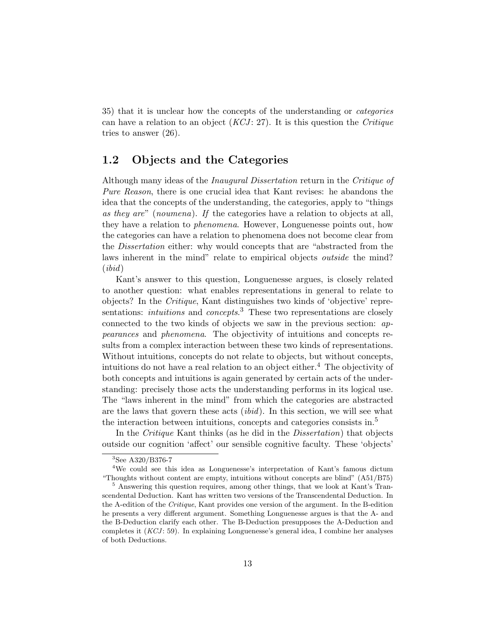35) that it is unclear how the concepts of the understanding or categories can have a relation to an object  $(KCI: 27)$ . It is this question the *Critique* tries to answer (26).

#### 1.2 Objects and the Categories

Although many ideas of the *Inaugural Dissertation* return in the *Critique of* Pure Reason, there is one crucial idea that Kant revises: he abandons the idea that the concepts of the understanding, the categories, apply to "things as they are" (noumena). If the categories have a relation to objects at all, they have a relation to phenomena. However, Longuenesse points out, how the categories can have a relation to phenomena does not become clear from the *Dissertation* either: why would concepts that are "abstracted from the laws inherent in the mind" relate to empirical objects *outside* the mind?  $(ibid)$ 

Kant's answer to this question, Longuenesse argues, is closely related to another question: what enables representations in general to relate to objects? In the Critique, Kant distinguishes two kinds of 'objective' representations: *intuitions* and *concepts*.<sup>3</sup> These two representations are closely connected to the two kinds of objects we saw in the previous section: appearances and phenomena. The objectivity of intuitions and concepts results from a complex interaction between these two kinds of representations. Without intuitions, concepts do not relate to objects, but without concepts, intuitions do not have a real relation to an object either.<sup>4</sup> The objectivity of both concepts and intuitions is again generated by certain acts of the understanding: precisely those acts the understanding performs in its logical use. The "laws inherent in the mind" from which the categories are abstracted are the laws that govern these acts (ibid). In this section, we will see what the interaction between intuitions, concepts and categories consists in.<sup>5</sup>

In the Critique Kant thinks (as he did in the Dissertation) that objects outside our cognition 'affect' our sensible cognitive faculty. These 'objects'

<sup>3</sup>See A320/B376-7

<sup>4</sup>We could see this idea as Longuenesse's interpretation of Kant's famous dictum "Thoughts without content are empty, intuitions without concepts are blind" (A51/B75)

<sup>&</sup>lt;sup>5</sup> Answering this question requires, among other things, that we look at Kant's Transcendental Deduction. Kant has written two versions of the Transcendental Deduction. In the A-edition of the Critique, Kant provides one version of the argument. In the B-edition he presents a very different argument. Something Longuenesse argues is that the A- and the B-Deduction clarify each other. The B-Deduction presupposes the A-Deduction and completes it  $(KCJ: 59)$ . In explaining Longuenesse's general idea, I combine her analyses of both Deductions.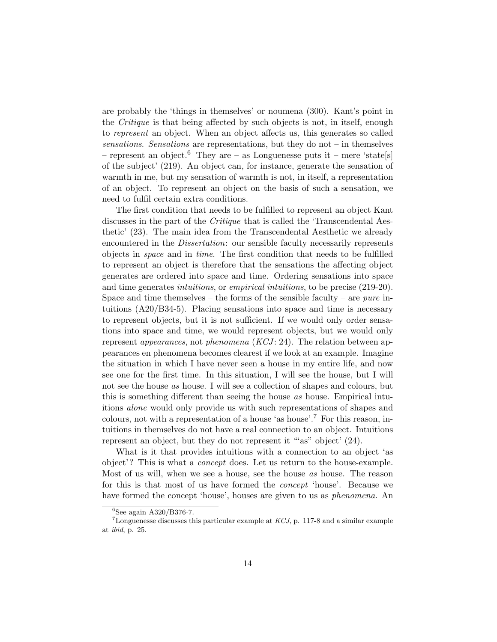are probably the 'things in themselves' or noumena (300). Kant's point in the *Critique* is that being affected by such objects is not, in itself, enough to represent an object. When an object affects us, this generates so called sensations. Sensations are representations, but they do not – in themselves – represent an object.<sup>6</sup> They are – as Longuenesse puts it – mere 'state[s] of the subject' (219). An object can, for instance, generate the sensation of warmth in me, but my sensation of warmth is not, in itself, a representation of an object. To represent an object on the basis of such a sensation, we need to fulfil certain extra conditions.

The first condition that needs to be fulfilled to represent an object Kant discusses in the part of the Critique that is called the 'Transcendental Aesthetic' (23). The main idea from the Transcendental Aesthetic we already encountered in the *Dissertation*: our sensible faculty necessarily represents objects in space and in time. The first condition that needs to be fulfilled to represent an object is therefore that the sensations the affecting object generates are ordered into space and time. Ordering sensations into space and time generates *intuitions*, or *empirical intuitions*, to be precise (219-20). Space and time themselves – the forms of the sensible faculty – are *pure* intuitions  $(A20/B34-5)$ . Placing sensations into space and time is necessary to represent objects, but it is not sufficient. If we would only order sensations into space and time, we would represent objects, but we would only represent *appearances*, not *phenomena*  $(KCI: 24)$ . The relation between appearances en phenomena becomes clearest if we look at an example. Imagine the situation in which I have never seen a house in my entire life, and now see one for the first time. In this situation, I will see the house, but I will not see the house as house. I will see a collection of shapes and colours, but this is something different than seeing the house as house. Empirical intuitions alone would only provide us with such representations of shapes and colours, not with a representation of a house 'as house'.<sup>7</sup> For this reason, intuitions in themselves do not have a real connection to an object. Intuitions represent an object, but they do not represent it "'as" object' (24).

What is it that provides intuitions with a connection to an object 'as object'? This is what a concept does. Let us return to the house-example. Most of us will, when we see a house, see the house as house. The reason for this is that most of us have formed the concept 'house'. Because we have formed the concept 'house', houses are given to us as phenomena. An

 ${}^{6}$ See again A320/B376-7.

<sup>&</sup>lt;sup>7</sup>Longuenesse discusses this particular example at  $KCJ$ , p. 117-8 and a similar example at ibid, p. 25.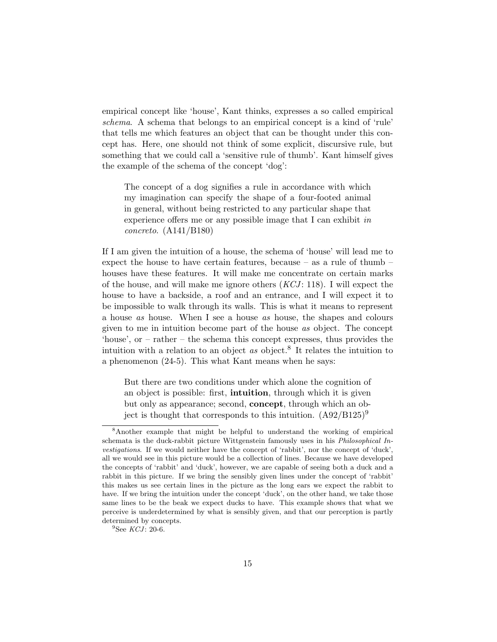empirical concept like 'house', Kant thinks, expresses a so called empirical schema. A schema that belongs to an empirical concept is a kind of 'rule' that tells me which features an object that can be thought under this concept has. Here, one should not think of some explicit, discursive rule, but something that we could call a 'sensitive rule of thumb'. Kant himself gives the example of the schema of the concept 'dog':

The concept of a dog signifies a rule in accordance with which my imagination can specify the shape of a four-footed animal in general, without being restricted to any particular shape that experience offers me or any possible image that I can exhibit in concreto. (A141/B180)

If I am given the intuition of a house, the schema of 'house' will lead me to expect the house to have certain features, because – as a rule of thumb – houses have these features. It will make me concentrate on certain marks of the house, and will make me ignore others  $(KCI: 118)$ . I will expect the house to have a backside, a roof and an entrance, and I will expect it to be impossible to walk through its walls. This is what it means to represent a house as house. When I see a house as house, the shapes and colours given to me in intuition become part of the house as object. The concept 'house', or – rather – the schema this concept expresses, thus provides the intuition with a relation to an object  $as$  object.<sup>8</sup> It relates the intuition to a phenomenon (24-5). This what Kant means when he says:

But there are two conditions under which alone the cognition of an object is possible: first, **intuition**, through which it is given but only as appearance; second, **concept**, through which an object is thought that corresponds to this intuition.  $(A92/B125)^9$ 

<sup>8</sup>Another example that might be helpful to understand the working of empirical schemata is the duck-rabbit picture Wittgenstein famously uses in his Philosophical Investigations. If we would neither have the concept of 'rabbit', nor the concept of 'duck', all we would see in this picture would be a collection of lines. Because we have developed the concepts of 'rabbit' and 'duck', however, we are capable of seeing both a duck and a rabbit in this picture. If we bring the sensibly given lines under the concept of 'rabbit' this makes us see certain lines in the picture as the long ears we expect the rabbit to have. If we bring the intuition under the concept 'duck', on the other hand, we take those same lines to be the beak we expect ducks to have. This example shows that what we perceive is underdetermined by what is sensibly given, and that our perception is partly determined by concepts.

 ${}^{9}$ See *KCJ*: 20-6.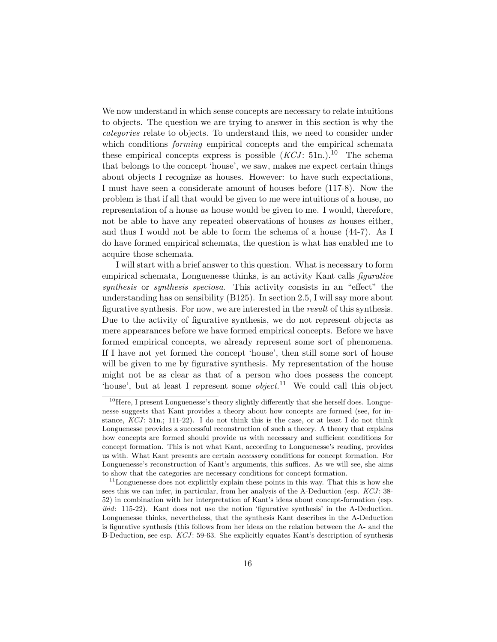We now understand in which sense concepts are necessary to relate intuitions to objects. The question we are trying to answer in this section is why the categories relate to objects. To understand this, we need to consider under which conditions *forming* empirical concepts and the empirical schemata these empirical concepts express is possible  $(KCI: 51n.)$ <sup>10</sup> The schema that belongs to the concept 'house', we saw, makes me expect certain things about objects I recognize as houses. However: to have such expectations, I must have seen a considerate amount of houses before (117-8). Now the problem is that if all that would be given to me were intuitions of a house, no representation of a house as house would be given to me. I would, therefore, not be able to have any repeated observations of houses as houses either, and thus I would not be able to form the schema of a house (44-7). As I do have formed empirical schemata, the question is what has enabled me to acquire those schemata.

I will start with a brief answer to this question. What is necessary to form empirical schemata, Longuenesse thinks, is an activity Kant calls figurative synthesis or synthesis speciosa. This activity consists in an "effect" the understanding has on sensibility (B125). In section 2.5, I will say more about figurative synthesis. For now, we are interested in the result of this synthesis. Due to the activity of figurative synthesis, we do not represent objects as mere appearances before we have formed empirical concepts. Before we have formed empirical concepts, we already represent some sort of phenomena. If I have not yet formed the concept 'house', then still some sort of house will be given to me by figurative synthesis. My representation of the house might not be as clear as that of a person who does possess the concept 'house', but at least I represent some *object*.<sup>11</sup> We could call this object

 $10$  Here, I present Longuenesse's theory slightly differently that she herself does. Longuenesse suggests that Kant provides a theory about how concepts are formed (see, for instance,  $KCJ$ : 51n.; 111-22). I do not think this is the case, or at least I do not think Longuenesse provides a successful reconstruction of such a theory. A theory that explains how concepts are formed should provide us with necessary and sufficient conditions for concept formation. This is not what Kant, according to Longuenesse's reading, provides us with. What Kant presents are certain *necessary* conditions for concept formation. For Longuenesse's reconstruction of Kant's arguments, this suffices. As we will see, she aims to show that the categories are necessary conditions for concept formation.

<sup>&</sup>lt;sup>11</sup>Longuenesse does not explicitly explain these points in this way. That this is how she sees this we can infer, in particular, from her analysis of the A-Deduction (esp. KCJ: 38-52) in combination with her interpretation of Kant's ideas about concept-formation (esp. ibid: 115-22). Kant does not use the notion 'figurative synthesis' in the A-Deduction. Longuenesse thinks, nevertheless, that the synthesis Kant describes in the A-Deduction is figurative synthesis (this follows from her ideas on the relation between the A- and the B-Deduction, see esp. KCJ: 59-63. She explicitly equates Kant's description of synthesis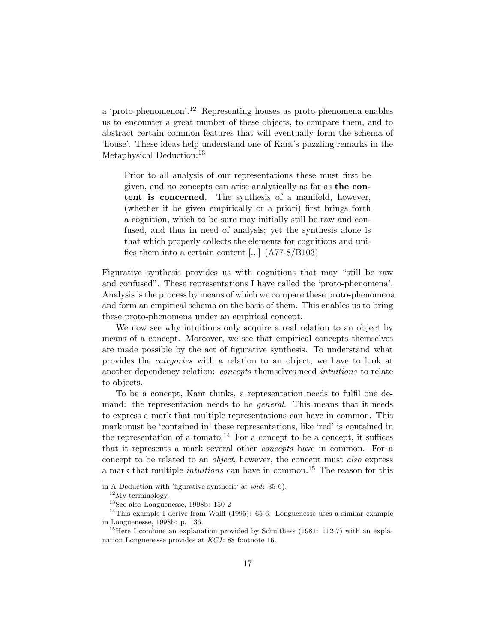a 'proto-phenomenon'.<sup>12</sup> Representing houses as proto-phenomena enables us to encounter a great number of these objects, to compare them, and to abstract certain common features that will eventually form the schema of 'house'. These ideas help understand one of Kant's puzzling remarks in the Metaphysical Deduction:<sup>13</sup>

Prior to all analysis of our representations these must first be given, and no concepts can arise analytically as far as the content is concerned. The synthesis of a manifold, however, (whether it be given empirically or a priori) first brings forth a cognition, which to be sure may initially still be raw and confused, and thus in need of analysis; yet the synthesis alone is that which properly collects the elements for cognitions and unifies them into a certain content  $\left[\ldots\right]$  (A77-8/B103)

Figurative synthesis provides us with cognitions that may "still be raw and confused". These representations I have called the 'proto-phenomena'. Analysis is the process by means of which we compare these proto-phenomena and form an empirical schema on the basis of them. This enables us to bring these proto-phenomena under an empirical concept.

We now see why intuitions only acquire a real relation to an object by means of a concept. Moreover, we see that empirical concepts themselves are made possible by the act of figurative synthesis. To understand what provides the categories with a relation to an object, we have to look at another dependency relation: concepts themselves need intuitions to relate to objects.

To be a concept, Kant thinks, a representation needs to fulfil one demand: the representation needs to be *general*. This means that it needs to express a mark that multiple representations can have in common. This mark must be 'contained in' these representations, like 'red' is contained in the representation of a tomato.<sup>14</sup> For a concept to be a concept, it suffices that it represents a mark several other concepts have in common. For a concept to be related to an *object*, however, the concept must *also* express a mark that multiple *intuitions* can have in common.<sup>15</sup> The reason for this

in A-Deduction with 'figurative synthesis' at ibid: 35-6).

 $^{12}\mathrm{My}$  terminology.

 $^{13}\mathrm{See}$ also Longuenesse, 1998b: 150-2

<sup>&</sup>lt;sup>14</sup>This example I derive from Wolff (1995): 65-6. Longuenesse uses a similar example in Longuenesse, 1998b: p. 136.

<sup>&</sup>lt;sup>15</sup>Here I combine an explanation provided by Schulthess (1981: 112-7) with an explanation Longuenesse provides at  $KCJ$ : 88 footnote 16.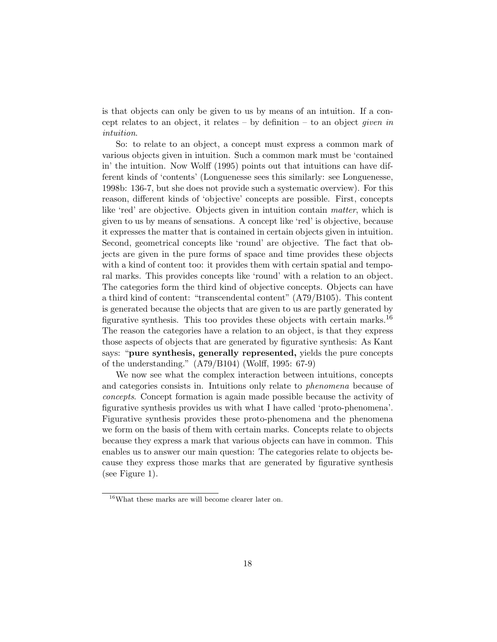is that objects can only be given to us by means of an intuition. If a concept relates to an object, it relates – by definition – to an object *given* in intuition.

So: to relate to an object, a concept must express a common mark of various objects given in intuition. Such a common mark must be 'contained in' the intuition. Now Wolff (1995) points out that intuitions can have different kinds of 'contents' (Longuenesse sees this similarly: see Longuenesse, 1998b: 136-7, but she does not provide such a systematic overview). For this reason, different kinds of 'objective' concepts are possible. First, concepts like 'red' are objective. Objects given in intuition contain matter, which is given to us by means of sensations. A concept like 'red' is objective, because it expresses the matter that is contained in certain objects given in intuition. Second, geometrical concepts like 'round' are objective. The fact that objects are given in the pure forms of space and time provides these objects with a kind of content too: it provides them with certain spatial and temporal marks. This provides concepts like 'round' with a relation to an object. The categories form the third kind of objective concepts. Objects can have a third kind of content: "transcendental content" (A79/B105). This content is generated because the objects that are given to us are partly generated by figurative synthesis. This too provides these objects with certain marks.<sup>16</sup> The reason the categories have a relation to an object, is that they express those aspects of objects that are generated by figurative synthesis: As Kant says: "pure synthesis, generally represented, yields the pure concepts of the understanding." (A79/B104) (Wolff, 1995: 67-9)

We now see what the complex interaction between intuitions, concepts and categories consists in. Intuitions only relate to phenomena because of concepts. Concept formation is again made possible because the activity of figurative synthesis provides us with what I have called 'proto-phenomena'. Figurative synthesis provides these proto-phenomena and the phenomena we form on the basis of them with certain marks. Concepts relate to objects because they express a mark that various objects can have in common. This enables us to answer our main question: The categories relate to objects because they express those marks that are generated by figurative synthesis (see Figure 1).

<sup>16</sup>What these marks are will become clearer later on.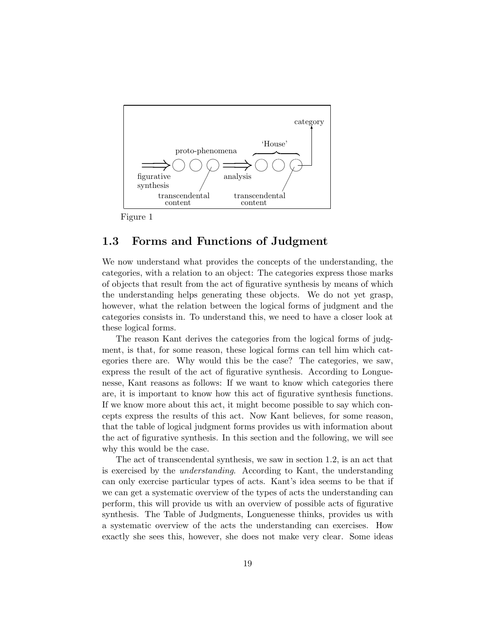

Figure 1

#### 1.3 Forms and Functions of Judgment

We now understand what provides the concepts of the understanding, the categories, with a relation to an object: The categories express those marks of objects that result from the act of figurative synthesis by means of which the understanding helps generating these objects. We do not yet grasp, however, what the relation between the logical forms of judgment and the categories consists in. To understand this, we need to have a closer look at these logical forms.

The reason Kant derives the categories from the logical forms of judgment, is that, for some reason, these logical forms can tell him which categories there are. Why would this be the case? The categories, we saw, express the result of the act of figurative synthesis. According to Longuenesse, Kant reasons as follows: If we want to know which categories there are, it is important to know how this act of figurative synthesis functions. If we know more about this act, it might become possible to say which concepts express the results of this act. Now Kant believes, for some reason, that the table of logical judgment forms provides us with information about the act of figurative synthesis. In this section and the following, we will see why this would be the case.

The act of transcendental synthesis, we saw in section 1.2, is an act that is exercised by the understanding. According to Kant, the understanding can only exercise particular types of acts. Kant's idea seems to be that if we can get a systematic overview of the types of acts the understanding can perform, this will provide us with an overview of possible acts of figurative synthesis. The Table of Judgments, Longuenesse thinks, provides us with a systematic overview of the acts the understanding can exercises. How exactly she sees this, however, she does not make very clear. Some ideas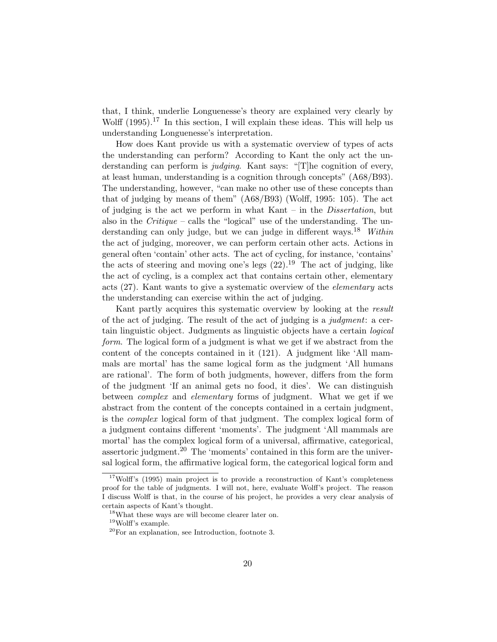that, I think, underlie Longuenesse's theory are explained very clearly by Wolff  $(1995)$ .<sup>17</sup> In this section, I will explain these ideas. This will help us understanding Longuenesse's interpretation.

How does Kant provide us with a systematic overview of types of acts the understanding can perform? According to Kant the only act the understanding can perform is *judging*. Kant says: "[T]he cognition of every, at least human, understanding is a cognition through concepts" (A68/B93). The understanding, however, "can make no other use of these concepts than that of judging by means of them" (A68/B93) (Wolff, 1995: 105). The act of judging is the act we perform in what Kant – in the Dissertation, but also in the *Critique* – calls the "logical" use of the understanding. The understanding can only judge, but we can judge in different ways.<sup>18</sup> Within the act of judging, moreover, we can perform certain other acts. Actions in general often 'contain' other acts. The act of cycling, for instance, 'contains' the acts of steering and moving one's legs  $(22).<sup>19</sup>$  The act of judging, like the act of cycling, is a complex act that contains certain other, elementary acts (27). Kant wants to give a systematic overview of the elementary acts the understanding can exercise within the act of judging.

Kant partly acquires this systematic overview by looking at the result of the act of judging. The result of the act of judging is a judgment: a certain linguistic object. Judgments as linguistic objects have a certain logical form. The logical form of a judgment is what we get if we abstract from the content of the concepts contained in it (121). A judgment like 'All mammals are mortal' has the same logical form as the judgment 'All humans are rational'. The form of both judgments, however, differs from the form of the judgment 'If an animal gets no food, it dies'. We can distinguish between *complex* and *elementary* forms of judgment. What we get if we abstract from the content of the concepts contained in a certain judgment, is the complex logical form of that judgment. The complex logical form of a judgment contains different 'moments'. The judgment 'All mammals are mortal' has the complex logical form of a universal, affirmative, categorical, assertoric judgment.<sup>20</sup> The 'moments' contained in this form are the universal logical form, the affirmative logical form, the categorical logical form and

 $17$ Wolff's (1995) main project is to provide a reconstruction of Kant's completeness proof for the table of judgments. I will not, here, evaluate Wolff's project. The reason I discuss Wolff is that, in the course of his project, he provides a very clear analysis of certain aspects of Kant's thought.

<sup>&</sup>lt;sup>18</sup>What these ways are will become clearer later on.

<sup>19</sup>Wolff's example.

 $20$ For an explanation, see Introduction, footnote 3.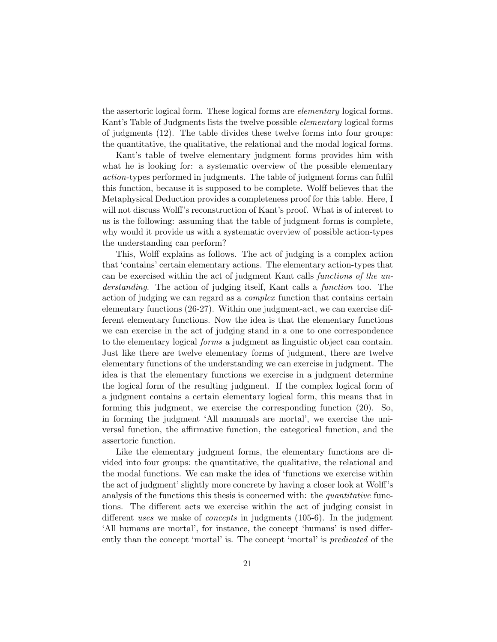the assertoric logical form. These logical forms are elementary logical forms. Kant's Table of Judgments lists the twelve possible *elementary* logical forms of judgments (12). The table divides these twelve forms into four groups: the quantitative, the qualitative, the relational and the modal logical forms.

Kant's table of twelve elementary judgment forms provides him with what he is looking for: a systematic overview of the possible elementary action-types performed in judgments. The table of judgment forms can fulfil this function, because it is supposed to be complete. Wolff believes that the Metaphysical Deduction provides a completeness proof for this table. Here, I will not discuss Wolff's reconstruction of Kant's proof. What is of interest to us is the following: assuming that the table of judgment forms is complete, why would it provide us with a systematic overview of possible action-types the understanding can perform?

This, Wolff explains as follows. The act of judging is a complex action that 'contains' certain elementary actions. The elementary action-types that can be exercised within the act of judgment Kant calls functions of the understanding. The action of judging itself, Kant calls a function too. The action of judging we can regard as a complex function that contains certain elementary functions (26-27). Within one judgment-act, we can exercise different elementary functions. Now the idea is that the elementary functions we can exercise in the act of judging stand in a one to one correspondence to the elementary logical forms a judgment as linguistic object can contain. Just like there are twelve elementary forms of judgment, there are twelve elementary functions of the understanding we can exercise in judgment. The idea is that the elementary functions we exercise in a judgment determine the logical form of the resulting judgment. If the complex logical form of a judgment contains a certain elementary logical form, this means that in forming this judgment, we exercise the corresponding function (20). So, in forming the judgment 'All mammals are mortal', we exercise the universal function, the affirmative function, the categorical function, and the assertoric function.

Like the elementary judgment forms, the elementary functions are divided into four groups: the quantitative, the qualitative, the relational and the modal functions. We can make the idea of 'functions we exercise within the act of judgment' slightly more concrete by having a closer look at Wolff's analysis of the functions this thesis is concerned with: the *quantitative* functions. The different acts we exercise within the act of judging consist in different uses we make of concepts in judgments (105-6). In the judgment 'All humans are mortal', for instance, the concept 'humans' is used differently than the concept 'mortal' is. The concept 'mortal' is predicated of the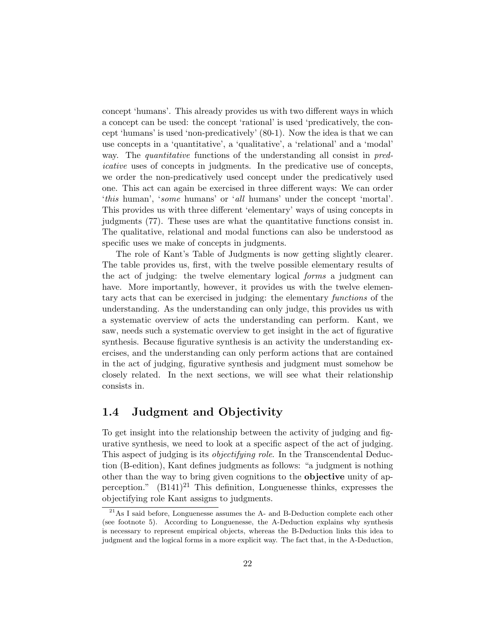concept 'humans'. This already provides us with two different ways in which a concept can be used: the concept 'rational' is used 'predicatively, the concept 'humans' is used 'non-predicatively' (80-1). Now the idea is that we can use concepts in a 'quantitative', a 'qualitative', a 'relational' and a 'modal' way. The *quantitative* functions of the understanding all consist in *pred*icative uses of concepts in judgments. In the predicative use of concepts, we order the non-predicatively used concept under the predicatively used one. This act can again be exercised in three different ways: We can order 'this human', 'some humans' or 'all humans' under the concept 'mortal'. This provides us with three different 'elementary' ways of using concepts in judgments (77). These uses are what the quantitative functions consist in. The qualitative, relational and modal functions can also be understood as specific uses we make of concepts in judgments.

The role of Kant's Table of Judgments is now getting slightly clearer. The table provides us, first, with the twelve possible elementary results of the act of judging: the twelve elementary logical forms a judgment can have. More importantly, however, it provides us with the twelve elementary acts that can be exercised in judging: the elementary functions of the understanding. As the understanding can only judge, this provides us with a systematic overview of acts the understanding can perform. Kant, we saw, needs such a systematic overview to get insight in the act of figurative synthesis. Because figurative synthesis is an activity the understanding exercises, and the understanding can only perform actions that are contained in the act of judging, figurative synthesis and judgment must somehow be closely related. In the next sections, we will see what their relationship consists in.

#### 1.4 Judgment and Objectivity

To get insight into the relationship between the activity of judging and figurative synthesis, we need to look at a specific aspect of the act of judging. This aspect of judging is its objectifying role. In the Transcendental Deduction (B-edition), Kant defines judgments as follows: "a judgment is nothing other than the way to bring given cognitions to the objective unity of apperception."  $(B141)^{21}$  This definition, Longuenesse thinks, expresses the objectifying role Kant assigns to judgments.

 $21$ As I said before, Longuenesse assumes the A- and B-Deduction complete each other (see footnote 5). According to Longuenesse, the A-Deduction explains why synthesis is necessary to represent empirical objects, whereas the B-Deduction links this idea to judgment and the logical forms in a more explicit way. The fact that, in the A-Deduction,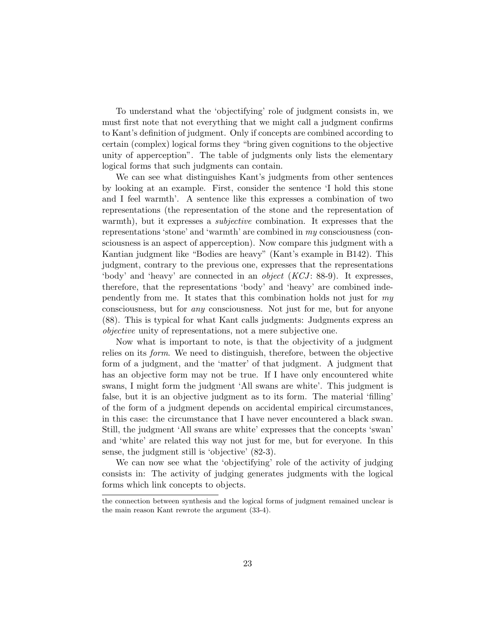To understand what the 'objectifying' role of judgment consists in, we must first note that not everything that we might call a judgment confirms to Kant's definition of judgment. Only if concepts are combined according to certain (complex) logical forms they "bring given cognitions to the objective unity of apperception". The table of judgments only lists the elementary logical forms that such judgments can contain.

We can see what distinguishes Kant's judgments from other sentences by looking at an example. First, consider the sentence 'I hold this stone and I feel warmth'. A sentence like this expresses a combination of two representations (the representation of the stone and the representation of warmth), but it expresses a *subjective* combination. It expresses that the representations 'stone' and 'warmth' are combined in my consciousness (consciousness is an aspect of apperception). Now compare this judgment with a Kantian judgment like "Bodies are heavy" (Kant's example in B142). This judgment, contrary to the previous one, expresses that the representations 'body' and 'heavy' are connected in an *object* (*KCJ*: 88-9). It expresses, therefore, that the representations 'body' and 'heavy' are combined independently from me. It states that this combination holds not just for my consciousness, but for any consciousness. Not just for me, but for anyone (88). This is typical for what Kant calls judgments: Judgments express an objective unity of representations, not a mere subjective one.

Now what is important to note, is that the objectivity of a judgment relies on its form. We need to distinguish, therefore, between the objective form of a judgment, and the 'matter' of that judgment. A judgment that has an objective form may not be true. If I have only encountered white swans, I might form the judgment 'All swans are white'. This judgment is false, but it is an objective judgment as to its form. The material 'filling' of the form of a judgment depends on accidental empirical circumstances, in this case: the circumstance that I have never encountered a black swan. Still, the judgment 'All swans are white' expresses that the concepts 'swan' and 'white' are related this way not just for me, but for everyone. In this sense, the judgment still is 'objective' (82-3).

We can now see what the 'objectifying' role of the activity of judging consists in: The activity of judging generates judgments with the logical forms which link concepts to objects.

the connection between synthesis and the logical forms of judgment remained unclear is the main reason Kant rewrote the argument (33-4).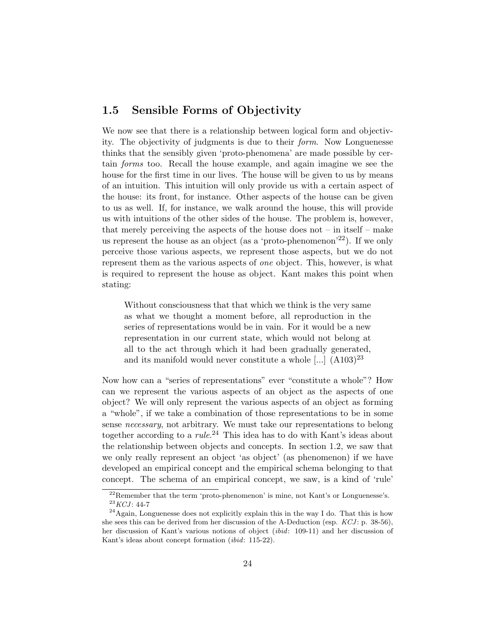#### 1.5 Sensible Forms of Objectivity

We now see that there is a relationship between logical form and objectivity. The objectivity of judgments is due to their form. Now Longuenesse thinks that the sensibly given 'proto-phenomena' are made possible by certain forms too. Recall the house example, and again imagine we see the house for the first time in our lives. The house will be given to us by means of an intuition. This intuition will only provide us with a certain aspect of the house: its front, for instance. Other aspects of the house can be given to us as well. If, for instance, we walk around the house, this will provide us with intuitions of the other sides of the house. The problem is, however, that merely perceiving the aspects of the house does not – in itself – make us represent the house as an object (as a 'proto-phenomenon'<sup>22</sup>). If we only perceive those various aspects, we represent those aspects, but we do not represent them as the various aspects of one object. This, however, is what is required to represent the house as object. Kant makes this point when stating:

Without consciousness that that which we think is the very same as what we thought a moment before, all reproduction in the series of representations would be in vain. For it would be a new representation in our current state, which would not belong at all to the act through which it had been gradually generated, and its manifold would never constitute a whole  $\left[\ldots\right]$   $(A103)^{23}$ 

Now how can a "series of representations" ever "constitute a whole"? How can we represent the various aspects of an object as the aspects of one object? We will only represent the various aspects of an object as forming a "whole", if we take a combination of those representations to be in some sense necessary, not arbitrary. We must take our representations to belong together according to a *rule*.<sup>24</sup> This idea has to do with Kant's ideas about the relationship between objects and concepts. In section 1.2, we saw that we only really represent an object 'as object' (as phenomenon) if we have developed an empirical concept and the empirical schema belonging to that concept. The schema of an empirical concept, we saw, is a kind of 'rule'

 $^{22}$ Remember that the term 'proto-phenomenon' is mine, not Kant's or Longuenesse's.  $^{23}\boldsymbol{KCJ}:$  44-7

 $^{24}$ Again, Longuenesse does not explicitly explain this in the way I do. That this is how she sees this can be derived from her discussion of the A-Deduction (esp.  $KCJ$ : p. 38-56), her discussion of Kant's various notions of object (ibid: 109-11) and her discussion of Kant's ideas about concept formation (ibid: 115-22).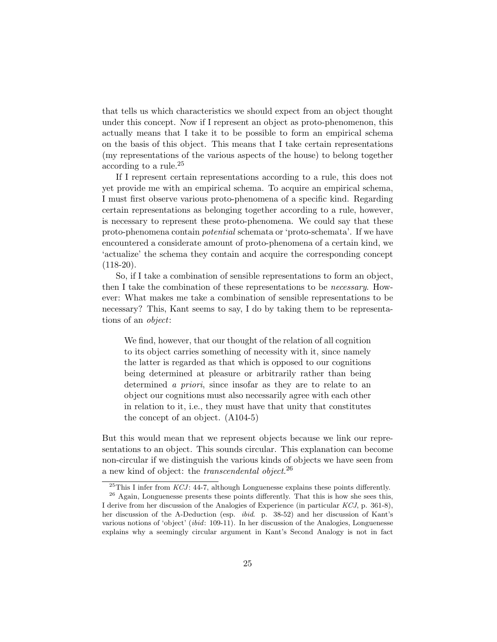that tells us which characteristics we should expect from an object thought under this concept. Now if I represent an object as proto-phenomenon, this actually means that I take it to be possible to form an empirical schema on the basis of this object. This means that I take certain representations (my representations of the various aspects of the house) to belong together according to a rule.<sup>25</sup>

If I represent certain representations according to a rule, this does not yet provide me with an empirical schema. To acquire an empirical schema, I must first observe various proto-phenomena of a specific kind. Regarding certain representations as belonging together according to a rule, however, is necessary to represent these proto-phenomena. We could say that these proto-phenomena contain potential schemata or 'proto-schemata'. If we have encountered a considerate amount of proto-phenomena of a certain kind, we 'actualize' the schema they contain and acquire the corresponding concept  $(118-20)$ .

So, if I take a combination of sensible representations to form an object, then I take the combination of these representations to be necessary. However: What makes me take a combination of sensible representations to be necessary? This, Kant seems to say, I do by taking them to be representations of an object:

We find, however, that our thought of the relation of all cognition to its object carries something of necessity with it, since namely the latter is regarded as that which is opposed to our cognitions being determined at pleasure or arbitrarily rather than being determined *a priori*, since insofar as they are to relate to an object our cognitions must also necessarily agree with each other in relation to it, i.e., they must have that unity that constitutes the concept of an object. (A104-5)

But this would mean that we represent objects because we link our representations to an object. This sounds circular. This explanation can become non-circular if we distinguish the various kinds of objects we have seen from a new kind of object: the *transcendental object*.<sup>26</sup>

<sup>&</sup>lt;sup>25</sup>This I infer from *KCJ*: 44-7, although Longuenesse explains these points differently.

 $26$  Again, Longuenesse presents these points differently. That this is how she sees this, I derive from her discussion of the Analogies of Experience (in particular KCJ, p. 361-8), her discussion of the A-Deduction (esp. ibid. p. 38-52) and her discussion of Kant's various notions of 'object' (ibid: 109-11). In her discussion of the Analogies, Longuenesse explains why a seemingly circular argument in Kant's Second Analogy is not in fact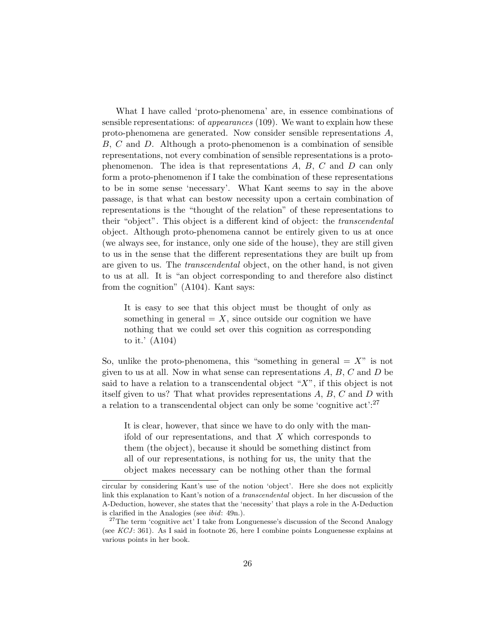What I have called 'proto-phenomena' are, in essence combinations of sensible representations: of appearances (109). We want to explain how these proto-phenomena are generated. Now consider sensible representations A, B, C and D. Although a proto-phenomenon is a combination of sensible representations, not every combination of sensible representations is a protophenomenon. The idea is that representations  $A, B, C$  and  $D$  can only form a proto-phenomenon if I take the combination of these representations to be in some sense 'necessary'. What Kant seems to say in the above passage, is that what can bestow necessity upon a certain combination of representations is the "thought of the relation" of these representations to their "object". This object is a different kind of object: the *transcendental* object. Although proto-phenomena cannot be entirely given to us at once (we always see, for instance, only one side of the house), they are still given to us in the sense that the different representations they are built up from are given to us. The transcendental object, on the other hand, is not given to us at all. It is "an object corresponding to and therefore also distinct from the cognition" (A104). Kant says:

It is easy to see that this object must be thought of only as something in general  $=X$ , since outside our cognition we have nothing that we could set over this cognition as corresponding to it.' (A104)

So, unlike the proto-phenomena, this "something in general  $= X$ " is not given to us at all. Now in what sense can representations  $A, B, C$  and  $D$  be said to have a relation to a transcendental object " $X$ ", if this object is not itself given to us? That what provides representations A, B, C and D with a relation to a transcendental object can only be some 'cognitive  $\text{act}$ ':<sup>27</sup>

It is clear, however, that since we have to do only with the manifold of our representations, and that  $X$  which corresponds to them (the object), because it should be something distinct from all of our representations, is nothing for us, the unity that the object makes necessary can be nothing other than the formal

circular by considering Kant's use of the notion 'object'. Here she does not explicitly link this explanation to Kant's notion of a transcendental object. In her discussion of the A-Deduction, however, she states that the 'necessity' that plays a role in the A-Deduction is clarified in the Analogies (see ibid: 49n.).

<sup>&</sup>lt;sup>27</sup>The term 'cognitive act' I take from Longuenesse's discussion of the Second Analogy (see  $KCJ$ : 361). As I said in footnote 26, here I combine points Longuenesse explains at various points in her book.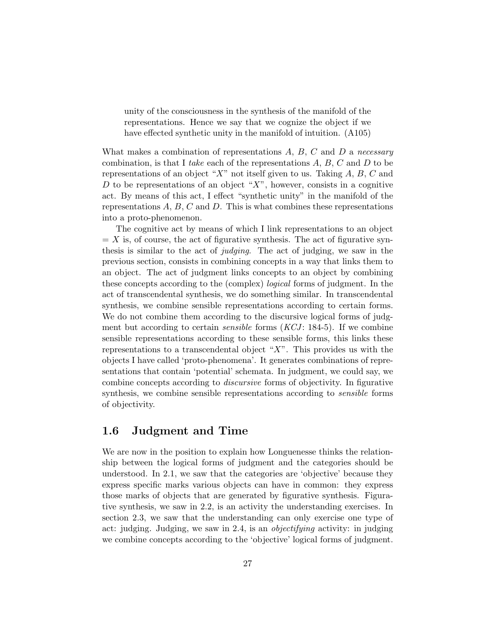unity of the consciousness in the synthesis of the manifold of the representations. Hence we say that we cognize the object if we have effected synthetic unity in the manifold of intuition. (A105)

What makes a combination of representations  $A, B, C$  and  $D$  a necessary combination, is that I take each of the representations  $A, B, C$  and  $D$  to be representations of an object "X" not itself given to us. Taking  $A, B, C$  and D to be representations of an object " $X$ ", however, consists in a cognitive act. By means of this act, I effect "synthetic unity" in the manifold of the representations  $A, B, C$  and  $D$ . This is what combines these representations into a proto-phenomenon.

The cognitive act by means of which I link representations to an object  $= X$  is, of course, the act of figurative synthesis. The act of figurative synthesis is similar to the act of judging. The act of judging, we saw in the previous section, consists in combining concepts in a way that links them to an object. The act of judgment links concepts to an object by combining these concepts according to the (complex) logical forms of judgment. In the act of transcendental synthesis, we do something similar. In transcendental synthesis, we combine sensible representations according to certain forms. We do not combine them according to the discursive logical forms of judgment but according to certain *sensible* forms  $(KCI: 184-5)$ . If we combine sensible representations according to these sensible forms, this links these representations to a transcendental object " $X$ ". This provides us with the objects I have called 'proto-phenomena'. It generates combinations of representations that contain 'potential' schemata. In judgment, we could say, we combine concepts according to discursive forms of objectivity. In figurative synthesis, we combine sensible representations according to *sensible* forms of objectivity.

#### 1.6 Judgment and Time

We are now in the position to explain how Longuenesse thinks the relationship between the logical forms of judgment and the categories should be understood. In 2.1, we saw that the categories are 'objective' because they express specific marks various objects can have in common: they express those marks of objects that are generated by figurative synthesis. Figurative synthesis, we saw in 2.2, is an activity the understanding exercises. In section 2.3, we saw that the understanding can only exercise one type of act: judging. Judging, we saw in 2.4, is an objectifying activity: in judging we combine concepts according to the 'objective' logical forms of judgment.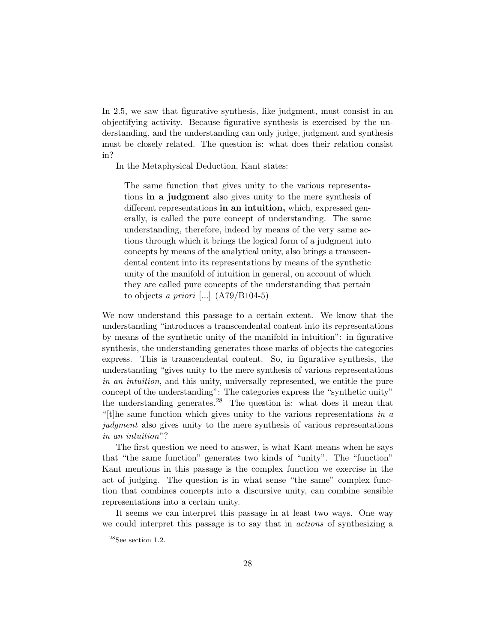In 2.5, we saw that figurative synthesis, like judgment, must consist in an objectifying activity. Because figurative synthesis is exercised by the understanding, and the understanding can only judge, judgment and synthesis must be closely related. The question is: what does their relation consist in?

In the Metaphysical Deduction, Kant states:

The same function that gives unity to the various representations in a judgment also gives unity to the mere synthesis of different representations in an intuition, which, expressed generally, is called the pure concept of understanding. The same understanding, therefore, indeed by means of the very same actions through which it brings the logical form of a judgment into concepts by means of the analytical unity, also brings a transcendental content into its representations by means of the synthetic unity of the manifold of intuition in general, on account of which they are called pure concepts of the understanding that pertain to objects a priori  $\left[ \ldots \right]$  (A79/B104-5)

We now understand this passage to a certain extent. We know that the understanding "introduces a transcendental content into its representations by means of the synthetic unity of the manifold in intuition": in figurative synthesis, the understanding generates those marks of objects the categories express. This is transcendental content. So, in figurative synthesis, the understanding "gives unity to the mere synthesis of various representations in an intuition, and this unity, universally represented, we entitle the pure concept of the understanding": The categories express the "synthetic unity" the understanding generates.<sup>28</sup> The question is: what does it mean that "[t]he same function which gives unity to the various representations in  $a$ judgment also gives unity to the mere synthesis of various representations in an intuition"?

The first question we need to answer, is what Kant means when he says that "the same function" generates two kinds of "unity". The "function" Kant mentions in this passage is the complex function we exercise in the act of judging. The question is in what sense "the same" complex function that combines concepts into a discursive unity, can combine sensible representations into a certain unity.

It seems we can interpret this passage in at least two ways. One way we could interpret this passage is to say that in actions of synthesizing a

 $28$ See section 1.2.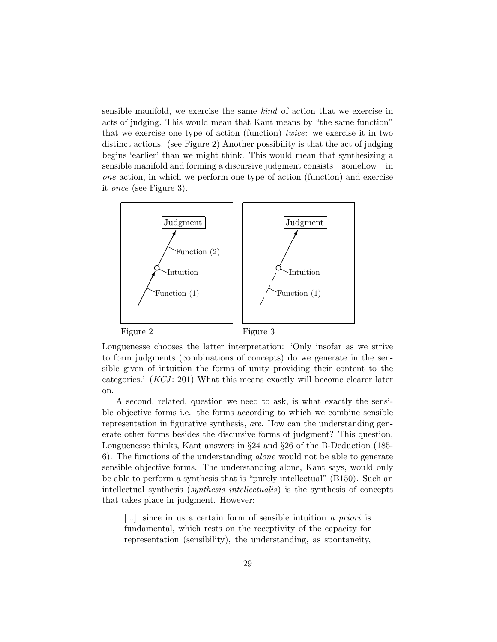sensible manifold, we exercise the same kind of action that we exercise in acts of judging. This would mean that Kant means by "the same function" that we exercise one type of action (function) twice: we exercise it in two distinct actions. (see Figure 2) Another possibility is that the act of judging begins 'earlier' than we might think. This would mean that synthesizing a sensible manifold and forming a discursive judgment consists – somehow – in one action, in which we perform one type of action (function) and exercise it once (see Figure 3).



Longuenesse chooses the latter interpretation: 'Only insofar as we strive to form judgments (combinations of concepts) do we generate in the sensible given of intuition the forms of unity providing their content to the categories.' (*KCJ*: 201) What this means exactly will become clearer later on.

A second, related, question we need to ask, is what exactly the sensible objective forms i.e. the forms according to which we combine sensible representation in figurative synthesis, are. How can the understanding generate other forms besides the discursive forms of judgment? This question, Longuenesse thinks, Kant answers in §24 and §26 of the B-Deduction (185- 6). The functions of the understanding alone would not be able to generate sensible objective forms. The understanding alone, Kant says, would only be able to perform a synthesis that is "purely intellectual" (B150). Such an intellectual synthesis (synthesis intellectualis) is the synthesis of concepts that takes place in judgment. However:

[...] since in us a certain form of sensible intuition a priori is fundamental, which rests on the receptivity of the capacity for representation (sensibility), the understanding, as spontaneity,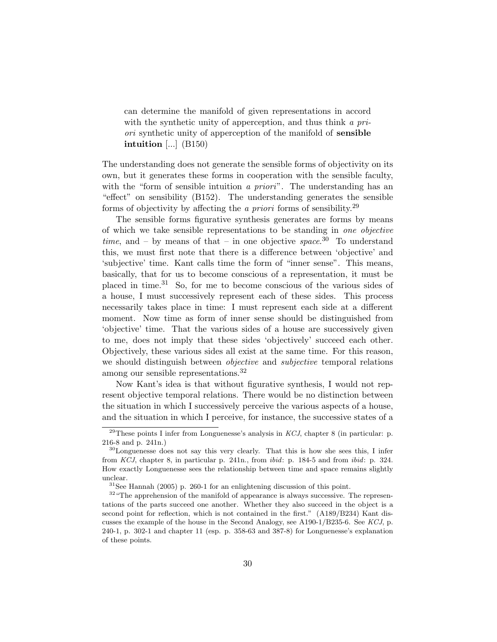can determine the manifold of given representations in accord with the synthetic unity of apperception, and thus think a priori synthetic unity of apperception of the manifold of sensible intuition  $\left[\ldots\right]$  (B150)

The understanding does not generate the sensible forms of objectivity on its own, but it generates these forms in cooperation with the sensible faculty, with the "form of sensible intuition a priori". The understanding has an "effect" on sensibility (B152). The understanding generates the sensible forms of objectivity by affecting the *a priori* forms of sensibility.<sup>29</sup>

The sensible forms figurative synthesis generates are forms by means of which we take sensible representations to be standing in one objective time, and – by means of that – in one objective space.<sup>30</sup> To understand this, we must first note that there is a difference between 'objective' and 'subjective' time. Kant calls time the form of "inner sense". This means, basically, that for us to become conscious of a representation, it must be placed in time.<sup>31</sup> So, for me to become conscious of the various sides of a house, I must successively represent each of these sides. This process necessarily takes place in time: I must represent each side at a different moment. Now time as form of inner sense should be distinguished from 'objective' time. That the various sides of a house are successively given to me, does not imply that these sides 'objectively' succeed each other. Objectively, these various sides all exist at the same time. For this reason, we should distinguish between *objective* and *subjective* temporal relations among our sensible representations.<sup>32</sup>

Now Kant's idea is that without figurative synthesis, I would not represent objective temporal relations. There would be no distinction between the situation in which I successively perceive the various aspects of a house, and the situation in which I perceive, for instance, the successive states of a

<sup>&</sup>lt;sup>29</sup>These points I infer from Longuenesse's analysis in *KCJ*, chapter 8 (in particular: p. 216-8 and p. 241n.)

<sup>30</sup>Longuenesse does not say this very clearly. That this is how she sees this, I infer from KCJ, chapter 8, in particular p. 241n., from ibid: p. 184-5 and from ibid: p. 324. How exactly Longuenesse sees the relationship between time and space remains slightly unclear.

 $31$ See Hannah (2005) p. 260-1 for an enlightening discussion of this point.

<sup>&</sup>lt;sup>32</sup> "The apprehension of the manifold of appearance is always successive. The representations of the parts succeed one another. Whether they also succeed in the object is a second point for reflection, which is not contained in the first." (A189/B234) Kant discusses the example of the house in the Second Analogy, see A190-1/B235-6. See KCJ, p. 240-1, p. 302-1 and chapter 11 (esp. p. 358-63 and 387-8) for Longuenesse's explanation of these points.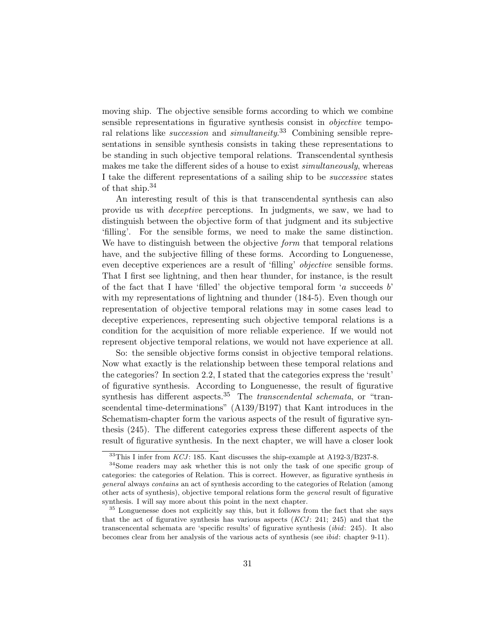moving ship. The objective sensible forms according to which we combine sensible representations in figurative synthesis consist in *objective* temporal relations like *succession* and *simultaneity*.<sup>33</sup> Combining sensible representations in sensible synthesis consists in taking these representations to be standing in such objective temporal relations. Transcendental synthesis makes me take the different sides of a house to exist *simultaneously*, whereas I take the different representations of a sailing ship to be successive states of that ship.<sup>34</sup>

An interesting result of this is that transcendental synthesis can also provide us with deceptive perceptions. In judgments, we saw, we had to distinguish between the objective form of that judgment and its subjective 'filling'. For the sensible forms, we need to make the same distinction. We have to distinguish between the objective *form* that temporal relations have, and the subjective filling of these forms. According to Longuenesse, even deceptive experiences are a result of 'filling' objective sensible forms. That I first see lightning, and then hear thunder, for instance, is the result of the fact that I have 'filled' the objective temporal form 'a succeeds  $b'$ with my representations of lightning and thunder  $(184-5)$ . Even though our representation of objective temporal relations may in some cases lead to deceptive experiences, representing such objective temporal relations is a condition for the acquisition of more reliable experience. If we would not represent objective temporal relations, we would not have experience at all.

So: the sensible objective forms consist in objective temporal relations. Now what exactly is the relationship between these temporal relations and the categories? In section 2.2, I stated that the categories express the 'result' of figurative synthesis. According to Longuenesse, the result of figurative synthesis has different aspects.<sup>35</sup> The *transcendental schemata*, or "transcendental time-determinations" (A139/B197) that Kant introduces in the Schematism-chapter form the various aspects of the result of figurative synthesis (245). The different categories express these different aspects of the result of figurative synthesis. In the next chapter, we will have a closer look

 $33$ This I infer from KCJ: 185. Kant discusses the ship-example at A192-3/B237-8.

<sup>34</sup>Some readers may ask whether this is not only the task of one specific group of categories: the categories of Relation. This is correct. However, as figurative synthesis in general always contains an act of synthesis according to the categories of Relation (among other acts of synthesis), objective temporal relations form the general result of figurative synthesis. I will say more about this point in the next chapter.

<sup>&</sup>lt;sup>35</sup> Longuenesse does not explicitly say this, but it follows from the fact that she says that the act of figurative synthesis has various aspects  $(KCJ: 241; 245)$  and that the transcencental schemata are 'specific results' of figurative synthesis (ibid: 245). It also becomes clear from her analysis of the various acts of synthesis (see ibid: chapter 9-11).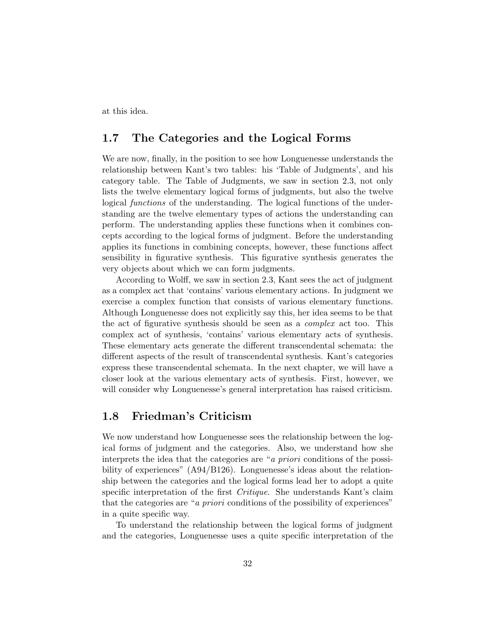at this idea.

#### 1.7 The Categories and the Logical Forms

We are now, finally, in the position to see how Longuenesse understands the relationship between Kant's two tables: his 'Table of Judgments', and his category table. The Table of Judgments, we saw in section 2.3, not only lists the twelve elementary logical forms of judgments, but also the twelve logical functions of the understanding. The logical functions of the understanding are the twelve elementary types of actions the understanding can perform. The understanding applies these functions when it combines concepts according to the logical forms of judgment. Before the understanding applies its functions in combining concepts, however, these functions affect sensibility in figurative synthesis. This figurative synthesis generates the very objects about which we can form judgments.

According to Wolff, we saw in section 2.3, Kant sees the act of judgment as a complex act that 'contains' various elementary actions. In judgment we exercise a complex function that consists of various elementary functions. Although Longuenesse does not explicitly say this, her idea seems to be that the act of figurative synthesis should be seen as a *complex* act too. This complex act of synthesis, 'contains' various elementary acts of synthesis. These elementary acts generate the different transcendental schemata: the different aspects of the result of transcendental synthesis. Kant's categories express these transcendental schemata. In the next chapter, we will have a closer look at the various elementary acts of synthesis. First, however, we will consider why Longuenesse's general interpretation has raised criticism.

#### 1.8 Friedman's Criticism

We now understand how Longuenesse sees the relationship between the logical forms of judgment and the categories. Also, we understand how she interprets the idea that the categories are "a priori conditions of the possibility of experiences" (A94/B126). Longuenesse's ideas about the relationship between the categories and the logical forms lead her to adopt a quite specific interpretation of the first Critique. She understands Kant's claim that the categories are "*a priori* conditions of the possibility of experiences" in a quite specific way.

To understand the relationship between the logical forms of judgment and the categories, Longuenesse uses a quite specific interpretation of the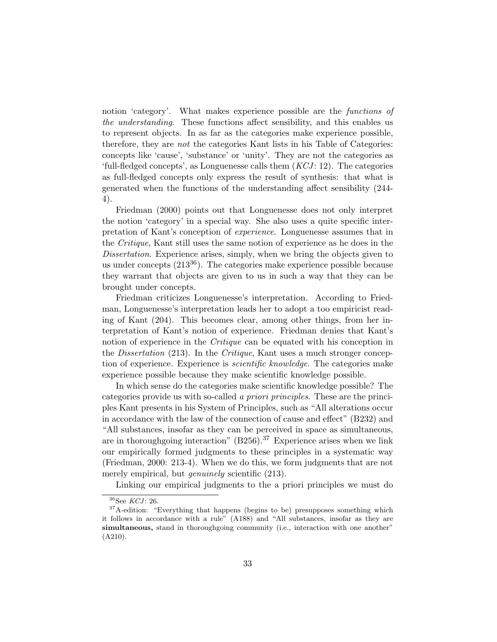notion 'category'. What makes experience possible are the functions of the understanding. These functions affect sensibility, and this enables us to represent objects. In as far as the categories make experience possible, therefore, they are not the categories Kant lists in his Table of Categories: concepts like 'cause', 'substance' or 'unity'. They are not the categories as 'full-fledged concepts', as Longuenesse calls them  $(KCI: 12)$ . The categories as full-fledged concepts only express the result of synthesis: that what is generated when the functions of the understanding affect sensibility (244- 4).

Friedman (2000) points out that Longuenesse does not only interpret the notion 'category' in a special way. She also uses a quite specific interpretation of Kant's conception of experience. Longuenesse assumes that in the Critique, Kant still uses the same notion of experience as he does in the Dissertation. Experience arises, simply, when we bring the objects given to us under concepts  $(213^{36})$ . The categories make experience possible because they warrant that objects are given to us in such a way that they can be brought under concepts.

Friedman criticizes Longuenesse's interpretation. According to Friedman, Longuenesse's interpretation leads her to adopt a too empiricist reading of Kant (204). This becomes clear, among other things, from her interpretation of Kant's notion of experience. Friedman denies that Kant's notion of experience in the *Critique* can be equated with his conception in the *Dissertation* (213). In the *Critique*, Kant uses a much stronger conception of experience. Experience is *scientific knowledge*. The categories make experience possible because they make scientific knowledge possible.

In which sense do the categories make scientific knowledge possible? The categories provide us with so-called a priori principles. These are the principles Kant presents in his System of Principles, such as "All alterations occur in accordance with the law of the connection of cause and effect" (B232) and "All substances, insofar as they can be perceived in space as simultaneous, are in thoroughgoing interaction" (B256).<sup>37</sup> Experience arises when we link our empirically formed judgments to these principles in a systematic way (Friedman, 2000: 213-4). When we do this, we form judgments that are not merely empirical, but *genuinely* scientific  $(213)$ .

Linking our empirical judgments to the a priori principles we must do

 $36$ See KCJ: 26.

<sup>&</sup>lt;sup>37</sup>A-edition: "Everything that happens (begins to be) presupposes something which it follows in accordance with a rule" (A188) and "All substances, insofar as they are simultaneous, stand in thoroughgoing community (i.e., interaction with one another" (A210).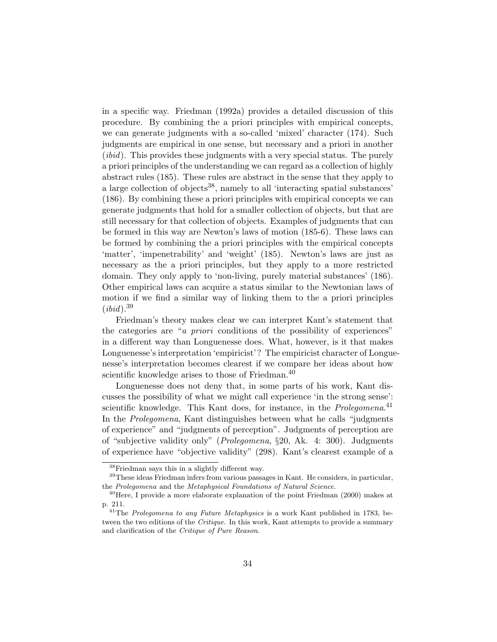in a specific way. Friedman (1992a) provides a detailed discussion of this procedure. By combining the a priori principles with empirical concepts, we can generate judgments with a so-called 'mixed' character (174). Such judgments are empirical in one sense, but necessary and a priori in another (*ibid*). This provides these judgments with a very special status. The purely a priori principles of the understanding we can regard as a collection of highly abstract rules (185). These rules are abstract in the sense that they apply to a large collection of objects<sup>38</sup>, namely to all 'interacting spatial substances' (186). By combining these a priori principles with empirical concepts we can generate judgments that hold for a smaller collection of objects, but that are still necessary for that collection of objects. Examples of judgments that can be formed in this way are Newton's laws of motion (185-6). These laws can be formed by combining the a priori principles with the empirical concepts 'matter', 'impenetrability' and 'weight' (185). Newton's laws are just as necessary as the a priori principles, but they apply to a more restricted domain. They only apply to 'non-living, purely material substances' (186). Other empirical laws can acquire a status similar to the Newtonian laws of motion if we find a similar way of linking them to the a priori principles  $(ibid).^{39}$ 

Friedman's theory makes clear we can interpret Kant's statement that the categories are "a priori conditions of the possibility of experiences" in a different way than Longuenesse does. What, however, is it that makes Longuenesse's interpretation 'empiricist'? The empiricist character of Longuenesse's interpretation becomes clearest if we compare her ideas about how scientific knowledge arises to those of Friedman.<sup>40</sup>

Longuenesse does not deny that, in some parts of his work, Kant discusses the possibility of what we might call experience 'in the strong sense': scientific knowledge. This Kant does, for instance, in the *Prolegomena*.<sup>41</sup> In the Prolegomena, Kant distinguishes between what he calls "judgments of experience" and "judgments of perception". Judgments of perception are of "subjective validity only" (Prolegomena, §20, Ak. 4: 300). Judgments of experience have "objective validity" (298). Kant's clearest example of a

<sup>38</sup>Friedman says this in a slightly different way.

<sup>39</sup>These ideas Friedman infers from various passages in Kant. He considers, in particular, the Prolegomena and the Metaphysical Foundations of Natural Science.

<sup>40</sup>Here, I provide a more elaborate explanation of the point Friedman (2000) makes at p. 211.

<sup>&</sup>lt;sup>41</sup>The Prolegomena to any Future Metaphysics is a work Kant published in 1783, between the two editions of the Critique. In this work, Kant attempts to provide a summary and clarification of the Critique of Pure Reason.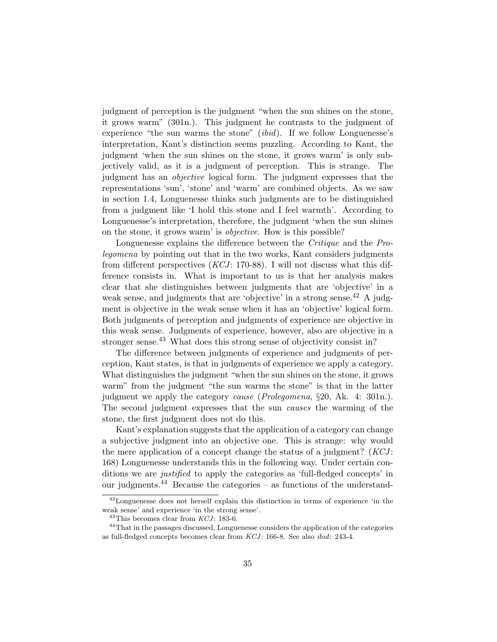judgment of perception is the judgment "when the sun shines on the stone, it grows warm" (301n.). This judgment he contrasts to the judgment of experience "the sun warms the stone" (ibid). If we follow Longuenesse's interpretation, Kant's distinction seems puzzling. According to Kant, the judgment 'when the sun shines on the stone, it grows warm' is only subjectively valid, as it is a judgment of perception. This is strange. The judgment has an objective logical form. The judgment expresses that the representations 'sun', 'stone' and 'warm' are combined objects. As we saw in section 1.4, Longuenesse thinks such judgments are to be distinguished from a judgment like 'I hold this stone and I feel warmth'. According to Longuenesse's interpretation, therefore, the judgment 'when the sun shines on the stone, it grows warm' is objective. How is this possible?

Longuenesse explains the difference between the *Critique* and the *Pro*legomena by pointing out that in the two works, Kant considers judgments from different perspectives  $(KCI: 170-88)$ . I will not discuss what this difference consists in. What is important to us is that her analysis makes clear that she distinguishes between judgments that are 'objective' in a weak sense, and judgments that are 'objective' in a strong sense.<sup>42</sup> A judgment is objective in the weak sense when it has an 'objective' logical form. Both judgments of perception and judgments of experience are objective in this weak sense. Judgments of experience, however, also are objective in a stronger sense.<sup>43</sup> What does this strong sense of objectivity consist in?

The difference between judgments of experience and judgments of perception, Kant states, is that in judgments of experience we apply a category. What distinguishes the judgment "when the sun shines on the stone, it grows warm" from the judgment "the sun warms the stone" is that in the latter judgment we apply the category cause (Prolegomena, §20, Ak. 4: 301n.). The second judgment expresses that the sun causes the warming of the stone, the first judgment does not do this.

Kant's explanation suggests that the application of a category can change a subjective judgment into an objective one. This is strange: why would the mere application of a concept change the status of a judgment?  $(KCI:$ 168) Longuenesse understands this in the following way. Under certain conditions we are justified to apply the categories as 'full-fledged concepts' in our judgments.<sup>44</sup> Because the categories – as functions of the understand-

<sup>42</sup>Longuenesse does not herself explain this distinction in terms of experience 'in the weak sense' and experience 'in the strong sense'.

 $43$ This becomes clear from  $KCI$ : 183-6.

<sup>&</sup>lt;sup>44</sup>That in the passages discussed, Longuenesse considers the application of the categories as full-fledged concepts becomes clear from  $KCJ$ : 166-8. See also *ibid*: 243-4.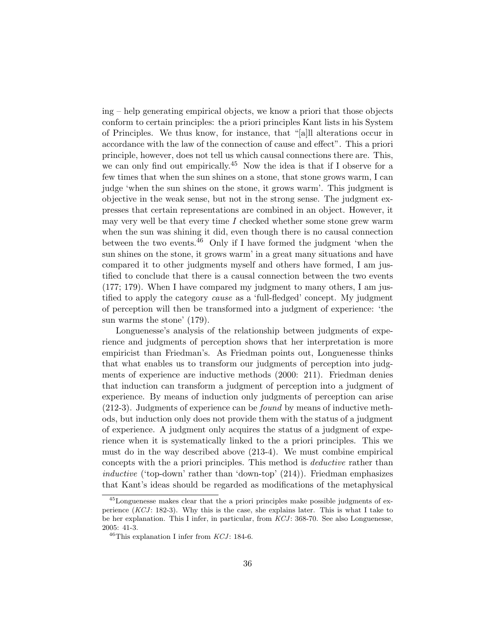ing – help generating empirical objects, we know a priori that those objects conform to certain principles: the a priori principles Kant lists in his System of Principles. We thus know, for instance, that "[a]ll alterations occur in accordance with the law of the connection of cause and effect". This a priori principle, however, does not tell us which causal connections there are. This, we can only find out empirically.<sup>45</sup> Now the idea is that if I observe for a few times that when the sun shines on a stone, that stone grows warm, I can judge 'when the sun shines on the stone, it grows warm'. This judgment is objective in the weak sense, but not in the strong sense. The judgment expresses that certain representations are combined in an object. However, it may very well be that every time  $I$  checked whether some stone grew warm when the sun was shining it did, even though there is no causal connection between the two events.<sup>46</sup> Only if I have formed the judgment 'when the sun shines on the stone, it grows warm' in a great many situations and have compared it to other judgments myself and others have formed, I am justified to conclude that there is a causal connection between the two events (177; 179). When I have compared my judgment to many others, I am justified to apply the category cause as a 'full-fledged' concept. My judgment of perception will then be transformed into a judgment of experience: 'the sun warms the stone' (179).

Longuenesse's analysis of the relationship between judgments of experience and judgments of perception shows that her interpretation is more empiricist than Friedman's. As Friedman points out, Longuenesse thinks that what enables us to transform our judgments of perception into judgments of experience are inductive methods (2000: 211). Friedman denies that induction can transform a judgment of perception into a judgment of experience. By means of induction only judgments of perception can arise (212-3). Judgments of experience can be found by means of inductive methods, but induction only does not provide them with the status of a judgment of experience. A judgment only acquires the status of a judgment of experience when it is systematically linked to the a priori principles. This we must do in the way described above (213-4). We must combine empirical concepts with the a priori principles. This method is deductive rather than inductive ('top-down' rather than 'down-top' (214)). Friedman emphasizes that Kant's ideas should be regarded as modifications of the metaphysical

<sup>45</sup>Longuenesse makes clear that the a priori principles make possible judgments of experience  $(KCI: 182-3)$ . Why this is the case, she explains later. This is what I take to be her explanation. This I infer, in particular, from  $KCI$ : 368-70. See also Longuenesse, 2005: 41-3.

 $46$ This explanation I infer from KCJ: 184-6.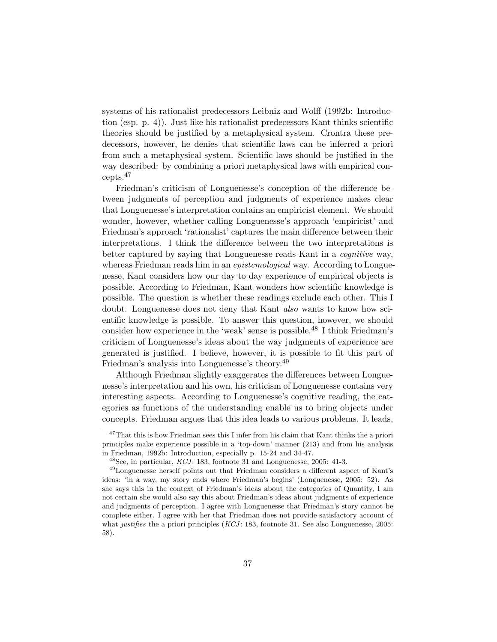systems of his rationalist predecessors Leibniz and Wolff (1992b: Introduction (esp. p. 4)). Just like his rationalist predecessors Kant thinks scientific theories should be justified by a metaphysical system. Crontra these predecessors, however, he denies that scientific laws can be inferred a priori from such a metaphysical system. Scientific laws should be justified in the way described: by combining a priori metaphysical laws with empirical concepts.<sup>47</sup>

Friedman's criticism of Longuenesse's conception of the difference between judgments of perception and judgments of experience makes clear that Longuenesse's interpretation contains an empiricist element. We should wonder, however, whether calling Longuenesse's approach 'empiricist' and Friedman's approach 'rationalist' captures the main difference between their interpretations. I think the difference between the two interpretations is better captured by saying that Longuenesse reads Kant in a cognitive way, whereas Friedman reads him in an *epistemological* way. According to Longuenesse, Kant considers how our day to day experience of empirical objects is possible. According to Friedman, Kant wonders how scientific knowledge is possible. The question is whether these readings exclude each other. This I doubt. Longuenesse does not deny that Kant also wants to know how scientific knowledge is possible. To answer this question, however, we should consider how experience in the 'weak' sense is possible.<sup>48</sup> I think Friedman's criticism of Longuenesse's ideas about the way judgments of experience are generated is justified. I believe, however, it is possible to fit this part of Friedman's analysis into Longuenesse's theory.<sup>49</sup>

Although Friedman slightly exaggerates the differences between Longuenesse's interpretation and his own, his criticism of Longuenesse contains very interesting aspects. According to Longuenesse's cognitive reading, the categories as functions of the understanding enable us to bring objects under concepts. Friedman argues that this idea leads to various problems. It leads,

<sup>&</sup>lt;sup>47</sup>That this is how Friedman sees this I infer from his claim that Kant thinks the a priori principles make experience possible in a 'top-down' manner (213) and from his analysis in Friedman, 1992b: Introduction, especially p. 15-24 and 34-47.

 $^{48}$  See, in particular,  $\emph{KCJ: }$  183, footnote 31 and Longuenesse, 2005: 41-3.

<sup>49</sup>Longuenesse herself points out that Friedman considers a different aspect of Kant's ideas: 'in a way, my story ends where Friedman's begins' (Longuenesse, 2005: 52). As she says this in the context of Friedman's ideas about the categories of Quantity, I am not certain she would also say this about Friedman's ideas about judgments of experience and judgments of perception. I agree with Longuenesse that Friedman's story cannot be complete either. I agree with her that Friedman does not provide satisfactory account of what justifies the a priori principles  $(KCJ: 183, 6$  other 31. See also Longuenesse, 2005: 58).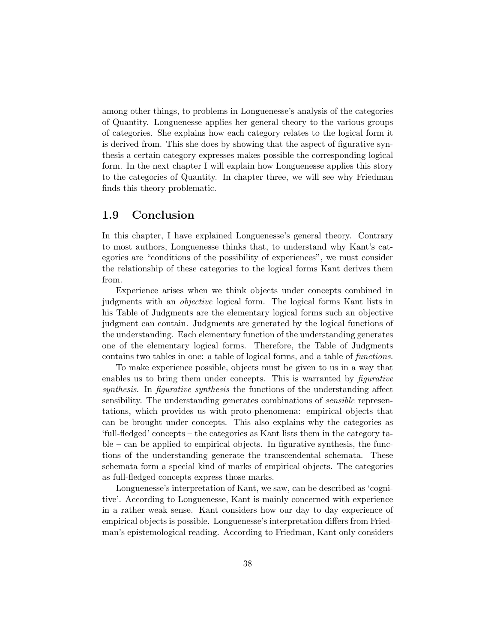among other things, to problems in Longuenesse's analysis of the categories of Quantity. Longuenesse applies her general theory to the various groups of categories. She explains how each category relates to the logical form it is derived from. This she does by showing that the aspect of figurative synthesis a certain category expresses makes possible the corresponding logical form. In the next chapter I will explain how Longuenesse applies this story to the categories of Quantity. In chapter three, we will see why Friedman finds this theory problematic.

## 1.9 Conclusion

In this chapter, I have explained Longuenesse's general theory. Contrary to most authors, Longuenesse thinks that, to understand why Kant's categories are "conditions of the possibility of experiences", we must consider the relationship of these categories to the logical forms Kant derives them from.

Experience arises when we think objects under concepts combined in judgments with an objective logical form. The logical forms Kant lists in his Table of Judgments are the elementary logical forms such an objective judgment can contain. Judgments are generated by the logical functions of the understanding. Each elementary function of the understanding generates one of the elementary logical forms. Therefore, the Table of Judgments contains two tables in one: a table of logical forms, and a table of functions.

To make experience possible, objects must be given to us in a way that enables us to bring them under concepts. This is warranted by *figurative* synthesis. In figurative synthesis the functions of the understanding affect sensibility. The understanding generates combinations of sensible representations, which provides us with proto-phenomena: empirical objects that can be brought under concepts. This also explains why the categories as 'full-fledged' concepts – the categories as Kant lists them in the category table – can be applied to empirical objects. In figurative synthesis, the functions of the understanding generate the transcendental schemata. These schemata form a special kind of marks of empirical objects. The categories as full-fledged concepts express those marks.

Longuenesse's interpretation of Kant, we saw, can be described as 'cognitive'. According to Longuenesse, Kant is mainly concerned with experience in a rather weak sense. Kant considers how our day to day experience of empirical objects is possible. Longuenesse's interpretation differs from Friedman's epistemological reading. According to Friedman, Kant only considers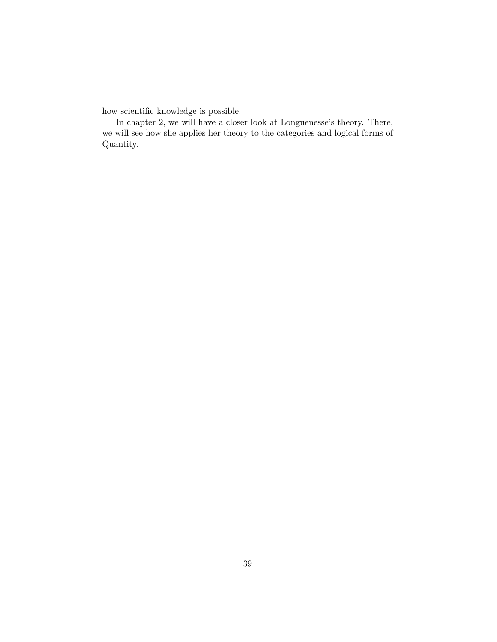how scientific knowledge is possible.

In chapter 2, we will have a closer look at Longuenesse's theory. There, we will see how she applies her theory to the categories and logical forms of Quantity.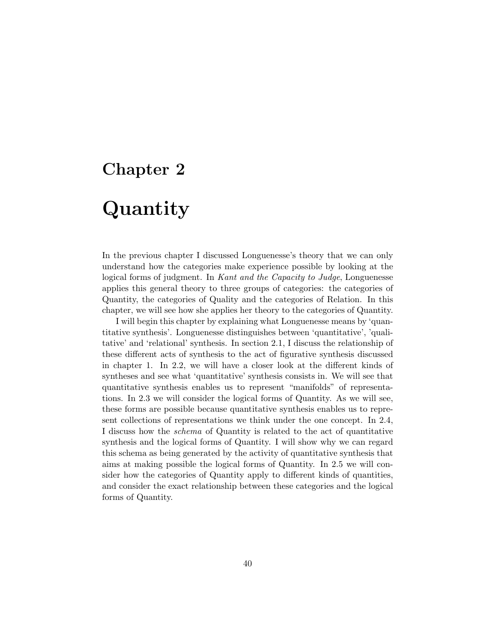## Chapter 2

# Quantity

In the previous chapter I discussed Longuenesse's theory that we can only understand how the categories make experience possible by looking at the logical forms of judgment. In Kant and the Capacity to Judge, Longuenesse applies this general theory to three groups of categories: the categories of Quantity, the categories of Quality and the categories of Relation. In this chapter, we will see how she applies her theory to the categories of Quantity.

I will begin this chapter by explaining what Longuenesse means by 'quantitative synthesis'. Longuenesse distinguishes between 'quantitative', 'qualitative' and 'relational' synthesis. In section 2.1, I discuss the relationship of these different acts of synthesis to the act of figurative synthesis discussed in chapter 1. In 2.2, we will have a closer look at the different kinds of syntheses and see what 'quantitative' synthesis consists in. We will see that quantitative synthesis enables us to represent "manifolds" of representations. In 2.3 we will consider the logical forms of Quantity. As we will see, these forms are possible because quantitative synthesis enables us to represent collections of representations we think under the one concept. In 2.4, I discuss how the schema of Quantity is related to the act of quantitative synthesis and the logical forms of Quantity. I will show why we can regard this schema as being generated by the activity of quantitative synthesis that aims at making possible the logical forms of Quantity. In 2.5 we will consider how the categories of Quantity apply to different kinds of quantities, and consider the exact relationship between these categories and the logical forms of Quantity.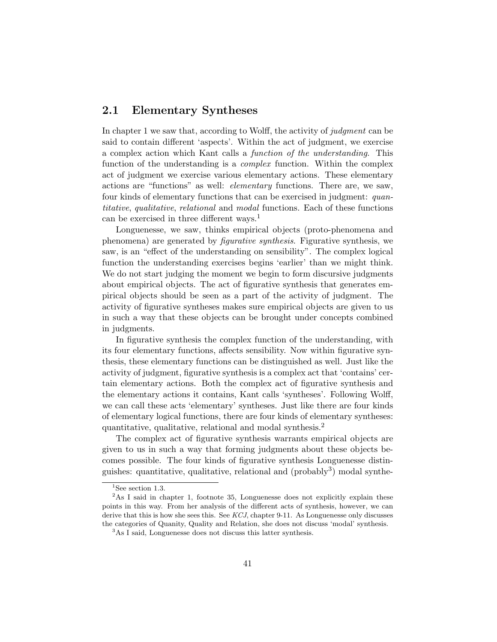## 2.1 Elementary Syntheses

In chapter 1 we saw that, according to Wolff, the activity of judgment can be said to contain different 'aspects'. Within the act of judgment, we exercise a complex action which Kant calls a function of the understanding. This function of the understanding is a *complex* function. Within the complex act of judgment we exercise various elementary actions. These elementary actions are "functions" as well: elementary functions. There are, we saw, four kinds of elementary functions that can be exercised in judgment: quantitative, qualitative, relational and modal functions. Each of these functions can be exercised in three different ways.<sup>1</sup>

Longuenesse, we saw, thinks empirical objects (proto-phenomena and phenomena) are generated by figurative synthesis. Figurative synthesis, we saw, is an "effect of the understanding on sensibility". The complex logical function the understanding exercises begins 'earlier' than we might think. We do not start judging the moment we begin to form discursive judgments about empirical objects. The act of figurative synthesis that generates empirical objects should be seen as a part of the activity of judgment. The activity of figurative syntheses makes sure empirical objects are given to us in such a way that these objects can be brought under concepts combined in judgments.

In figurative synthesis the complex function of the understanding, with its four elementary functions, affects sensibility. Now within figurative synthesis, these elementary functions can be distinguished as well. Just like the activity of judgment, figurative synthesis is a complex act that 'contains' certain elementary actions. Both the complex act of figurative synthesis and the elementary actions it contains, Kant calls 'syntheses'. Following Wolff, we can call these acts 'elementary' syntheses. Just like there are four kinds of elementary logical functions, there are four kinds of elementary syntheses: quantitative, qualitative, relational and modal synthesis.<sup>2</sup>

The complex act of figurative synthesis warrants empirical objects are given to us in such a way that forming judgments about these objects becomes possible. The four kinds of figurative synthesis Longuenesse distinguishes: quantitative, qualitative, relational and (probably<sup>3</sup>) modal synthe-

 $1$ See section 1.3.

<sup>&</sup>lt;sup>2</sup>As I said in chapter 1, footnote 35, Longuenesse does not explicitly explain these points in this way. From her analysis of the different acts of synthesis, however, we can derive that this is how she sees this. See  $KCI$ , chapter 9-11. As Longuenesse only discusses the categories of Quanity, Quality and Relation, she does not discuss 'modal' synthesis.

<sup>&</sup>lt;sup>3</sup>As I said, Longuenesse does not discuss this latter synthesis.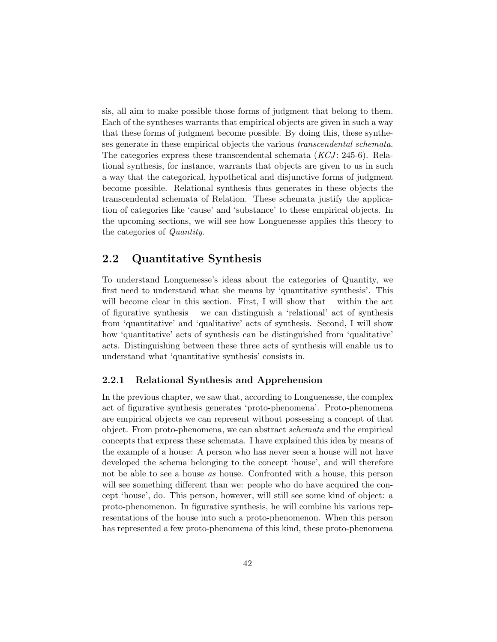sis, all aim to make possible those forms of judgment that belong to them. Each of the syntheses warrants that empirical objects are given in such a way that these forms of judgment become possible. By doing this, these syntheses generate in these empirical objects the various transcendental schemata. The categories express these transcendental schemata  $(KCI: 245-6)$ . Relational synthesis, for instance, warrants that objects are given to us in such a way that the categorical, hypothetical and disjunctive forms of judgment become possible. Relational synthesis thus generates in these objects the transcendental schemata of Relation. These schemata justify the application of categories like 'cause' and 'substance' to these empirical objects. In the upcoming sections, we will see how Longuenesse applies this theory to the categories of Quantity.

### 2.2 Quantitative Synthesis

To understand Longuenesse's ideas about the categories of Quantity, we first need to understand what she means by 'quantitative synthesis'. This will become clear in this section. First, I will show that – within the act of figurative synthesis – we can distinguish a 'relational' act of synthesis from 'quantitative' and 'qualitative' acts of synthesis. Second, I will show how 'quantitative' acts of synthesis can be distinguished from 'qualitative' acts. Distinguishing between these three acts of synthesis will enable us to understand what 'quantitative synthesis' consists in.

#### 2.2.1 Relational Synthesis and Apprehension

In the previous chapter, we saw that, according to Longuenesse, the complex act of figurative synthesis generates 'proto-phenomena'. Proto-phenomena are empirical objects we can represent without possessing a concept of that object. From proto-phenomena, we can abstract schemata and the empirical concepts that express these schemata. I have explained this idea by means of the example of a house: A person who has never seen a house will not have developed the schema belonging to the concept 'house', and will therefore not be able to see a house as house. Confronted with a house, this person will see something different than we: people who do have acquired the concept 'house', do. This person, however, will still see some kind of object: a proto-phenomenon. In figurative synthesis, he will combine his various representations of the house into such a proto-phenomenon. When this person has represented a few proto-phenomena of this kind, these proto-phenomena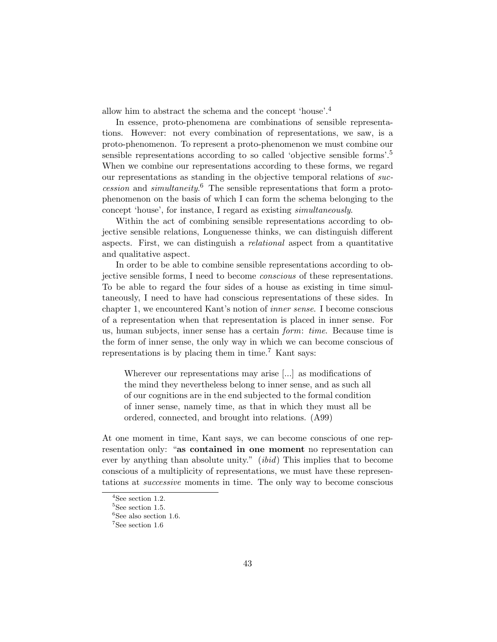allow him to abstract the schema and the concept 'house'.<sup>4</sup>

In essence, proto-phenomena are combinations of sensible representations. However: not every combination of representations, we saw, is a proto-phenomenon. To represent a proto-phenomenon we must combine our sensible representations according to so called 'objective sensible forms'.<sup>5</sup> When we combine our representations according to these forms, we regard our representations as standing in the objective temporal relations of succession and simultaneity. <sup>6</sup> The sensible representations that form a protophenomenon on the basis of which I can form the schema belonging to the concept 'house', for instance, I regard as existing simultaneously.

Within the act of combining sensible representations according to objective sensible relations, Longuenesse thinks, we can distinguish different aspects. First, we can distinguish a relational aspect from a quantitative and qualitative aspect.

In order to be able to combine sensible representations according to objective sensible forms, I need to become conscious of these representations. To be able to regard the four sides of a house as existing in time simultaneously, I need to have had conscious representations of these sides. In chapter 1, we encountered Kant's notion of inner sense. I become conscious of a representation when that representation is placed in inner sense. For us, human subjects, inner sense has a certain form: time. Because time is the form of inner sense, the only way in which we can become conscious of representations is by placing them in time.<sup>7</sup> Kant says:

Wherever our representations may arise [...] as modifications of the mind they nevertheless belong to inner sense, and as such all of our cognitions are in the end subjected to the formal condition of inner sense, namely time, as that in which they must all be ordered, connected, and brought into relations. (A99)

At one moment in time, Kant says, we can become conscious of one representation only: "as contained in one moment no representation can ever by anything than absolute unity." (ibid) This implies that to become conscious of a multiplicity of representations, we must have these representations at successive moments in time. The only way to become conscious

<sup>4</sup>See section 1.2.

 ${}^{5}$ See section 1.5.

 ${}^{6}$ See also section 1.6.

<sup>7</sup>See section 1.6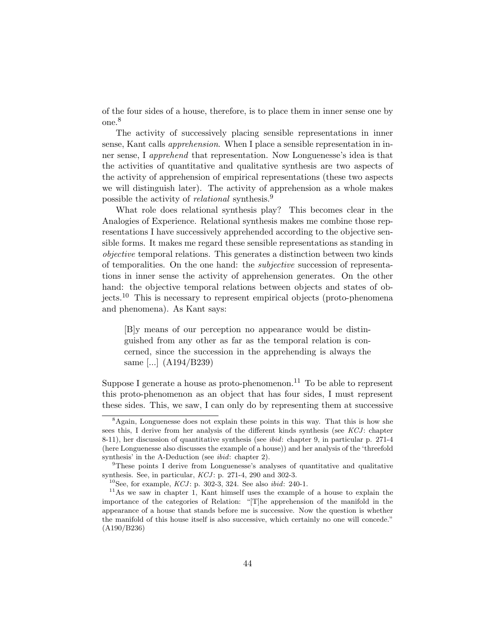of the four sides of a house, therefore, is to place them in inner sense one by one.<sup>8</sup>

The activity of successively placing sensible representations in inner sense, Kant calls apprehension. When I place a sensible representation in inner sense, I *apprehend* that representation. Now Longuenesse's idea is that the activities of quantitative and qualitative synthesis are two aspects of the activity of apprehension of empirical representations (these two aspects we will distinguish later). The activity of apprehension as a whole makes possible the activity of *relational* synthesis.<sup>9</sup>

What role does relational synthesis play? This becomes clear in the Analogies of Experience. Relational synthesis makes me combine those representations I have successively apprehended according to the objective sensible forms. It makes me regard these sensible representations as standing in objective temporal relations. This generates a distinction between two kinds of temporalities. On the one hand: the subjective succession of representations in inner sense the activity of apprehension generates. On the other hand: the objective temporal relations between objects and states of objects.<sup>10</sup> This is necessary to represent empirical objects (proto-phenomena and phenomena). As Kant says:

[B]y means of our perception no appearance would be distinguished from any other as far as the temporal relation is concerned, since the succession in the apprehending is always the same [...] (A194/B239)

Suppose I generate a house as proto-phenomenon.<sup>11</sup> To be able to represent this proto-phenomenon as an object that has four sides, I must represent these sides. This, we saw, I can only do by representing them at successive

<sup>8</sup>Again, Longuenesse does not explain these points in this way. That this is how she sees this, I derive from her analysis of the different kinds synthesis (see KCJ: chapter 8-11), her discussion of quantitative synthesis (see ibid: chapter 9, in particular p. 271-4 (here Longuenesse also discusses the example of a house)) and her analysis of the 'threefold synthesis' in the A-Deduction (see ibid: chapter 2).

<sup>9</sup>These points I derive from Longuenesse's analyses of quantitative and qualitative synthesis. See, in particular,  $KCJ$ : p. 271-4, 290 and 302-3.

<sup>&</sup>lt;sup>10</sup>See, for example,  $KCJ$ : p. 302-3, 324. See also *ibid*: 240-1.

<sup>11</sup>As we saw in chapter 1, Kant himself uses the example of a house to explain the importance of the categories of Relation: "[T]he apprehension of the manifold in the appearance of a house that stands before me is successive. Now the question is whether the manifold of this house itself is also successive, which certainly no one will concede." (A190/B236)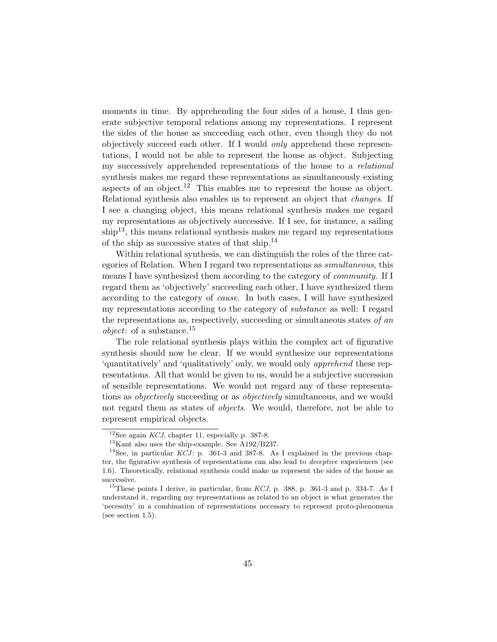moments in time. By apprehending the four sides of a house, I thus generate subjective temporal relations among my representations. I represent the sides of the house as succeeding each other, even though they do not objectively succeed each other. If I would only apprehend these representations, I would not be able to represent the house as object. Subjecting my successively apprehended representations of the house to a relational synthesis makes me regard these representations as simultaneously existing aspects of an object.<sup>12</sup> This enables me to represent the house as object. Relational synthesis also enables us to represent an object that *changes*. If I see a changing object, this means relational synthesis makes me regard my representations as objectively successive. If I see, for instance, a sailing  $\sinh^{-13}$ , this means relational synthesis makes me regard my representations of the ship as successive states of that ship.<sup>14</sup>

Within relational synthesis, we can distinguish the roles of the three categories of Relation. When I regard two representations as simultaneous, this means I have synthesized them according to the category of *community*. If I regard them as 'objectively' succeeding each other, I have synthesized them according to the category of cause. In both cases, I will have synthesized my representations according to the category of *substance* as well: I regard the representations as, respectively, succeeding or simultaneous states of an *object*: of a substance.<sup>15</sup>

The role relational synthesis plays within the complex act of figurative synthesis should now be clear. If we would synthesize our representations 'quantitatively' and 'qualitatively' only, we would only apprehend these representations. All that would be given to us, would be a subjective succession of sensible representations. We would not regard any of these representations as objectively succeeding or as objectively simultaneous, and we would not regard them as states of objects. We would, therefore, not be able to represent empirical objects.

<sup>&</sup>lt;sup>12</sup>See again *KCJ*, chapter 11, especially p. 387-8.

<sup>13</sup>Kant also uses the ship-example. See A192/B237.

<sup>&</sup>lt;sup>14</sup>See, in particular  $KCJ$ : p. 361-3 and 387-8. As I explained in the previous chapter, the figurative synthesis of representations can also lead to deceptive experiences (see 1.6). Theoretically, relational synthesis could make us represent the sides of the house as successive.

 $^{15}$ These points I derive, in particular, from KCJ, p. 388, p. 361-3 and p. 334-7. As I understand it, regarding my representations as related to an object is what generates the 'necessity' in a combination of representations necessary to represent proto-phenomena (see section 1.5).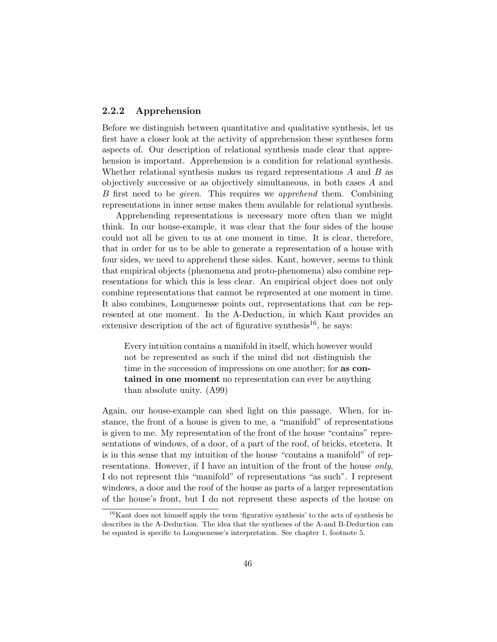#### 2.2.2 Apprehension

Before we distinguish between quantitative and qualitative synthesis, let us first have a closer look at the activity of apprehension these syntheses form aspects of. Our description of relational synthesis made clear that apprehension is important. Apprehension is a condition for relational synthesis. Whether relational synthesis makes us regard representations  $A$  and  $B$  as objectively successive or as objectively simultaneous, in both cases A and B first need to be *given*. This requires we *apprehend* them. Combining representations in inner sense makes them available for relational synthesis.

Apprehending representations is necessary more often than we might think. In our house-example, it was clear that the four sides of the house could not all be given to us at one moment in time. It is clear, therefore, that in order for us to be able to generate a representation of a house with four sides, we need to apprehend these sides. Kant, however, seems to think that empirical objects (phenomena and proto-phenomena) also combine representations for which this is less clear. An empirical object does not only combine representations that cannot be represented at one moment in time. It also combines, Longuenesse points out, representations that can be represented at one moment. In the A-Deduction, in which Kant provides an extensive description of the act of figurative synthesis<sup>16</sup>, he says:

Every intuition contains a manifold in itself, which however would not be represented as such if the mind did not distinguish the time in the succession of impressions on one another; for as contained in one moment no representation can ever be anything than absolute unity. (A99)

Again, our house-example can shed light on this passage. When, for instance, the front of a house is given to me, a "manifold" of representations is given to me. My representation of the front of the house "contains" representations of windows, of a door, of a part of the roof, of bricks, etcetera. It is in this sense that my intuition of the house "contains a manifold" of representations. However, if I have an intuition of the front of the house only, I do not represent this "manifold" of representations "as such". I represent windows, a door and the roof of the house as parts of a larger representation of the house's front, but I do not represent these aspects of the house on

 $16$ Kant does not himself apply the term 'figurative synthesis' to the acts of synthesis he describes in the A-Deduction. The idea that the syntheses of the A-and B-Deduction can be equated is specific to Longuenesse's interpretation. See chapter 1, footnote 5.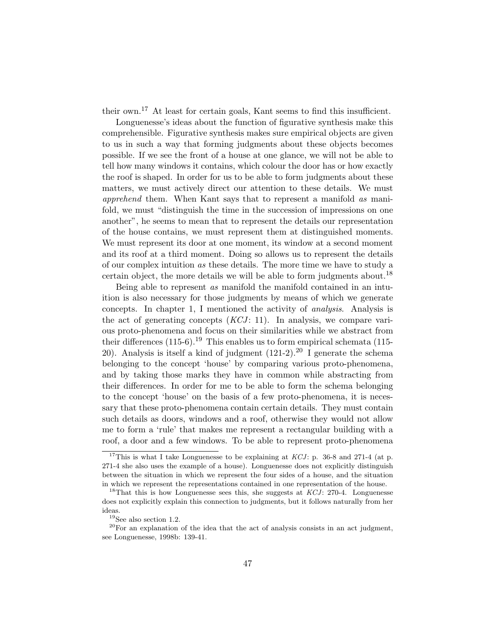their own.<sup>17</sup> At least for certain goals, Kant seems to find this insufficient.

Longuenesse's ideas about the function of figurative synthesis make this comprehensible. Figurative synthesis makes sure empirical objects are given to us in such a way that forming judgments about these objects becomes possible. If we see the front of a house at one glance, we will not be able to tell how many windows it contains, which colour the door has or how exactly the roof is shaped. In order for us to be able to form judgments about these matters, we must actively direct our attention to these details. We must apprehend them. When Kant says that to represent a manifold as manifold, we must "distinguish the time in the succession of impressions on one another", he seems to mean that to represent the details our representation of the house contains, we must represent them at distinguished moments. We must represent its door at one moment, its window at a second moment and its roof at a third moment. Doing so allows us to represent the details of our complex intuition as these details. The more time we have to study a certain object, the more details we will be able to form judgments about.<sup>18</sup>

Being able to represent as manifold the manifold contained in an intuition is also necessary for those judgments by means of which we generate concepts. In chapter 1, I mentioned the activity of analysis. Analysis is the act of generating concepts  $(KCI: 11)$ . In analysis, we compare various proto-phenomena and focus on their similarities while we abstract from their differences  $(115-6)$ .<sup>19</sup> This enables us to form empirical schemata (115-20). Analysis is itself a kind of judgment  $(121-2)$ .<sup>20</sup> I generate the schema belonging to the concept 'house' by comparing various proto-phenomena, and by taking those marks they have in common while abstracting from their differences. In order for me to be able to form the schema belonging to the concept 'house' on the basis of a few proto-phenomena, it is necessary that these proto-phenomena contain certain details. They must contain such details as doors, windows and a roof, otherwise they would not allow me to form a 'rule' that makes me represent a rectangular building with a roof, a door and a few windows. To be able to represent proto-phenomena

<sup>&</sup>lt;sup>17</sup>This is what I take Longuenesse to be explaining at  $KCJ$ : p. 36-8 and 271-4 (at p. 271-4 she also uses the example of a house). Longuenesse does not explicitly distinguish between the situation in which we represent the four sides of a house, and the situation in which we represent the representations contained in one representation of the house.

<sup>&</sup>lt;sup>18</sup>That this is how Longuenesse sees this, she suggests at  $KCJ$ : 270-4. Longuenesse does not explicitly explain this connection to judgments, but it follows naturally from her ideas.

 $^{19}\mathrm{See}$  also section 1.2.

 $20$  For an explanation of the idea that the act of analysis consists in an act judgment, see Longuenesse, 1998b: 139-41.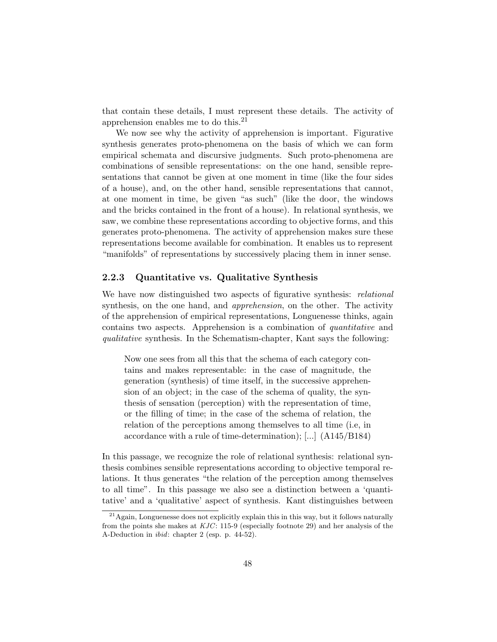that contain these details, I must represent these details. The activity of apprehension enables me to do this.<sup>21</sup>

We now see why the activity of apprehension is important. Figurative synthesis generates proto-phenomena on the basis of which we can form empirical schemata and discursive judgments. Such proto-phenomena are combinations of sensible representations: on the one hand, sensible representations that cannot be given at one moment in time (like the four sides of a house), and, on the other hand, sensible representations that cannot, at one moment in time, be given "as such" (like the door, the windows and the bricks contained in the front of a house). In relational synthesis, we saw, we combine these representations according to objective forms, and this generates proto-phenomena. The activity of apprehension makes sure these representations become available for combination. It enables us to represent "manifolds" of representations by successively placing them in inner sense.

#### 2.2.3 Quantitative vs. Qualitative Synthesis

We have now distinguished two aspects of figurative synthesis: *relational* synthesis, on the one hand, and apprehension, on the other. The activity of the apprehension of empirical representations, Longuenesse thinks, again contains two aspects. Apprehension is a combination of quantitative and qualitative synthesis. In the Schematism-chapter, Kant says the following:

Now one sees from all this that the schema of each category contains and makes representable: in the case of magnitude, the generation (synthesis) of time itself, in the successive apprehension of an object; in the case of the schema of quality, the synthesis of sensation (perception) with the representation of time, or the filling of time; in the case of the schema of relation, the relation of the perceptions among themselves to all time (i.e, in accordance with a rule of time-determination); [...] (A145/B184)

In this passage, we recognize the role of relational synthesis: relational synthesis combines sensible representations according to objective temporal relations. It thus generates "the relation of the perception among themselves to all time". In this passage we also see a distinction between a 'quantitative' and a 'qualitative' aspect of synthesis. Kant distinguishes between

 $21$ Again, Longuenesse does not explicitly explain this in this way, but it follows naturally from the points she makes at KJC: 115-9 (especially footnote 29) and her analysis of the A-Deduction in ibid: chapter 2 (esp. p. 44-52).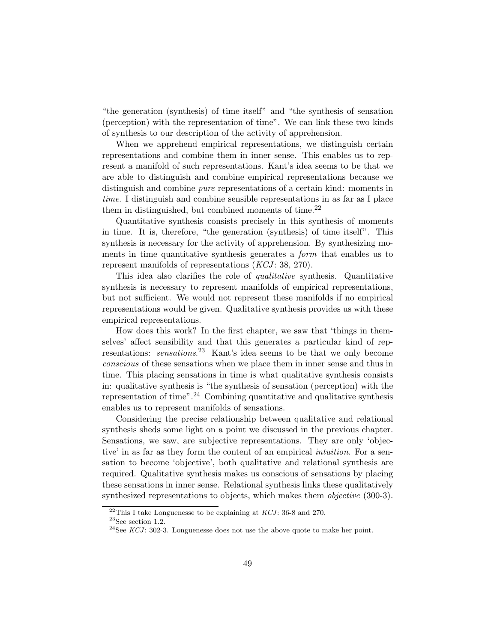"the generation (synthesis) of time itself" and "the synthesis of sensation (perception) with the representation of time". We can link these two kinds of synthesis to our description of the activity of apprehension.

When we apprehend empirical representations, we distinguish certain representations and combine them in inner sense. This enables us to represent a manifold of such representations. Kant's idea seems to be that we are able to distinguish and combine empirical representations because we distinguish and combine pure representations of a certain kind: moments in time. I distinguish and combine sensible representations in as far as I place them in distinguished, but combined moments of time.<sup>22</sup>

Quantitative synthesis consists precisely in this synthesis of moments in time. It is, therefore, "the generation (synthesis) of time itself". This synthesis is necessary for the activity of apprehension. By synthesizing moments in time quantitative synthesis generates a *form* that enables us to represent manifolds of representations  $(KCI: 38, 270)$ .

This idea also clarifies the role of qualitative synthesis. Quantitative synthesis is necessary to represent manifolds of empirical representations, but not sufficient. We would not represent these manifolds if no empirical representations would be given. Qualitative synthesis provides us with these empirical representations.

How does this work? In the first chapter, we saw that 'things in themselves' affect sensibility and that this generates a particular kind of representations: *sensations*.<sup>23</sup> Kant's idea seems to be that we only become conscious of these sensations when we place them in inner sense and thus in time. This placing sensations in time is what qualitative synthesis consists in: qualitative synthesis is "the synthesis of sensation (perception) with the representation of time".<sup>24</sup> Combining quantitative and qualitative synthesis enables us to represent manifolds of sensations.

Considering the precise relationship between qualitative and relational synthesis sheds some light on a point we discussed in the previous chapter. Sensations, we saw, are subjective representations. They are only 'objective' in as far as they form the content of an empirical intuition. For a sensation to become 'objective', both qualitative and relational synthesis are required. Qualitative synthesis makes us conscious of sensations by placing these sensations in inner sense. Relational synthesis links these qualitatively synthesized representations to objects, which makes them *objective* (300-3).

 $^{22}$ This I take Longuenesse to be explaining at KCJ: 36-8 and 270.

 $^{23}\mathrm{See}$  section 1.2.

 $^{24}$ See KCJ: 302-3. Longuenesse does not use the above quote to make her point.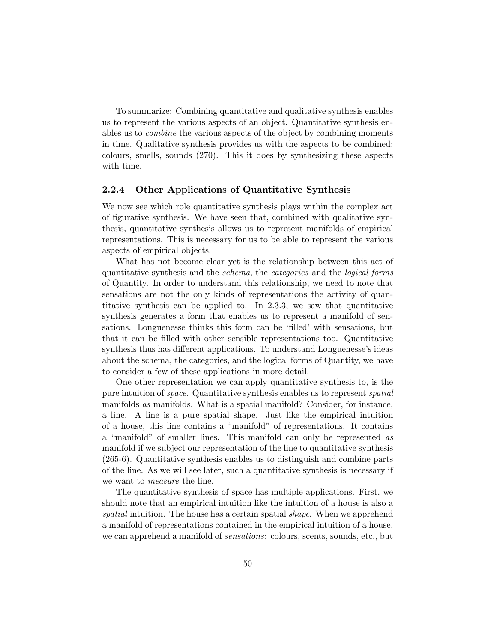To summarize: Combining quantitative and qualitative synthesis enables us to represent the various aspects of an object. Quantitative synthesis enables us to combine the various aspects of the object by combining moments in time. Qualitative synthesis provides us with the aspects to be combined: colours, smells, sounds (270). This it does by synthesizing these aspects with time.

#### 2.2.4 Other Applications of Quantitative Synthesis

We now see which role quantitative synthesis plays within the complex act of figurative synthesis. We have seen that, combined with qualitative synthesis, quantitative synthesis allows us to represent manifolds of empirical representations. This is necessary for us to be able to represent the various aspects of empirical objects.

What has not become clear yet is the relationship between this act of quantitative synthesis and the schema, the categories and the logical forms of Quantity. In order to understand this relationship, we need to note that sensations are not the only kinds of representations the activity of quantitative synthesis can be applied to. In 2.3.3, we saw that quantitative synthesis generates a form that enables us to represent a manifold of sensations. Longuenesse thinks this form can be 'filled' with sensations, but that it can be filled with other sensible representations too. Quantitative synthesis thus has different applications. To understand Longuenesse's ideas about the schema, the categories, and the logical forms of Quantity, we have to consider a few of these applications in more detail.

One other representation we can apply quantitative synthesis to, is the pure intuition of space. Quantitative synthesis enables us to represent spatial manifolds as manifolds. What is a spatial manifold? Consider, for instance, a line. A line is a pure spatial shape. Just like the empirical intuition of a house, this line contains a "manifold" of representations. It contains a "manifold" of smaller lines. This manifold can only be represented as manifold if we subject our representation of the line to quantitative synthesis (265-6). Quantitative synthesis enables us to distinguish and combine parts of the line. As we will see later, such a quantitative synthesis is necessary if we want to measure the line.

The quantitative synthesis of space has multiple applications. First, we should note that an empirical intuition like the intuition of a house is also a spatial intuition. The house has a certain spatial *shape*. When we apprehend a manifold of representations contained in the empirical intuition of a house, we can apprehend a manifold of *sensations*: colours, scents, sounds, etc., but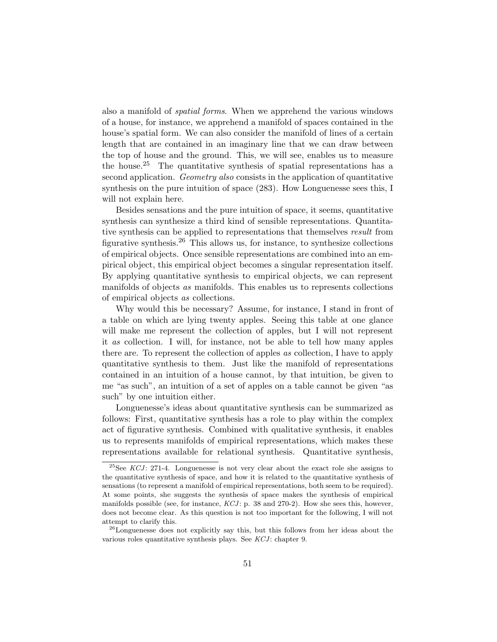also a manifold of spatial forms. When we apprehend the various windows of a house, for instance, we apprehend a manifold of spaces contained in the house's spatial form. We can also consider the manifold of lines of a certain length that are contained in an imaginary line that we can draw between the top of house and the ground. This, we will see, enables us to measure the house.<sup>25</sup> The quantitative synthesis of spatial representations has a second application. Geometry also consists in the application of quantitative synthesis on the pure intuition of space (283). How Longuenesse sees this, I will not explain here.

Besides sensations and the pure intuition of space, it seems, quantitative synthesis can synthesize a third kind of sensible representations. Quantitative synthesis can be applied to representations that themselves *result* from figurative synthesis.<sup>26</sup> This allows us, for instance, to synthesize collections of empirical objects. Once sensible representations are combined into an empirical object, this empirical object becomes a singular representation itself. By applying quantitative synthesis to empirical objects, we can represent manifolds of objects as manifolds. This enables us to represents collections of empirical objects as collections.

Why would this be necessary? Assume, for instance, I stand in front of a table on which are lying twenty apples. Seeing this table at one glance will make me represent the collection of apples, but I will not represent it as collection. I will, for instance, not be able to tell how many apples there are. To represent the collection of apples as collection, I have to apply quantitative synthesis to them. Just like the manifold of representations contained in an intuition of a house cannot, by that intuition, be given to me "as such", an intuition of a set of apples on a table cannot be given "as such" by one intuition either.

Longuenesse's ideas about quantitative synthesis can be summarized as follows: First, quantitative synthesis has a role to play within the complex act of figurative synthesis. Combined with qualitative synthesis, it enables us to represents manifolds of empirical representations, which makes these representations available for relational synthesis. Quantitative synthesis,

 $^{25}$ See KCJ: 271-4. Longuenesse is not very clear about the exact role she assigns to the quantitative synthesis of space, and how it is related to the quantitative synthesis of sensations (to represent a manifold of empirical representations, both seem to be required). At some points, she suggests the synthesis of space makes the synthesis of empirical manifolds possible (see, for instance,  $KCJ$ : p. 38 and 270-2). How she sees this, however, does not become clear. As this question is not too important for the following, I will not attempt to clarify this.

<sup>&</sup>lt;sup>26</sup>Longuenesse does not explicitly say this, but this follows from her ideas about the various roles quantitative synthesis plays. See  $KCJ$ : chapter 9.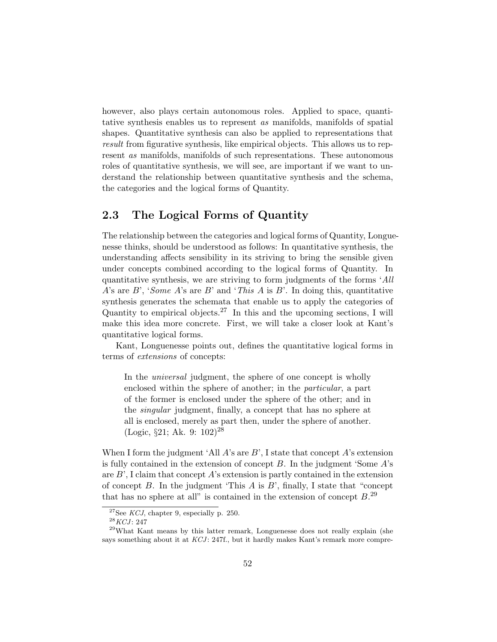however, also plays certain autonomous roles. Applied to space, quantitative synthesis enables us to represent as manifolds, manifolds of spatial shapes. Quantitative synthesis can also be applied to representations that result from figurative synthesis, like empirical objects. This allows us to represent as manifolds, manifolds of such representations. These autonomous roles of quantitative synthesis, we will see, are important if we want to understand the relationship between quantitative synthesis and the schema, the categories and the logical forms of Quantity.

## 2.3 The Logical Forms of Quantity

The relationship between the categories and logical forms of Quantity, Longuenesse thinks, should be understood as follows: In quantitative synthesis, the understanding affects sensibility in its striving to bring the sensible given under concepts combined according to the logical forms of Quantity. In quantitative synthesis, we are striving to form judgments of the forms 'All A's are B', 'Some A's are B' and 'This A is B'. In doing this, quantitative synthesis generates the schemata that enable us to apply the categories of Quantity to empirical objects.<sup>27</sup> In this and the upcoming sections, I will make this idea more concrete. First, we will take a closer look at Kant's quantitative logical forms.

Kant, Longuenesse points out, defines the quantitative logical forms in terms of extensions of concepts:

In the *universal* judgment, the sphere of one concept is wholly enclosed within the sphere of another; in the particular, a part of the former is enclosed under the sphere of the other; and in the singular judgment, finally, a concept that has no sphere at all is enclosed, merely as part then, under the sphere of another.  $(Logic, §21; Ak. 9: 102)<sup>28</sup>$ 

When I form the judgment 'All  $A$ 's are  $B'$ , I state that concept  $A$ 's extension is fully contained in the extension of concept  $B$ . In the judgment 'Some  $A$ 's are  $B'$ , I claim that concept A's extension is partly contained in the extension of concept  $B$ . In the judgment 'This  $A$  is  $B$ ', finally, I state that "concept" that has no sphere at all" is contained in the extension of concept  $B^{29}$ .

<sup>&</sup>lt;sup>27</sup>See *KCJ*, chapter 9, especially p. 250.

 $^{28}KCJ: 247$ 

 $^{29}$ What Kant means by this latter remark, Longuenesse does not really explain (she says something about it at  $KCJ$ : 247f., but it hardly makes Kant's remark more compre-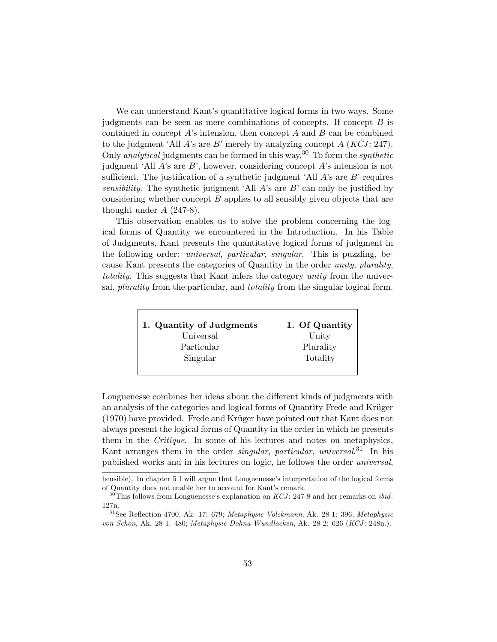We can understand Kant's quantitative logical forms in two ways. Some judgments can be seen as mere combinations of concepts. If concept  $B$  is contained in concept  $A$ 's intension, then concept  $A$  and  $B$  can be combined to the judgment 'All A's are B' merely by analyzing concept  $A (KCJ: 247)$ . Only *analytical* judgments can be formed in this way.<sup>30</sup> To form the *synthetic* judgment 'All  $A$ 's are  $B$ ', however, considering concept  $A$ 's intension is not sufficient. The justification of a synthetic judgment 'All  $A$ 's are  $B$ ' requires sensibility. The synthetic judgment 'All  $A$ 's are  $B$ ' can only be justified by considering whether concept B applies to all sensibly given objects that are thought under  $A$  (247-8).

This observation enables us to solve the problem concerning the logical forms of Quantity we encountered in the Introduction. In his Table of Judgments, Kant presents the quantitative logical forms of judgment in the following order: universal, particular, singular. This is puzzling, because Kant presents the categories of Quantity in the order unity, plurality, totality. This suggests that Kant infers the category unity from the universal, plurality from the particular, and totality from the singular logical form.

| 1. Quantity of Judgments | 1. Of Quantity |
|--------------------------|----------------|
| Universal                | Unity          |
| Particular               | Plurality      |
| Singular                 | Totality       |

Longuenesse combines her ideas about the different kinds of judgments with an analysis of the categories and logical forms of Quantity Frede and Krüger (1970) have provided. Frede and Krüger have pointed out that Kant does not always present the logical forms of Quantity in the order in which he presents them in the Critique. In some of his lectures and notes on metaphysics, Kant arranges them in the order *singular*, *particular*, *universal.*<sup>31</sup> In his published works and in his lectures on logic, he follows the order universal,

hensible). In chapter 5 I will argue that Longuenesse's interpretation of the logical forms of Quantity does not enable her to account for Kant's remark.

 $30$ This follows from Longuenesse's explanation on KCJ: 247-8 and her remarks on *ibid*: 127n.

 $31$ See Reflection 4700, Ak. 17: 679; *Metaphysic Volckmann*, Ak. 28-1: 396; *Metaphysic* von Schön, Ak. 28-1: 480; Metaphysic Dohna-Wundlacken, Ak. 28-2: 626 (KCJ: 248n.).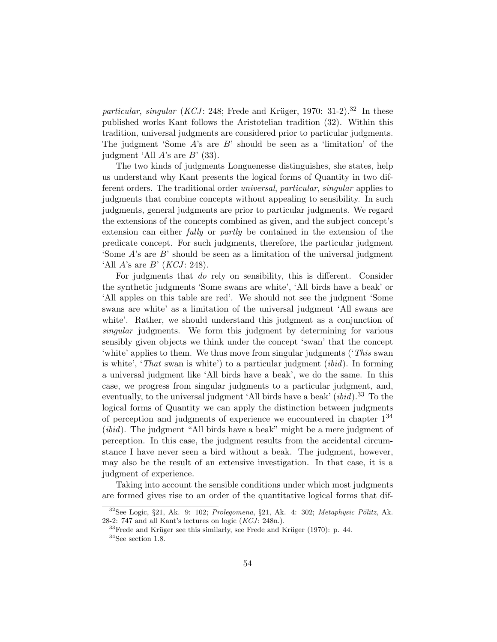particular, singular (KCJ: 248; Frede and Krüger, 1970: 31-2).<sup>32</sup> In these published works Kant follows the Aristotelian tradition (32). Within this tradition, universal judgments are considered prior to particular judgments. The judgment 'Some  $A$ 's are  $B$ ' should be seen as a 'limitation' of the judgment 'All  $A$ 's are  $B'$  (33).

The two kinds of judgments Longuenesse distinguishes, she states, help us understand why Kant presents the logical forms of Quantity in two different orders. The traditional order universal, particular, singular applies to judgments that combine concepts without appealing to sensibility. In such judgments, general judgments are prior to particular judgments. We regard the extensions of the concepts combined as given, and the subject concept's extension can either fully or partly be contained in the extension of the predicate concept. For such judgments, therefore, the particular judgment 'Some A's are B' should be seen as a limitation of the universal judgment 'All  $A$ 's are  $B'$  (*KCJ*: 248).

For judgments that do rely on sensibility, this is different. Consider the synthetic judgments 'Some swans are white', 'All birds have a beak' or 'All apples on this table are red'. We should not see the judgment 'Some swans are white' as a limitation of the universal judgment 'All swans are white'. Rather, we should understand this judgment as a conjunction of singular judgments. We form this judgment by determining for various sensibly given objects we think under the concept 'swan' that the concept 'white' applies to them. We thus move from singular judgments ('This swan is white', 'That swan is white') to a particular judgment *(ibid)*. In forming a universal judgment like 'All birds have a beak', we do the same. In this case, we progress from singular judgments to a particular judgment, and, eventually, to the universal judgment 'All birds have a beak'  $(ibid).^{33}$  To the logical forms of Quantity we can apply the distinction between judgments of perception and judgments of experience we encountered in chapter  $1^{34}$ (ibid). The judgment "All birds have a beak" might be a mere judgment of perception. In this case, the judgment results from the accidental circumstance I have never seen a bird without a beak. The judgment, however, may also be the result of an extensive investigation. In that case, it is a judgment of experience.

Taking into account the sensible conditions under which most judgments are formed gives rise to an order of the quantitative logical forms that dif-

 $32$ See Logic, §21, Ak. 9: 102; Prolegomena, §21, Ak. 4: 302; Metaphysic Pölitz, Ak. 28-2: 747 and all Kant's lectures on logic  $(KCI: 248n.)$ .

 $^{33}\rm{Frede}$  and Krüger see this similarly, see Frede and Krüger (1970): p. 44.  $34$ See section 1.8.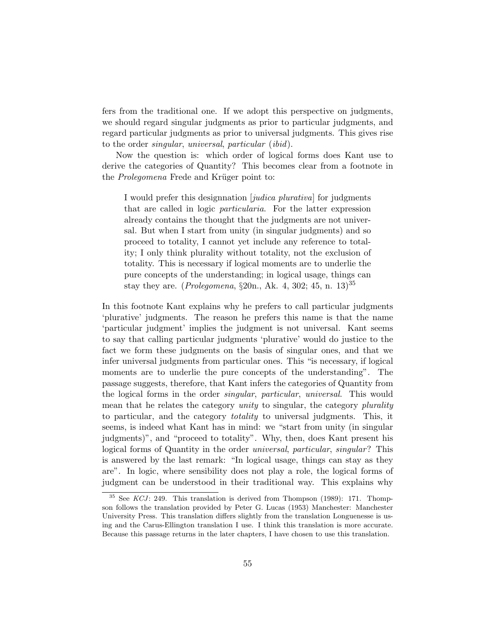fers from the traditional one. If we adopt this perspective on judgments, we should regard singular judgments as prior to particular judgments, and regard particular judgments as prior to universal judgments. This gives rise to the order singular, universal, particular (ibid).

Now the question is: which order of logical forms does Kant use to derive the categories of Quantity? This becomes clear from a footnote in the *Prolegomena* Frede and Krüger point to:

I would prefer this designnation [judica plurativa] for judgments that are called in logic particularia. For the latter expression already contains the thought that the judgments are not universal. But when I start from unity (in singular judgments) and so proceed to totality, I cannot yet include any reference to totality; I only think plurality without totality, not the exclusion of totality. This is necessary if logical moments are to underlie the pure concepts of the understanding; in logical usage, things can stay they are. (*Prolegomena*,  $\S20n$ ., Ak. 4, 302; 45, n. 13)<sup>35</sup>

In this footnote Kant explains why he prefers to call particular judgments 'plurative' judgments. The reason he prefers this name is that the name 'particular judgment' implies the judgment is not universal. Kant seems to say that calling particular judgments 'plurative' would do justice to the fact we form these judgments on the basis of singular ones, and that we infer universal judgments from particular ones. This "is necessary, if logical moments are to underlie the pure concepts of the understanding". The passage suggests, therefore, that Kant infers the categories of Quantity from the logical forms in the order *singular*, *particular*, *universal.* This would mean that he relates the category unity to singular, the category plurality to particular, and the category *totality* to universal judgments. This, it seems, is indeed what Kant has in mind: we "start from unity (in singular judgments)", and "proceed to totality". Why, then, does Kant present his logical forms of Quantity in the order universal, particular, singular? This is answered by the last remark: "In logical usage, things can stay as they are". In logic, where sensibility does not play a role, the logical forms of judgment can be understood in their traditional way. This explains why

 $35$  See KCJ: 249. This translation is derived from Thompson (1989): 171. Thompson follows the translation provided by Peter G. Lucas (1953) Manchester: Manchester University Press. This translation differs slightly from the translation Longuenesse is using and the Carus-Ellington translation I use. I think this translation is more accurate. Because this passage returns in the later chapters, I have chosen to use this translation.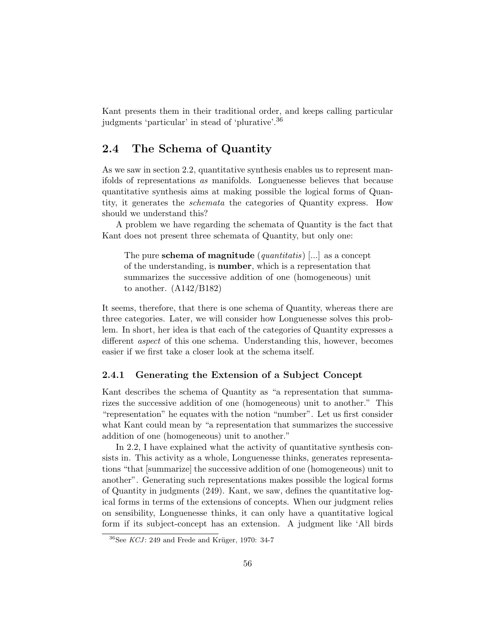Kant presents them in their traditional order, and keeps calling particular judgments 'particular' in stead of 'plurative'.<sup>36</sup>

## 2.4 The Schema of Quantity

As we saw in section 2.2, quantitative synthesis enables us to represent manifolds of representations as manifolds. Longuenesse believes that because quantitative synthesis aims at making possible the logical forms of Quantity, it generates the schemata the categories of Quantity express. How should we understand this?

A problem we have regarding the schemata of Quantity is the fact that Kant does not present three schemata of Quantity, but only one:

The pure **schema of magnitude** (*quantitatis*) [...] as a concept of the understanding, is number, which is a representation that summarizes the successive addition of one (homogeneous) unit to another. (A142/B182)

It seems, therefore, that there is one schema of Quantity, whereas there are three categories. Later, we will consider how Longuenesse solves this problem. In short, her idea is that each of the categories of Quantity expresses a different aspect of this one schema. Understanding this, however, becomes easier if we first take a closer look at the schema itself.

#### 2.4.1 Generating the Extension of a Subject Concept

Kant describes the schema of Quantity as "a representation that summarizes the successive addition of one (homogeneous) unit to another." This "representation" he equates with the notion "number". Let us first consider what Kant could mean by "a representation that summarizes the successive addition of one (homogeneous) unit to another."

In 2.2, I have explained what the activity of quantitative synthesis consists in. This activity as a whole, Longuenesse thinks, generates representations "that [summarize] the successive addition of one (homogeneous) unit to another". Generating such representations makes possible the logical forms of Quantity in judgments (249). Kant, we saw, defines the quantitative logical forms in terms of the extensions of concepts. When our judgment relies on sensibility, Longuenesse thinks, it can only have a quantitative logical form if its subject-concept has an extension. A judgment like 'All birds

 $36$ See KCJ: 249 and Frede and Krüger, 1970: 34-7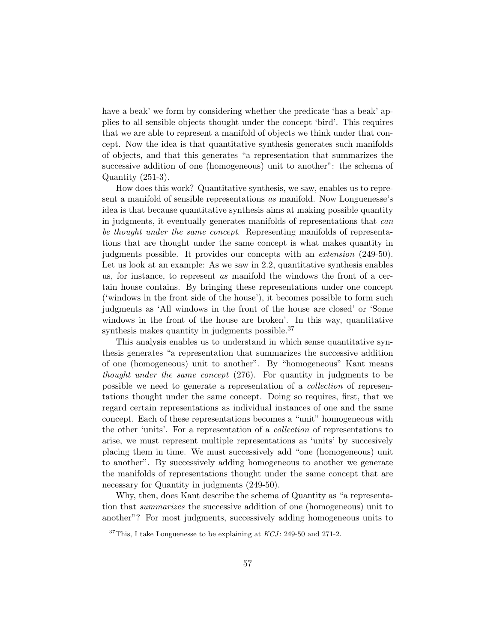have a beak' we form by considering whether the predicate 'has a beak' applies to all sensible objects thought under the concept 'bird'. This requires that we are able to represent a manifold of objects we think under that concept. Now the idea is that quantitative synthesis generates such manifolds of objects, and that this generates "a representation that summarizes the successive addition of one (homogeneous) unit to another": the schema of Quantity (251-3).

How does this work? Quantitative synthesis, we saw, enables us to represent a manifold of sensible representations as manifold. Now Longuenesse's idea is that because quantitative synthesis aims at making possible quantity in judgments, it eventually generates manifolds of representations that can be thought under the same concept. Representing manifolds of representations that are thought under the same concept is what makes quantity in judgments possible. It provides our concepts with an extension (249-50). Let us look at an example: As we saw in 2.2, quantitative synthesis enables us, for instance, to represent as manifold the windows the front of a certain house contains. By bringing these representations under one concept ('windows in the front side of the house'), it becomes possible to form such judgments as 'All windows in the front of the house are closed' or 'Some windows in the front of the house are broken'. In this way, quantitative synthesis makes quantity in judgments possible. $37$ 

This analysis enables us to understand in which sense quantitative synthesis generates "a representation that summarizes the successive addition of one (homogeneous) unit to another". By "homogeneous" Kant means thought under the same concept (276). For quantity in judgments to be possible we need to generate a representation of a collection of representations thought under the same concept. Doing so requires, first, that we regard certain representations as individual instances of one and the same concept. Each of these representations becomes a "unit" homogeneous with the other 'units'. For a representation of a collection of representations to arise, we must represent multiple representations as 'units' by succesively placing them in time. We must successively add "one (homogeneous) unit to another". By successively adding homogeneous to another we generate the manifolds of representations thought under the same concept that are necessary for Quantity in judgments (249-50).

Why, then, does Kant describe the schema of Quantity as "a representation that summarizes the successive addition of one (homogeneous) unit to another"? For most judgments, successively adding homogeneous units to

<sup>&</sup>lt;sup>37</sup>This, I take Longuenesse to be explaining at  $KCJ$ : 249-50 and 271-2.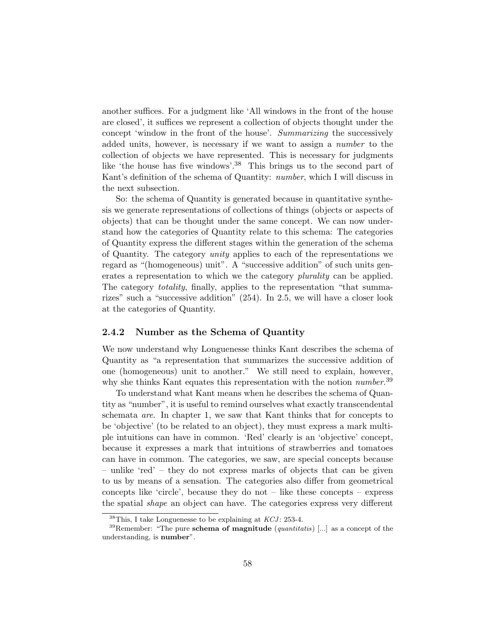another suffices. For a judgment like 'All windows in the front of the house are closed', it suffices we represent a collection of objects thought under the concept 'window in the front of the house'. Summarizing the successively added units, however, is necessary if we want to assign a number to the collection of objects we have represented. This is necessary for judgments like 'the house has five windows'.<sup>38</sup> This brings us to the second part of Kant's definition of the schema of Quantity: number, which I will discuss in the next subsection.

So: the schema of Quantity is generated because in quantitative synthesis we generate representations of collections of things (objects or aspects of objects) that can be thought under the same concept. We can now understand how the categories of Quantity relate to this schema: The categories of Quantity express the different stages within the generation of the schema of Quantity. The category unity applies to each of the representations we regard as "(homogeneous) unit". A "successive addition" of such units generates a representation to which we the category plurality can be applied. The category *totality*, finally, applies to the representation "that summarizes" such a "successive addition" (254). In 2.5, we will have a closer look at the categories of Quantity.

#### 2.4.2 Number as the Schema of Quantity

We now understand why Longuenesse thinks Kant describes the schema of Quantity as "a representation that summarizes the successive addition of one (homogeneous) unit to another." We still need to explain, however, why she thinks Kant equates this representation with the notion *number*.<sup>39</sup>

To understand what Kant means when he describes the schema of Quantity as "number", it is useful to remind ourselves what exactly transcendental schemata are. In chapter 1, we saw that Kant thinks that for concepts to be 'objective' (to be related to an object), they must express a mark multiple intuitions can have in common. 'Red' clearly is an 'objective' concept, because it expresses a mark that intuitions of strawberries and tomatoes can have in common. The categories, we saw, are special concepts because – unlike 'red' – they do not express marks of objects that can be given to us by means of a sensation. The categories also differ from geometrical concepts like 'circle', because they do not – like these concepts – express the spatial shape an object can have. The categories express very different

 $^{38}{\rm This},$  I take Longuenesse to be explaining at  $KCI$  : 253-4.

<sup>&</sup>lt;sup>39</sup>Remember: "The pure **schema of magnitude** (*quantitatis*) [...] as a concept of the understanding, is number".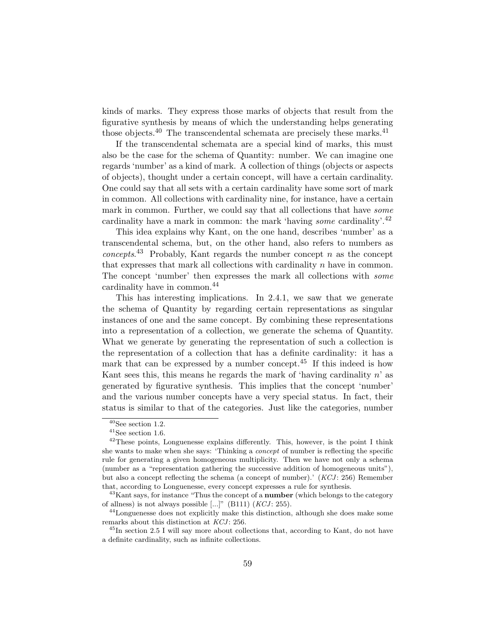kinds of marks. They express those marks of objects that result from the figurative synthesis by means of which the understanding helps generating those objects.<sup>40</sup> The transcendental schemata are precisely these marks.<sup>41</sup>

If the transcendental schemata are a special kind of marks, this must also be the case for the schema of Quantity: number. We can imagine one regards 'number' as a kind of mark. A collection of things (objects or aspects of objects), thought under a certain concept, will have a certain cardinality. One could say that all sets with a certain cardinality have some sort of mark in common. All collections with cardinality nine, for instance, have a certain mark in common. Further, we could say that all collections that have *some* cardinality have a mark in common: the mark 'having *some* cardinality'.<sup>42</sup>

This idea explains why Kant, on the one hand, describes 'number' as a transcendental schema, but, on the other hand, also refers to numbers as concepts.<sup>43</sup> Probably, Kant regards the number concept n as the concept that expresses that mark all collections with cardinality  $n$  have in common. The concept 'number' then expresses the mark all collections with some cardinality have in common.<sup>44</sup>

This has interesting implications. In 2.4.1, we saw that we generate the schema of Quantity by regarding certain representations as singular instances of one and the same concept. By combining these representations into a representation of a collection, we generate the schema of Quantity. What we generate by generating the representation of such a collection is the representation of a collection that has a definite cardinality: it has a mark that can be expressed by a number concept.<sup>45</sup> If this indeed is how Kant sees this, this means he regards the mark of 'having cardinality  $n'$  as generated by figurative synthesis. This implies that the concept 'number' and the various number concepts have a very special status. In fact, their status is similar to that of the categories. Just like the categories, number

 $40$ See section 1.2.

 $^{41}$  See section 1.6.

<sup>&</sup>lt;sup>42</sup>These points, Longuenesse explains differently. This, however, is the point I think she wants to make when she says: 'Thinking a concept of number is reflecting the specific rule for generating a given homogeneous multiplicity. Then we have not only a schema (number as a "representation gathering the successive addition of homogeneous units"), but also a concept reflecting the schema (a concept of number).'  $(KCJ: 256)$  Remember that, according to Longuenesse, every concept expresses a rule for synthesis.

 $43$ Kant says, for instance "Thus the concept of a **number** (which belongs to the category of allness) is not always possible  $[...]$ " (B111) (KCJ: 255).

<sup>44</sup>Longuenesse does not explicitly make this distinction, although she does make some remarks about this distinction at KCJ: 256.

<sup>45</sup>In section 2.5 I will say more about collections that, according to Kant, do not have a definite cardinality, such as infinite collections.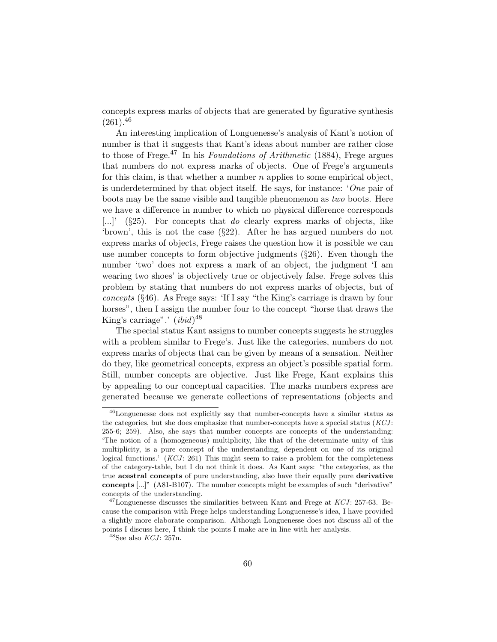concepts express marks of objects that are generated by figurative synthesis  $(261).^{46}$ 

An interesting implication of Longuenesse's analysis of Kant's notion of number is that it suggests that Kant's ideas about number are rather close to those of Frege.<sup>47</sup> In his Foundations of Arithmetic (1884), Frege argues that numbers do not express marks of objects. One of Frege's arguments for this claim, is that whether a number  $n$  applies to some empirical object, is underdetermined by that object itself. He says, for instance: 'One pair of boots may be the same visible and tangible phenomenon as two boots. Here we have a difference in number to which no physical difference corresponds [...]' ( $\S 25$ ). For concepts that do clearly express marks of objects, like 'brown', this is not the case (§22). After he has argued numbers do not express marks of objects, Frege raises the question how it is possible we can use number concepts to form objective judgments  $(\S 26)$ . Even though the number 'two' does not express a mark of an object, the judgment 'I am wearing two shoes' is objectively true or objectively false. Frege solves this problem by stating that numbers do not express marks of objects, but of concepts (§46). As Frege says: 'If I say "the King's carriage is drawn by four horses", then I assign the number four to the concept "horse that draws the King's carriage".'  $(ibid)^{48}$ 

The special status Kant assigns to number concepts suggests he struggles with a problem similar to Frege's. Just like the categories, numbers do not express marks of objects that can be given by means of a sensation. Neither do they, like geometrical concepts, express an object's possible spatial form. Still, number concepts are objective. Just like Frege, Kant explains this by appealing to our conceptual capacities. The marks numbers express are generated because we generate collections of representations (objects and

<sup>46</sup>Longuenesse does not explicitly say that number-concepts have a similar status as the categories, but she does emphasize that number-concepts have a special status  $(KCI:$ 255-6; 259). Also, she says that number concepts are concepts of the understanding: 'The notion of a (homogeneous) multiplicity, like that of the determinate unity of this multiplicity, is a pure concept of the understanding, dependent on one of its original logical functions.'  $(KCJ: 261)$  This might seem to raise a problem for the completeness of the category-table, but I do not think it does. As Kant says: "the categories, as the true acestral concepts of pure understanding, also have their equally pure derivative concepts [...]" (A81-B107). The number concepts might be examples of such "derivative" concepts of the understanding.

 $^{47}$ Longuenesse discusses the similarities between Kant and Frege at  $KCJ$ : 257-63. Because the comparison with Frege helps understanding Longuenesse's idea, I have provided a slightly more elaborate comparison. Although Longuenesse does not discuss all of the points I discuss here, I think the points I make are in line with her analysis.

 $48$ See also  $KCJ$ : 257n.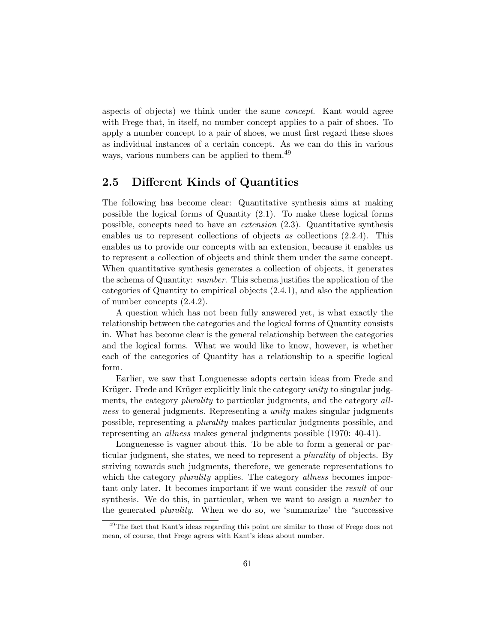aspects of objects) we think under the same concept. Kant would agree with Frege that, in itself, no number concept applies to a pair of shoes. To apply a number concept to a pair of shoes, we must first regard these shoes as individual instances of a certain concept. As we can do this in various ways, various numbers can be applied to them.<sup>49</sup>

### 2.5 Different Kinds of Quantities

The following has become clear: Quantitative synthesis aims at making possible the logical forms of Quantity (2.1). To make these logical forms possible, concepts need to have an extension (2.3). Quantitative synthesis enables us to represent collections of objects as collections (2.2.4). This enables us to provide our concepts with an extension, because it enables us to represent a collection of objects and think them under the same concept. When quantitative synthesis generates a collection of objects, it generates the schema of Quantity: number. This schema justifies the application of the categories of Quantity to empirical objects (2.4.1), and also the application of number concepts (2.4.2).

A question which has not been fully answered yet, is what exactly the relationship between the categories and the logical forms of Quantity consists in. What has become clear is the general relationship between the categories and the logical forms. What we would like to know, however, is whether each of the categories of Quantity has a relationship to a specific logical form.

Earlier, we saw that Longuenesse adopts certain ideas from Frede and Krüger. Frede and Krüger explicitly link the category *unity* to singular judgments, the category *plurality* to particular judgments, and the category *all*ness to general judgments. Representing a unity makes singular judgments possible, representing a plurality makes particular judgments possible, and representing an allness makes general judgments possible (1970: 40-41).

Longuenesse is vaguer about this. To be able to form a general or particular judgment, she states, we need to represent a plurality of objects. By striving towards such judgments, therefore, we generate representations to which the category *plurality* applies. The category *allness* becomes important only later. It becomes important if we want consider the result of our synthesis. We do this, in particular, when we want to assign a *number* to the generated *plurality*. When we do so, we 'summarize' the "successive

<sup>49</sup>The fact that Kant's ideas regarding this point are similar to those of Frege does not mean, of course, that Frege agrees with Kant's ideas about number.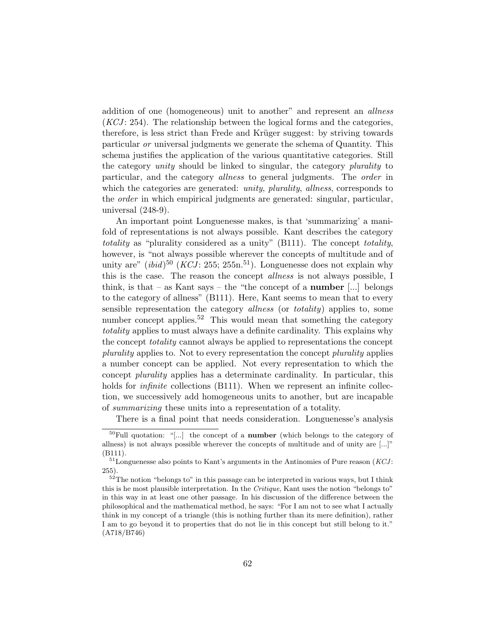addition of one (homogeneous) unit to another" and represent an allness  $(KCI: 254)$ . The relationship between the logical forms and the categories, therefore, is less strict than Frede and Krüger suggest: by striving towards particular or universal judgments we generate the schema of Quantity. This schema justifies the application of the various quantitative categories. Still the category *unity* should be linked to singular, the category *plurality* to particular, and the category allness to general judgments. The order in which the categories are generated: *unity, plurality, allness*, corresponds to the *order* in which empirical judgments are generated: singular, particular, universal (248-9).

An important point Longuenesse makes, is that 'summarizing' a manifold of representations is not always possible. Kant describes the category totality as "plurality considered as a unity" (B111). The concept totality, however, is "not always possible wherever the concepts of multitude and of unity are"  $(ibid)^{50}$  (*KCJ*: 255; 255n.<sup>51</sup>). Longuenesse does not explain why this is the case. The reason the concept allness is not always possible, I think, is that – as Kant says – the "the concept of a **number**  $\ldots$  belongs to the category of allness" (B111). Here, Kant seems to mean that to every sensible representation the category *allness* (or *totality*) applies to, some number concept applies.<sup>52</sup> This would mean that something the category totality applies to must always have a definite cardinality. This explains why the concept *totality* cannot always be applied to representations the concept plurality applies to. Not to every representation the concept plurality applies a number concept can be applied. Not every representation to which the concept plurality applies has a determinate cardinality. In particular, this holds for *infinite* collections (B111). When we represent an infinite collection, we successively add homogeneous units to another, but are incapable of summarizing these units into a representation of a totality.

There is a final point that needs consideration. Longuenesse's analysis

 $50$ Full quotation: "[...] the concept of a **number** (which belongs to the category of allness) is not always possible wherever the concepts of multitude and of unity are [...]" (B111).

 $51$  Longuenesse also points to Kant's arguments in the Antinomies of Pure reason (*KCJ*: 255).

 $52$ The notion "belongs to" in this passage can be interpreted in various ways, but I think this is he most plausible interpretation. In the Critique, Kant uses the notion "belongs to" in this way in at least one other passage. In his discussion of the difference between the philosophical and the mathematical method, he says: "For I am not to see what I actually think in my concept of a triangle (this is nothing further than its mere definition), rather I am to go beyond it to properties that do not lie in this concept but still belong to it." (A718/B746)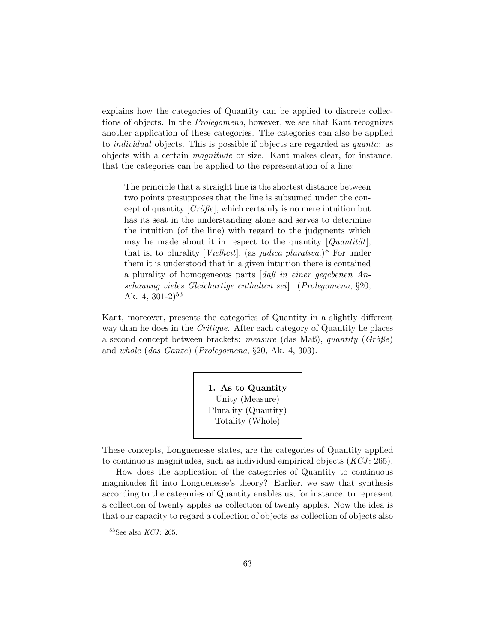explains how the categories of Quantity can be applied to discrete collections of objects. In the Prolegomena, however, we see that Kant recognizes another application of these categories. The categories can also be applied to *individual* objects. This is possible if objects are regarded as *quanta*: as objects with a certain magnitude or size. Kant makes clear, for instance, that the categories can be applied to the representation of a line:

The principle that a straight line is the shortest distance between two points presupposes that the line is subsumed under the concept of quantity  $[Gr\ddot{o}l\acute{e}l]$ , which certainly is no mere intuition but has its seat in the understanding alone and serves to determine the intuition (of the line) with regard to the judgments which may be made about it in respect to the quantity  $[Quantitative]$ , that is, to plurality [*Vielheit*], (as *judica plurativa*.)\* For under them it is understood that in a given intuition there is contained a plurality of homogeneous parts [daß in einer gegebenen Anschauung vieles Gleichartige enthalten sei]. (Prolegomena, §20, Ak. 4,  $301-2$ <sup>53</sup>

Kant, moreover, presents the categories of Quantity in a slightly different way than he does in the *Critique*. After each category of Quantity he places a second concept between brackets: measure (das Maß), quantity  $(Gr\ddot{o}Be)$ and whole (das Ganze) (Prolegomena, §20, Ak. 4, 303).

> 1. As to Quantity Unity (Measure) Plurality (Quantity) Totality (Whole)

These concepts, Longuenesse states, are the categories of Quantity applied to continuous magnitudes, such as individual empirical objects  $(KCI: 265)$ .

How does the application of the categories of Quantity to continuous magnitudes fit into Longuenesse's theory? Earlier, we saw that synthesis according to the categories of Quantity enables us, for instance, to represent a collection of twenty apples as collection of twenty apples. Now the idea is that our capacity to regard a collection of objects as collection of objects also

 $53$ See also  $KCI$ : 265.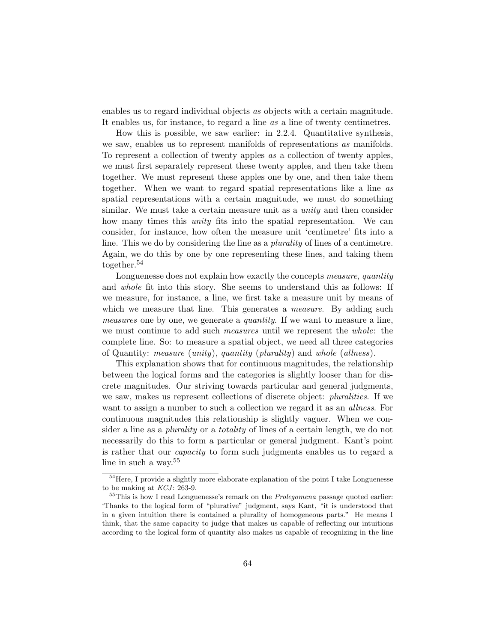enables us to regard individual objects as objects with a certain magnitude. It enables us, for instance, to regard a line as a line of twenty centimetres.

How this is possible, we saw earlier: in 2.2.4. Quantitative synthesis, we saw, enables us to represent manifolds of representations as manifolds. To represent a collection of twenty apples as a collection of twenty apples, we must first separately represent these twenty apples, and then take them together. We must represent these apples one by one, and then take them together. When we want to regard spatial representations like a line as spatial representations with a certain magnitude, we must do something similar. We must take a certain measure unit as a *unity* and then consider how many times this *unity* fits into the spatial representation. We can consider, for instance, how often the measure unit 'centimetre' fits into a line. This we do by considering the line as a plurality of lines of a centimetre. Again, we do this by one by one representing these lines, and taking them together.<sup>54</sup>

Longuenesse does not explain how exactly the concepts measure, quantity and whole fit into this story. She seems to understand this as follows: If we measure, for instance, a line, we first take a measure unit by means of which we measure that line. This generates a *measure*. By adding such measures one by one, we generate a *quantity*. If we want to measure a line, we must continue to add such *measures* until we represent the *whole*: the complete line. So: to measure a spatial object, we need all three categories of Quantity: measure (unity), quantity (plurality) and whole (allness).

This explanation shows that for continuous magnitudes, the relationship between the logical forms and the categories is slightly looser than for discrete magnitudes. Our striving towards particular and general judgments, we saw, makes us represent collections of discrete object: *pluralities*. If we want to assign a number to such a collection we regard it as an *allness*. For continuous magnitudes this relationship is slightly vaguer. When we consider a line as a plurality or a totality of lines of a certain length, we do not necessarily do this to form a particular or general judgment. Kant's point is rather that our capacity to form such judgments enables us to regard a line in such a way.<sup>55</sup>

 $^{54}\mathrm{Here},$  I provide a slightly more elaborate explanation of the point I take Longuenesse to be making at  $KCJ$ : 263-9.

 $55$ This is how I read Longuenesse's remark on the *Prolegomena* passage quoted earlier: 'Thanks to the logical form of "plurative" judgment, says Kant, "it is understood that in a given intuition there is contained a plurality of homogeneous parts." He means I think, that the same capacity to judge that makes us capable of reflecting our intuitions according to the logical form of quantity also makes us capable of recognizing in the line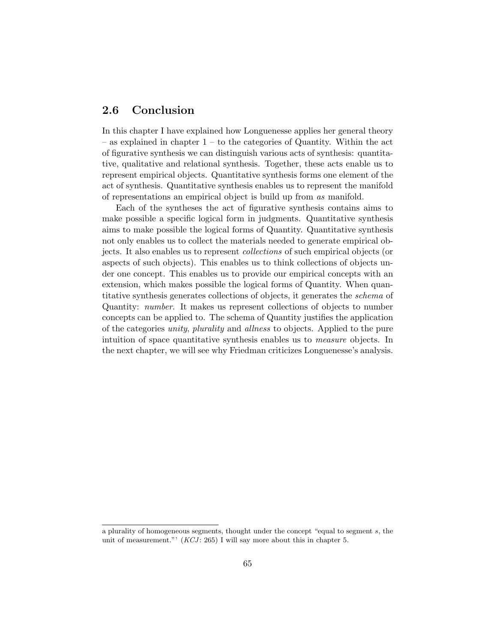## 2.6 Conclusion

In this chapter I have explained how Longuenesse applies her general theory – as explained in chapter  $1 -$  to the categories of Quantity. Within the act of figurative synthesis we can distinguish various acts of synthesis: quantitative, qualitative and relational synthesis. Together, these acts enable us to represent empirical objects. Quantitative synthesis forms one element of the act of synthesis. Quantitative synthesis enables us to represent the manifold of representations an empirical object is build up from as manifold.

Each of the syntheses the act of figurative synthesis contains aims to make possible a specific logical form in judgments. Quantitative synthesis aims to make possible the logical forms of Quantity. Quantitative synthesis not only enables us to collect the materials needed to generate empirical objects. It also enables us to represent collections of such empirical objects (or aspects of such objects). This enables us to think collections of objects under one concept. This enables us to provide our empirical concepts with an extension, which makes possible the logical forms of Quantity. When quantitative synthesis generates collections of objects, it generates the schema of Quantity: number. It makes us represent collections of objects to number concepts can be applied to. The schema of Quantity justifies the application of the categories unity, plurality and allness to objects. Applied to the pure intuition of space quantitative synthesis enables us to measure objects. In the next chapter, we will see why Friedman criticizes Longuenesse's analysis.

a plurality of homogeneous segments, thought under the concept "equal to segment s, the unit of measurement."'  $(KCI: 265)$  I will say more about this in chapter 5.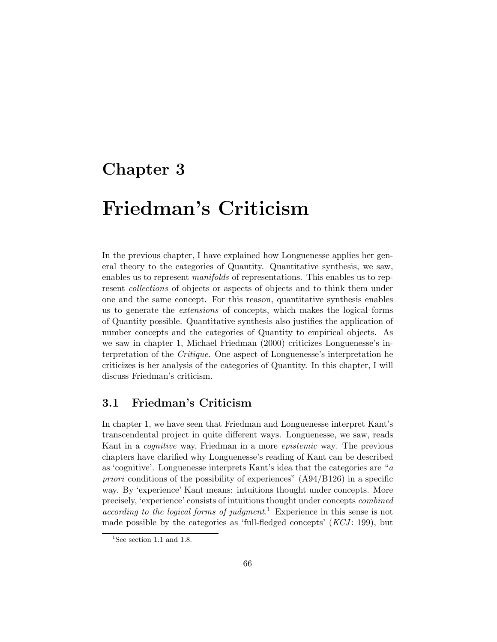## Chapter 3

# Friedman's Criticism

In the previous chapter, I have explained how Longuenesse applies her general theory to the categories of Quantity. Quantitative synthesis, we saw, enables us to represent manifolds of representations. This enables us to represent collections of objects or aspects of objects and to think them under one and the same concept. For this reason, quantitative synthesis enables us to generate the extensions of concepts, which makes the logical forms of Quantity possible. Quantitative synthesis also justifies the application of number concepts and the categories of Quantity to empirical objects. As we saw in chapter 1, Michael Friedman (2000) criticizes Longuenesse's interpretation of the Critique. One aspect of Longuenesse's interpretation he criticizes is her analysis of the categories of Quantity. In this chapter, I will discuss Friedman's criticism.

### 3.1 Friedman's Criticism

In chapter 1, we have seen that Friedman and Longuenesse interpret Kant's transcendental project in quite different ways. Longuenesse, we saw, reads Kant in a cognitive way, Friedman in a more epistemic way. The previous chapters have clarified why Longuenesse's reading of Kant can be described as 'cognitive'. Longuenesse interprets Kant's idea that the categories are "a priori conditions of the possibility of experiences"  $(A94/B126)$  in a specific way. By 'experience' Kant means: intuitions thought under concepts. More precisely, 'experience' consists of intuitions thought under concepts combined according to the logical forms of judgment.<sup>1</sup> Experience in this sense is not made possible by the categories as 'full-fledged concepts'  $(KCI: 199)$ , but

<sup>&</sup>lt;sup>1</sup>See section 1.1 and 1.8.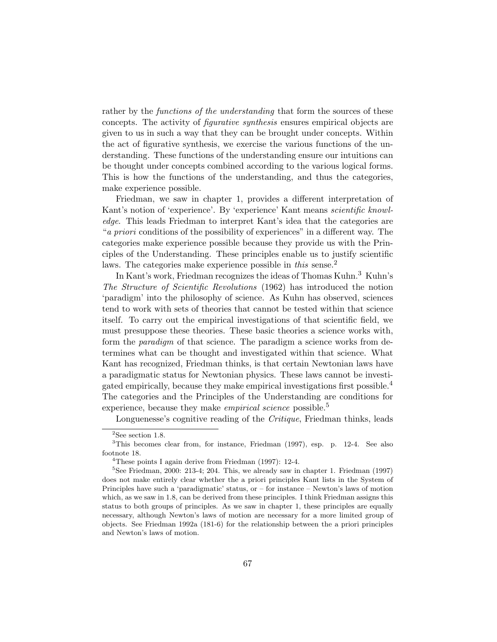rather by the *functions of the understanding* that form the sources of these concepts. The activity of figurative synthesis ensures empirical objects are given to us in such a way that they can be brought under concepts. Within the act of figurative synthesis, we exercise the various functions of the understanding. These functions of the understanding ensure our intuitions can be thought under concepts combined according to the various logical forms. This is how the functions of the understanding, and thus the categories, make experience possible.

Friedman, we saw in chapter 1, provides a different interpretation of Kant's notion of 'experience'. By 'experience' Kant means scientific knowledge. This leads Friedman to interpret Kant's idea that the categories are "a priori conditions of the possibility of experiences" in a different way. The categories make experience possible because they provide us with the Principles of the Understanding. These principles enable us to justify scientific laws. The categories make experience possible in this sense.<sup>2</sup>

In Kant's work, Friedman recognizes the ideas of Thomas Kuhn.<sup>3</sup> Kuhn's The Structure of Scientific Revolutions (1962) has introduced the notion 'paradigm' into the philosophy of science. As Kuhn has observed, sciences tend to work with sets of theories that cannot be tested within that science itself. To carry out the empirical investigations of that scientific field, we must presuppose these theories. These basic theories a science works with, form the paradigm of that science. The paradigm a science works from determines what can be thought and investigated within that science. What Kant has recognized, Friedman thinks, is that certain Newtonian laws have a paradigmatic status for Newtonian physics. These laws cannot be investigated empirically, because they make empirical investigations first possible.<sup>4</sup> The categories and the Principles of the Understanding are conditions for experience, because they make *empirical science* possible.<sup>5</sup>

Longuenesse's cognitive reading of the *Critique*, Friedman thinks, leads

 $2$ See section 1.8.

<sup>3</sup>This becomes clear from, for instance, Friedman (1997), esp. p. 12-4. See also footnote 18.

<sup>4</sup>These points I again derive from Friedman (1997): 12-4.

 $5$ See Friedman, 2000: 213-4; 204. This, we already saw in chapter 1. Friedman (1997) does not make entirely clear whether the a priori principles Kant lists in the System of Principles have such a 'paradigmatic' status, or – for instance – Newton's laws of motion which, as we saw in 1.8, can be derived from these principles. I think Friedman assigns this status to both groups of principles. As we saw in chapter 1, these principles are equally necessary, although Newton's laws of motion are necessary for a more limited group of objects. See Friedman 1992a (181-6) for the relationship between the a priori principles and Newton's laws of motion.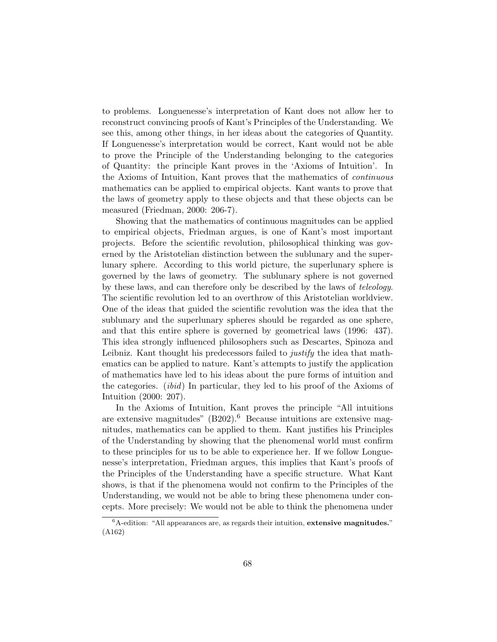to problems. Longuenesse's interpretation of Kant does not allow her to reconstruct convincing proofs of Kant's Principles of the Understanding. We see this, among other things, in her ideas about the categories of Quantity. If Longuenesse's interpretation would be correct, Kant would not be able to prove the Principle of the Understanding belonging to the categories of Quantity: the principle Kant proves in the 'Axioms of Intuition'. In the Axioms of Intuition, Kant proves that the mathematics of continuous mathematics can be applied to empirical objects. Kant wants to prove that the laws of geometry apply to these objects and that these objects can be measured (Friedman, 2000: 206-7).

Showing that the mathematics of continuous magnitudes can be applied to empirical objects, Friedman argues, is one of Kant's most important projects. Before the scientific revolution, philosophical thinking was governed by the Aristotelian distinction between the sublunary and the superlunary sphere. According to this world picture, the superlunary sphere is governed by the laws of geometry. The sublunary sphere is not governed by these laws, and can therefore only be described by the laws of teleology. The scientific revolution led to an overthrow of this Aristotelian worldview. One of the ideas that guided the scientific revolution was the idea that the sublunary and the superlunary spheres should be regarded as one sphere, and that this entire sphere is governed by geometrical laws (1996: 437). This idea strongly influenced philosophers such as Descartes, Spinoza and Leibniz. Kant thought his predecessors failed to *justify* the idea that mathematics can be applied to nature. Kant's attempts to justify the application of mathematics have led to his ideas about the pure forms of intuition and the categories. (ibid) In particular, they led to his proof of the Axioms of Intuition (2000: 207).

In the Axioms of Intuition, Kant proves the principle "All intuitions are extensive magnitudes"  $(B202)$ .<sup>6</sup> Because intuitions are extensive magnitudes, mathematics can be applied to them. Kant justifies his Principles of the Understanding by showing that the phenomenal world must confirm to these principles for us to be able to experience her. If we follow Longuenesse's interpretation, Friedman argues, this implies that Kant's proofs of the Principles of the Understanding have a specific structure. What Kant shows, is that if the phenomena would not confirm to the Principles of the Understanding, we would not be able to bring these phenomena under concepts. More precisely: We would not be able to think the phenomena under

 ${}^{6}$ A-edition: "All appearances are, as regards their intuition, extensive magnitudes." (A162)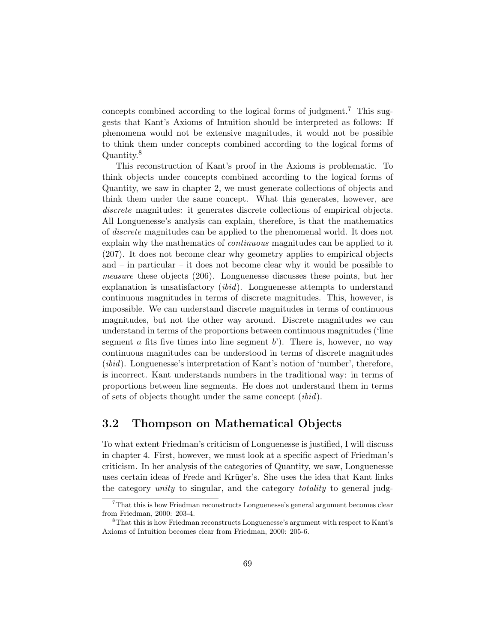concepts combined according to the logical forms of judgment.<sup>7</sup> This suggests that Kant's Axioms of Intuition should be interpreted as follows: If phenomena would not be extensive magnitudes, it would not be possible to think them under concepts combined according to the logical forms of Quantity.<sup>8</sup>

This reconstruction of Kant's proof in the Axioms is problematic. To think objects under concepts combined according to the logical forms of Quantity, we saw in chapter 2, we must generate collections of objects and think them under the same concept. What this generates, however, are discrete magnitudes: it generates discrete collections of empirical objects. All Longuenesse's analysis can explain, therefore, is that the mathematics of discrete magnitudes can be applied to the phenomenal world. It does not explain why the mathematics of *continuous* magnitudes can be applied to it (207). It does not become clear why geometry applies to empirical objects and  $-$  in particular  $-$  it does not become clear why it would be possible to measure these objects (206). Longuenesse discusses these points, but her explanation is unsatisfactory (ibid). Longuenesse attempts to understand continuous magnitudes in terms of discrete magnitudes. This, however, is impossible. We can understand discrete magnitudes in terms of continuous magnitudes, but not the other way around. Discrete magnitudes we can understand in terms of the proportions between continuous magnitudes ('line segment a fits five times into line segment  $b'$ ). There is, however, no way continuous magnitudes can be understood in terms of discrete magnitudes (ibid). Longuenesse's interpretation of Kant's notion of 'number', therefore, is incorrect. Kant understands numbers in the traditional way: in terms of proportions between line segments. He does not understand them in terms of sets of objects thought under the same concept (ibid).

## 3.2 Thompson on Mathematical Objects

To what extent Friedman's criticism of Longuenesse is justified, I will discuss in chapter 4. First, however, we must look at a specific aspect of Friedman's criticism. In her analysis of the categories of Quantity, we saw, Longuenesse uses certain ideas of Frede and Krüger's. She uses the idea that Kant links the category *unity* to singular, and the category *totality* to general judg-

<sup>7</sup>That this is how Friedman reconstructs Longuenesse's general argument becomes clear from Friedman, 2000: 203-4.

<sup>8</sup>That this is how Friedman reconstructs Longuenesse's argument with respect to Kant's Axioms of Intuition becomes clear from Friedman, 2000: 205-6.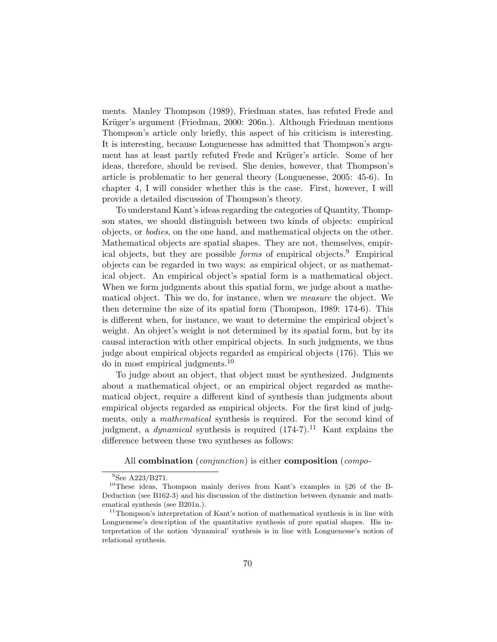ments. Manley Thompson (1989), Friedman states, has refuted Frede and Krüger's argument (Friedman, 2000: 206n.). Although Friedman mentions Thompson's article only briefly, this aspect of his criticism is interesting. It is interesting, because Longuenesse has admitted that Thompson's argument has at least partly refuted Frede and Krüger's article. Some of her ideas, therefore, should be revised. She denies, however, that Thompson's article is problematic to her general theory (Longuenesse, 2005: 45-6). In chapter 4, I will consider whether this is the case. First, however, I will provide a detailed discussion of Thompson's theory.

To understand Kant's ideas regarding the categories of Quantity, Thompson states, we should distinguish between two kinds of objects: empirical objects, or bodies, on the one hand, and mathematical objects on the other. Mathematical objects are spatial shapes. They are not, themselves, empirical objects, but they are possible *forms* of empirical objects.<sup>9</sup> Empirical objects can be regarded in two ways: as empirical object, or as mathematical object. An empirical object's spatial form is a mathematical object. When we form judgments about this spatial form, we judge about a mathematical object. This we do, for instance, when we measure the object. We then determine the size of its spatial form (Thompson, 1989: 174-6). This is different when, for instance, we want to determine the empirical object's weight. An object's weight is not determined by its spatial form, but by its causal interaction with other empirical objects. In such judgments, we thus judge about empirical objects regarded as empirical objects (176). This we do in most empirical judgments.<sup>10</sup>

To judge about an object, that object must be synthesized. Judgments about a mathematical object, or an empirical object regarded as mathematical object, require a different kind of synthesis than judgments about empirical objects regarded as empirical objects. For the first kind of judgments, only a mathematical synthesis is required. For the second kind of judgment, a *dynamical* synthesis is required  $(174-7)$ .<sup>11</sup> Kant explains the difference between these two syntheses as follows:

#### All combination (*conjunction*) is either composition (*compo*-

<sup>&</sup>lt;sup>9</sup>See A223/B271.

<sup>10</sup>These ideas, Thompson mainly derives from Kant's examples in §26 of the B-Deduction (see B162-3) and his discussion of the distinction between dynamic and mathematical synthesis (see B201n.).

 $11$ Thompson's interpretation of Kant's notion of mathematical synthesis is in line with Longuenesse's description of the quantitative synthesis of pure spatial shapes. His interpretation of the notion 'dynamical' synthesis is in line with Longuenesse's notion of relational synthesis.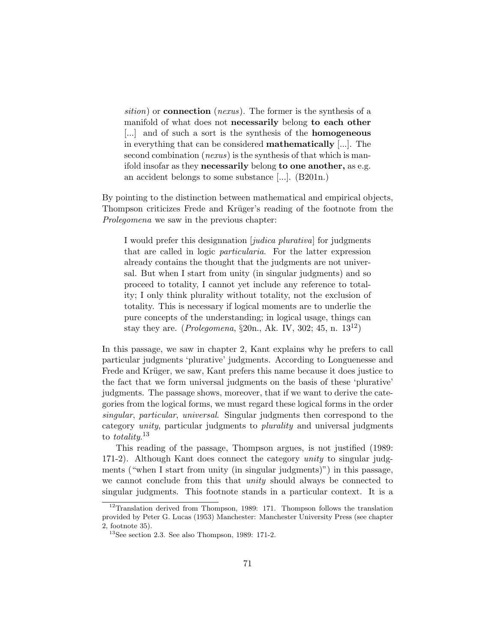sition) or **connection** (nexus). The former is the synthesis of a manifold of what does not necessarily belong to each other [...] and of such a sort is the synthesis of the **homogeneous** in everything that can be considered mathematically [...]. The second combination (*nexus*) is the synthesis of that which is manifold insofar as they **necessarily** belong to one another, as e.g. an accident belongs to some substance [...]. (B201n.)

By pointing to the distinction between mathematical and empirical objects, Thompson criticizes Frede and Krüger's reading of the footnote from the Prolegomena we saw in the previous chapter:

I would prefer this designnation [judica plurativa] for judgments that are called in logic particularia. For the latter expression already contains the thought that the judgments are not universal. But when I start from unity (in singular judgments) and so proceed to totality, I cannot yet include any reference to totality; I only think plurality without totality, not the exclusion of totality. This is necessary if logical moments are to underlie the pure concepts of the understanding; in logical usage, things can stay they are. (*Prolegomena*,  $\S20n$ ., Ak. IV, 302; 45, n.  $13^{12}$ )

In this passage, we saw in chapter 2, Kant explains why he prefers to call particular judgments 'plurative' judgments. According to Longuenesse and Frede and Krüger, we saw, Kant prefers this name because it does justice to the fact that we form universal judgments on the basis of these 'plurative' judgments. The passage shows, moreover, that if we want to derive the categories from the logical forms, we must regard these logical forms in the order singular, particular, universal. Singular judgments then correspond to the category unity, particular judgments to plurality and universal judgments to *totality*.<sup>13</sup>

This reading of the passage, Thompson argues, is not justified (1989: 171-2). Although Kant does connect the category unity to singular judgments ("when I start from unity (in singular judgments)") in this passage, we cannot conclude from this that *unity* should always be connected to singular judgments. This footnote stands in a particular context. It is a

 $12$ Translation derived from Thompson, 1989: 171. Thompson follows the translation provided by Peter G. Lucas (1953) Manchester: Manchester University Press (see chapter 2, footnote 35).

 $13$ See section 2.3. See also Thompson, 1989: 171-2.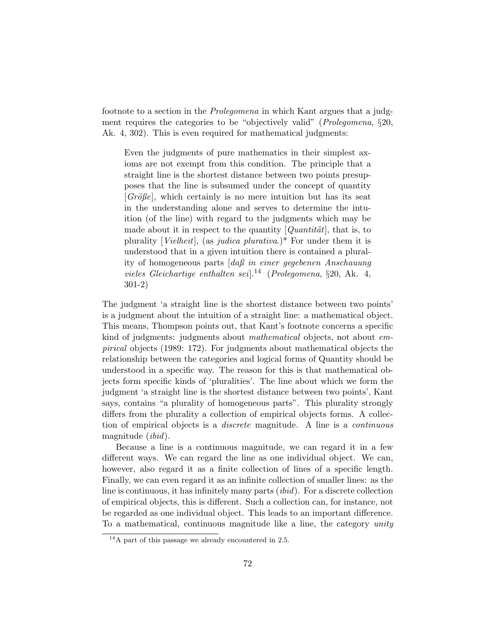footnote to a section in the Prolegomena in which Kant argues that a judgment requires the categories to be "objectively valid" (Prolegomena, §20, Ak. 4, 302). This is even required for mathematical judgments:

Even the judgments of pure mathematics in their simplest axioms are not exempt from this condition. The principle that a straight line is the shortest distance between two points presupposes that the line is subsumed under the concept of quantity  $[Gr\ddot{o}j\theta e]$ , which certainly is no mere intuition but has its seat in the understanding alone and serves to determine the intuition (of the line) with regard to the judgments which may be made about it in respect to the quantity  $[Quantit\ddot{a}t]$ , that is, to plurality [*Vielheit*], (as *judica plurativa*.)\* For under them it is understood that in a given intuition there is contained a plurality of homogeneous parts [daß in einer gegebenen Anschauung vieles Gleichartige enthalten sei $\cdot$ <sup>14</sup> (Prolegomena, §20, Ak. 4, 301-2)

The judgment 'a straight line is the shortest distance between two points' is a judgment about the intuition of a straight line: a mathematical object. This means, Thompson points out, that Kant's footnote concerns a specific kind of judgments: judgments about *mathematical* objects, not about *em*pirical objects (1989: 172). For judgments about mathematical objects the relationship between the categories and logical forms of Quantity should be understood in a specific way. The reason for this is that mathematical objects form specific kinds of 'pluralities'. The line about which we form the judgment 'a straight line is the shortest distance between two points', Kant says, contains "a plurality of homogeneous parts". This plurality strongly differs from the plurality a collection of empirical objects forms. A collection of empirical objects is a discrete magnitude. A line is a continuous magnitude (ibid).

Because a line is a continuous magnitude, we can regard it in a few different ways. We can regard the line as one individual object. We can, however, also regard it as a finite collection of lines of a specific length. Finally, we can even regard it as an infinite collection of smaller lines: as the line is continuous, it has infinitely many parts  $(ibid)$ . For a discrete collection of empirical objects, this is different. Such a collection can, for instance, not be regarded as one individual object. This leads to an important difference. To a mathematical, continuous magnitude like a line, the category unity

<sup>14</sup>A part of this passage we already encountered in 2.5.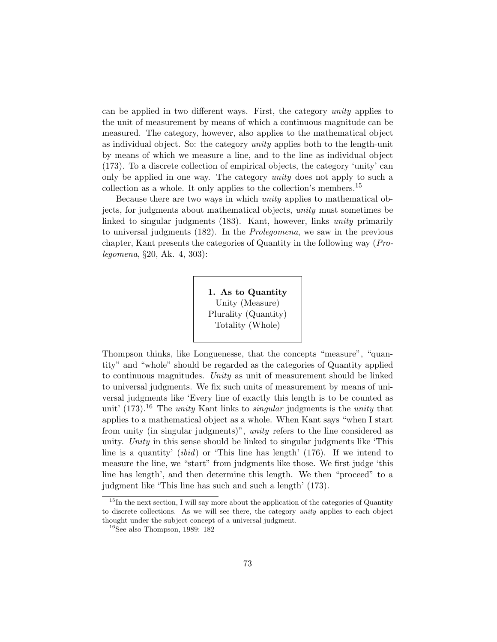can be applied in two different ways. First, the category unity applies to the unit of measurement by means of which a continuous magnitude can be measured. The category, however, also applies to the mathematical object as individual object. So: the category unity applies both to the length-unit by means of which we measure a line, and to the line as individual object (173). To a discrete collection of empirical objects, the category 'unity' can only be applied in one way. The category unity does not apply to such a collection as a whole. It only applies to the collection's members.<sup>15</sup>

Because there are two ways in which unity applies to mathematical objects, for judgments about mathematical objects, unity must sometimes be linked to singular judgments (183). Kant, however, links unity primarily to universal judgments (182). In the Prolegomena, we saw in the previous chapter, Kant presents the categories of Quantity in the following way (Prolegomena, §20, Ak. 4, 303):

> 1. As to Quantity Unity (Measure) Plurality (Quantity) Totality (Whole)

Thompson thinks, like Longuenesse, that the concepts "measure", "quantity" and "whole" should be regarded as the categories of Quantity applied to continuous magnitudes. Unity as unit of measurement should be linked to universal judgments. We fix such units of measurement by means of universal judgments like 'Every line of exactly this length is to be counted as unit' (173).<sup>16</sup> The *unity* Kant links to *singular* judgments is the *unity* that applies to a mathematical object as a whole. When Kant says "when I start from unity (in singular judgments)", unity refers to the line considered as unity. Unity in this sense should be linked to singular judgments like 'This line is a quantity'  $(ibid)$  or 'This line has length' (176). If we intend to measure the line, we "start" from judgments like those. We first judge 'this line has length', and then determine this length. We then "proceed" to a judgment like 'This line has such and such a length' (173).

<sup>&</sup>lt;sup>15</sup>In the next section, I will say more about the application of the categories of Quantity to discrete collections. As we will see there, the category unity applies to each object thought under the subject concept of a universal judgment.

 $16$ See also Thompson, 1989: 182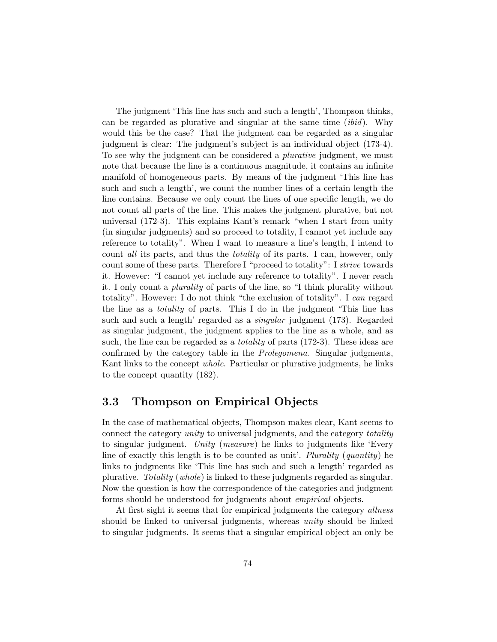The judgment 'This line has such and such a length', Thompson thinks, can be regarded as plurative and singular at the same time  $(ibid)$ . Why would this be the case? That the judgment can be regarded as a singular judgment is clear: The judgment's subject is an individual object (173-4). To see why the judgment can be considered a plurative judgment, we must note that because the line is a continuous magnitude, it contains an infinite manifold of homogeneous parts. By means of the judgment 'This line has such and such a length', we count the number lines of a certain length the line contains. Because we only count the lines of one specific length, we do not count all parts of the line. This makes the judgment plurative, but not universal (172-3). This explains Kant's remark "when I start from unity (in singular judgments) and so proceed to totality, I cannot yet include any reference to totality". When I want to measure a line's length, I intend to count all its parts, and thus the totality of its parts. I can, however, only count some of these parts. Therefore I "proceed to totality": I strive towards it. However: "I cannot yet include any reference to totality". I never reach it. I only count a plurality of parts of the line, so "I think plurality without totality". However: I do not think "the exclusion of totality". I can regard the line as a totality of parts. This I do in the judgment 'This line has such and such a length' regarded as a singular judgment (173). Regarded as singular judgment, the judgment applies to the line as a whole, and as such, the line can be regarded as a *totality* of parts (172-3). These ideas are confirmed by the category table in the Prolegomena. Singular judgments, Kant links to the concept *whole*. Particular or plurative judgments, he links to the concept quantity (182).

## 3.3 Thompson on Empirical Objects

In the case of mathematical objects, Thompson makes clear, Kant seems to connect the category unity to universal judgments, and the category totality to singular judgment. Unity (measure) he links to judgments like 'Every line of exactly this length is to be counted as unit'. Plurality (quantity) he links to judgments like 'This line has such and such a length' regarded as plurative. Totality (whole) is linked to these judgments regarded as singular. Now the question is how the correspondence of the categories and judgment forms should be understood for judgments about empirical objects.

At first sight it seems that for empirical judgments the category *allness* should be linked to universal judgments, whereas unity should be linked to singular judgments. It seems that a singular empirical object an only be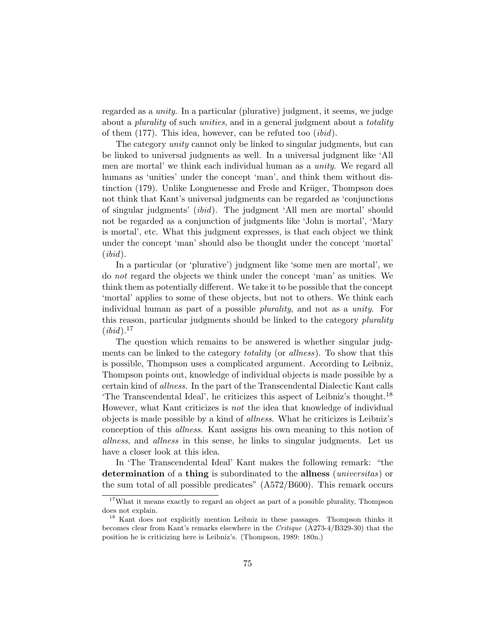regarded as a unity. In a particular (plurative) judgment, it seems, we judge about a *plurality* of such *unities*, and in a general judgment about a *totality* of them (177). This idea, however, can be refuted too (ibid).

The category *unity* cannot only be linked to singular judgments, but can be linked to universal judgments as well. In a universal judgment like 'All men are mortal' we think each individual human as a unity. We regard all humans as 'unities' under the concept 'man', and think them without distinction  $(179)$ . Unlike Longuenesse and Frede and Krüger, Thompson does not think that Kant's universal judgments can be regarded as 'conjunctions of singular judgments' (ibid). The judgment 'All men are mortal' should not be regarded as a conjunction of judgments like 'John is mortal', 'Mary is mortal', etc. What this judgment expresses, is that each object we think under the concept 'man' should also be thought under the concept 'mortal'  $(ibid).$ 

In a particular (or 'plurative') judgment like 'some men are mortal', we do not regard the objects we think under the concept 'man' as unities. We think them as potentially different. We take it to be possible that the concept 'mortal' applies to some of these objects, but not to others. We think each individual human as part of a possible plurality, and not as a unity. For this reason, particular judgments should be linked to the category *plurality*  $(ibid).^{17}$ 

The question which remains to be answered is whether singular judgments can be linked to the category *totality* (or *allness*). To show that this is possible, Thompson uses a complicated argument. According to Leibniz, Thompson points out, knowledge of individual objects is made possible by a certain kind of allness. In the part of the Transcendental Dialectic Kant calls The Transcendental Ideal', he criticizes this aspect of Leibniz's thought.<sup>18</sup> However, what Kant criticizes is not the idea that knowledge of individual objects is made possible by a kind of allness. What he criticizes is Leibniz's conception of this allness. Kant assigns his own meaning to this notion of allness, and allness in this sense, he links to singular judgments. Let us have a closer look at this idea.

In 'The Transcendental Ideal' Kant makes the following remark: "the determination of a thing is subordinated to the allness *(universitas)* or the sum total of all possible predicates" (A572/B600). This remark occurs

<sup>&</sup>lt;sup>17</sup>What it means exactly to regard an object as part of a possible plurality, Thompson does not explain.

<sup>&</sup>lt;sup>18</sup> Kant does not explicitly mention Leibniz in these passages. Thompson thinks it becomes clear from Kant's remarks elsewhere in the Critique (A273-4/B329-30) that the position he is criticizing here is Leibniz's. (Thompson, 1989: 180n.)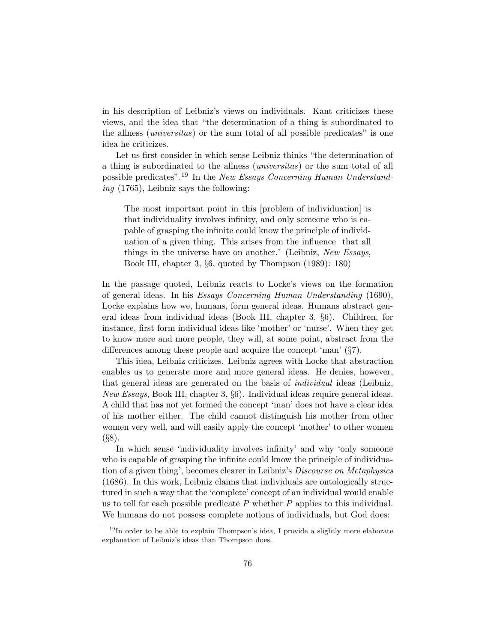in his description of Leibniz's views on individuals. Kant criticizes these views, and the idea that "the determination of a thing is subordinated to the allness *(universitas)* or the sum total of all possible predicates" is one idea he criticizes.

Let us first consider in which sense Leibniz thinks "the determination of a thing is subordinated to the allness (universitas) or the sum total of all possible predicates".<sup>19</sup> In the New Essays Concerning Human Understanding (1765), Leibniz says the following:

The most important point in this [problem of individuation] is that individuality involves infinity, and only someone who is capable of grasping the infinite could know the principle of individuation of a given thing. This arises from the influence that all things in the universe have on another.' (Leibniz, New Essays, Book III, chapter 3, §6, quoted by Thompson (1989): 180)

In the passage quoted, Leibniz reacts to Locke's views on the formation of general ideas. In his Essays Concerning Human Understanding (1690), Locke explains how we, humans, form general ideas. Humans abstract general ideas from individual ideas (Book III, chapter 3, §6). Children, for instance, first form individual ideas like 'mother' or 'nurse'. When they get to know more and more people, they will, at some point, abstract from the differences among these people and acquire the concept 'man' (§7).

This idea, Leibniz criticizes. Leibniz agrees with Locke that abstraction enables us to generate more and more general ideas. He denies, however, that general ideas are generated on the basis of individual ideas (Leibniz, *New Essays*, Book III, chapter 3,  $\S6$ ). Individual ideas require general ideas. A child that has not yet formed the concept 'man' does not have a clear idea of his mother either. The child cannot distinguish his mother from other women very well, and will easily apply the concept 'mother' to other women (§8).

In which sense 'individuality involves infinity' and why 'only someone who is capable of grasping the infinite could know the principle of individuation of a given thing', becomes clearer in Leibniz's Discourse on Metaphysics (1686). In this work, Leibniz claims that individuals are ontologically structured in such a way that the 'complete' concept of an individual would enable us to tell for each possible predicate  $P$  whether  $P$  applies to this individual. We humans do not possess complete notions of individuals, but God does:

<sup>&</sup>lt;sup>19</sup>In order to be able to explain Thompson's idea, I provide a slightly more elaborate explanation of Leibniz's ideas than Thompson does.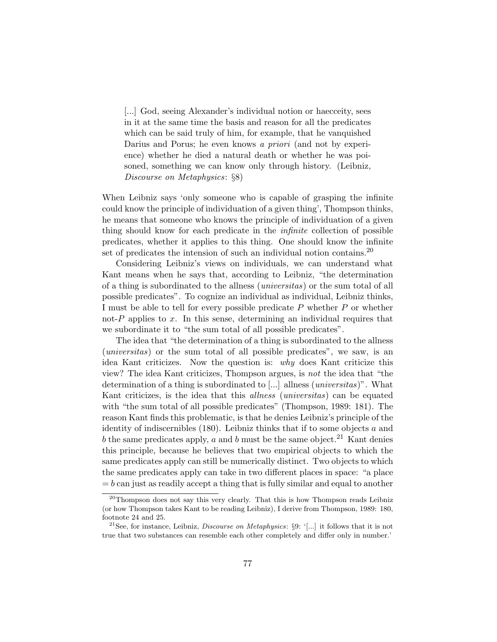[...] God, seeing Alexander's individual notion or haecceity, sees in it at the same time the basis and reason for all the predicates which can be said truly of him, for example, that he vanquished Darius and Porus; he even knows a priori (and not by experience) whether he died a natural death or whether he was poisoned, something we can know only through history. (Leibniz, Discourse on Metaphysics: §8)

When Leibniz says 'only someone who is capable of grasping the infinite could know the principle of individuation of a given thing', Thompson thinks, he means that someone who knows the principle of individuation of a given thing should know for each predicate in the infinite collection of possible predicates, whether it applies to this thing. One should know the infinite set of predicates the intension of such an individual notion contains.<sup>20</sup>

Considering Leibniz's views on individuals, we can understand what Kant means when he says that, according to Leibniz, "the determination of a thing is subordinated to the allness (universitas) or the sum total of all possible predicates". To cognize an individual as individual, Leibniz thinks, I must be able to tell for every possible predicate  $P$  whether  $P$  or whether not-P applies to x. In this sense, determining an individual requires that we subordinate it to "the sum total of all possible predicates".

The idea that "the determination of a thing is subordinated to the allness (universitas) or the sum total of all possible predicates", we saw, is an idea Kant criticizes. Now the question is: why does Kant criticize this view? The idea Kant criticizes, Thompson argues, is not the idea that "the determination of a thing is subordinated to [...] allness (*universitas*)". What Kant criticizes, is the idea that this *allness* (*universitas*) can be equated with "the sum total of all possible predicates" (Thompson, 1989: 181). The reason Kant finds this problematic, is that he denies Leibniz's principle of the identity of indiscernibles  $(180)$ . Leibniz thinks that if to some objects  $a$  and b the same predicates apply, a and b must be the same object.<sup>21</sup> Kant denies this principle, because he believes that two empirical objects to which the same predicates apply can still be numerically distinct. Two objects to which the same predicates apply can take in two different places in space: "a place  $= b$  can just as readily accept a thing that is fully similar and equal to another

<sup>&</sup>lt;sup>20</sup>Thompson does not say this very clearly. That this is how Thompson reads Leibniz (or how Thompson takes Kant to be reading Leibniz), I derive from Thompson, 1989: 180, footnote 24 and 25.

<sup>&</sup>lt;sup>21</sup>See, for instance, Leibniz, *Discourse on Metaphysics*: §9: '[...] it follows that it is not true that two substances can resemble each other completely and differ only in number.'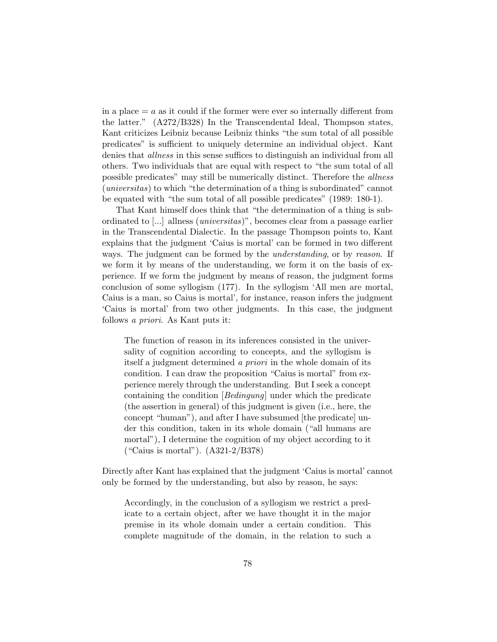in a place  $= a$  as it could if the former were ever so internally different from the latter." (A272/B328) In the Transcendental Ideal, Thompson states, Kant criticizes Leibniz because Leibniz thinks "the sum total of all possible predicates" is sufficient to uniquely determine an individual object. Kant denies that *allness* in this sense suffices to distinguish an individual from all others. Two individuals that are equal with respect to "the sum total of all possible predicates" may still be numerically distinct. Therefore the allness (universitas) to which "the determination of a thing is subordinated" cannot be equated with "the sum total of all possible predicates" (1989: 180-1).

That Kant himself does think that "the determination of a thing is subordinated to [...] allness (universitas)", becomes clear from a passage earlier in the Transcendental Dialectic. In the passage Thompson points to, Kant explains that the judgment 'Caius is mortal' can be formed in two different ways. The judgment can be formed by the *understanding*, or by reason. If we form it by means of the understanding, we form it on the basis of experience. If we form the judgment by means of reason, the judgment forms conclusion of some syllogism (177). In the syllogism 'All men are mortal, Caius is a man, so Caius is mortal', for instance, reason infers the judgment 'Caius is mortal' from two other judgments. In this case, the judgment follows a priori. As Kant puts it:

The function of reason in its inferences consisted in the universality of cognition according to concepts, and the syllogism is itself a judgment determined a priori in the whole domain of its condition. I can draw the proposition "Caius is mortal" from experience merely through the understanding. But I seek a concept containing the condition [Bedingung] under which the predicate (the assertion in general) of this judgment is given (i.e., here, the concept "human"), and after I have subsumed [the predicate] under this condition, taken in its whole domain ("all humans are mortal"), I determine the cognition of my object according to it ("Caius is mortal"). (A321-2/B378)

Directly after Kant has explained that the judgment 'Caius is mortal' cannot only be formed by the understanding, but also by reason, he says:

Accordingly, in the conclusion of a syllogism we restrict a predicate to a certain object, after we have thought it in the major premise in its whole domain under a certain condition. This complete magnitude of the domain, in the relation to such a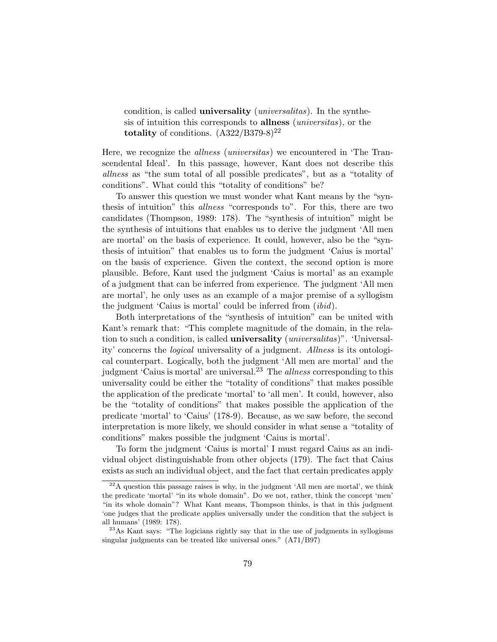condition, is called **universality** (*universalitas*). In the synthesis of intuition this corresponds to **allness** *(universitas)*, or the totality of conditions.  $(A322/B379-8)^{22}$ 

Here, we recognize the allness (universitas) we encountered in 'The Transcendental Ideal'. In this passage, however, Kant does not describe this allness as "the sum total of all possible predicates", but as a "totality of conditions". What could this "totality of conditions" be?

To answer this question we must wonder what Kant means by the "synthesis of intuition" this *allness* "corresponds to". For this, there are two candidates (Thompson, 1989: 178). The "synthesis of intuition" might be the synthesis of intuitions that enables us to derive the judgment 'All men are mortal' on the basis of experience. It could, however, also be the "synthesis of intuition" that enables us to form the judgment 'Caius is mortal' on the basis of experience. Given the context, the second option is more plausible. Before, Kant used the judgment 'Caius is mortal' as an example of a judgment that can be inferred from experience. The judgment 'All men are mortal', he only uses as an example of a major premise of a syllogism the judgment 'Caius is mortal' could be inferred from *(ibid)*.

Both interpretations of the "synthesis of intuition" can be united with Kant's remark that: "This complete magnitude of the domain, in the relation to such a condition, is called **universality** (*universalitas*)". 'Universality' concerns the logical universality of a judgment. Allness is its ontological counterpart. Logically, both the judgment 'All men are mortal' and the judgment 'Caius is mortal' are universal.<sup>23</sup> The allness corresponding to this universality could be either the "totality of conditions" that makes possible the application of the predicate 'mortal' to 'all men'. It could, however, also be the "totality of conditions" that makes possible the application of the predicate 'mortal' to 'Caius' (178-9). Because, as we saw before, the second interpretation is more likely, we should consider in what sense a "totality of conditions" makes possible the judgment 'Caius is mortal'.

To form the judgment 'Caius is mortal' I must regard Caius as an individual object distinguishable from other objects (179). The fact that Caius exists as such an individual object, and the fact that certain predicates apply

 $2<sup>22</sup>A$  question this passage raises is why, in the judgment 'All men are mortal', we think the predicate 'mortal' "in its whole domain". Do we not, rather, think the concept 'men' "in its whole domain"? What Kant means, Thompson thinks, is that in this judgment 'one judges that the predicate applies universally under the condition that the subject is all humans' (1989: 178).

<sup>23</sup>As Kant says: "The logicians rightly say that in the use of judgments in syllogisms singular judgments can be treated like universal ones." (A71/B97)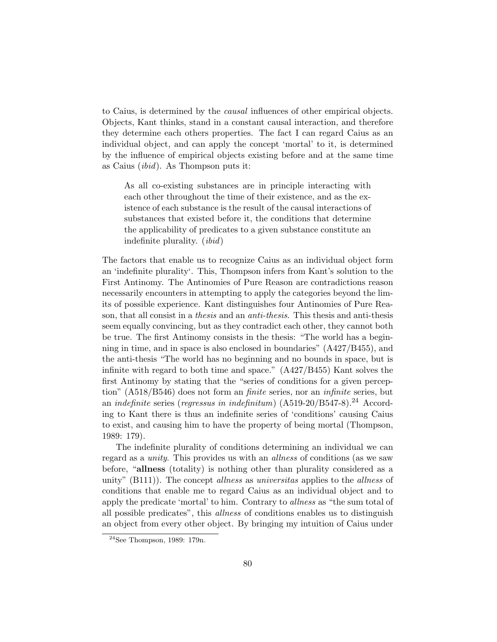to Caius, is determined by the causal influences of other empirical objects. Objects, Kant thinks, stand in a constant causal interaction, and therefore they determine each others properties. The fact I can regard Caius as an individual object, and can apply the concept 'mortal' to it, is determined by the influence of empirical objects existing before and at the same time as Caius (ibid). As Thompson puts it:

As all co-existing substances are in principle interacting with each other throughout the time of their existence, and as the existence of each substance is the result of the causal interactions of substances that existed before it, the conditions that determine the applicability of predicates to a given substance constitute an indefinite plurality. (ibid)

The factors that enable us to recognize Caius as an individual object form an 'indefinite plurality'. This, Thompson infers from Kant's solution to the First Antinomy. The Antinomies of Pure Reason are contradictions reason necessarily encounters in attempting to apply the categories beyond the limits of possible experience. Kant distinguishes four Antinomies of Pure Reason, that all consist in a thesis and an anti-thesis. This thesis and anti-thesis seem equally convincing, but as they contradict each other, they cannot both be true. The first Antinomy consists in the thesis: "The world has a beginning in time, and in space is also enclosed in boundaries" (A427/B455), and the anti-thesis "The world has no beginning and no bounds in space, but is infinite with regard to both time and space." (A427/B455) Kant solves the first Antinomy by stating that the "series of conditions for a given perception" (A518/B546) does not form an *finite* series, nor an *infinite* series, but an *indefinite* series (*regressus in indefinitum*)  $(A519-20/B547-8).^{24}$  According to Kant there is thus an indefinite series of 'conditions' causing Caius to exist, and causing him to have the property of being mortal (Thompson, 1989: 179).

The indefinite plurality of conditions determining an individual we can regard as a unity. This provides us with an allness of conditions (as we saw before, "allness (totality) is nothing other than plurality considered as a unity"  $(B111)$ ). The concept *allness* as *universitas* applies to the *allness* of conditions that enable me to regard Caius as an individual object and to apply the predicate 'mortal' to him. Contrary to *allness* as "the sum total of all possible predicates", this allness of conditions enables us to distinguish an object from every other object. By bringing my intuition of Caius under

<sup>24</sup>See Thompson, 1989: 179n.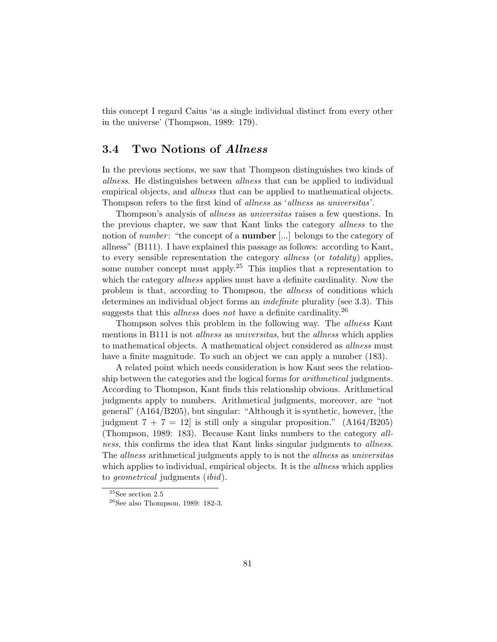this concept I regard Caius 'as a single individual distinct from every other in the universe' (Thompson, 1989: 179).

#### 3.4 Two Notions of Allness

In the previous sections, we saw that Thompson distinguishes two kinds of allness. He distinguishes between allness that can be applied to individual empirical objects, and *allness* that can be applied to mathematical objects. Thompson refers to the first kind of allness as 'allness as universitas'.

Thompson's analysis of allness as universitas raises a few questions. In the previous chapter, we saw that Kant links the category *allness* to the notion of *number*: "the concept of a **number** [...] belongs to the category of allness" (B111). I have explained this passage as follows: according to Kant, to every sensible representation the category *allness* (or *totality*) applies, some number concept must apply.<sup>25</sup> This implies that a representation to which the category *allness* applies must have a definite cardinality. Now the problem is that, according to Thompson, the allness of conditions which determines an individual object forms an indefinite plurality (see 3.3). This suggests that this *allness* does not have a definite cardinality.<sup>26</sup>

Thompson solves this problem in the following way. The allness Kant mentions in B111 is not *allness* as *universitas*, but the *allness* which applies to mathematical objects. A mathematical object considered as *allness* must have a finite magnitude. To such an object we can apply a number (183).

A related point which needs consideration is how Kant sees the relationship between the categories and the logical forms for arithmetical judgments. According to Thompson, Kant finds this relationship obvious. Arithmetical judgments apply to numbers. Arithmetical judgments, moreover, are "not general" (A164/B205), but singular: "Although it is synthetic, however, [the judgment  $7 + 7 = 12$  is still only a singular proposition."  $(A164/B205)$ (Thompson, 1989: 183). Because Kant links numbers to the category allness, this confirms the idea that Kant links singular judgments to *allness*. The *allness* arithmetical judgments apply to is not the *allness* as *universitas* which applies to individual, empirical objects. It is the *allness* which applies to geometrical judgments (ibid).

 $^{25}\rm{See}$  section  $2.5$ 

 $26$ See also Thompson, 1989: 182-3.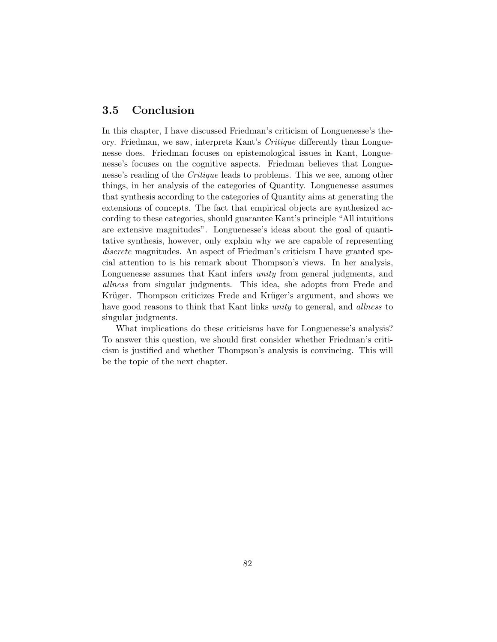## 3.5 Conclusion

In this chapter, I have discussed Friedman's criticism of Longuenesse's theory. Friedman, we saw, interprets Kant's Critique differently than Longuenesse does. Friedman focuses on epistemological issues in Kant, Longuenesse's focuses on the cognitive aspects. Friedman believes that Longuenesse's reading of the *Critique* leads to problems. This we see, among other things, in her analysis of the categories of Quantity. Longuenesse assumes that synthesis according to the categories of Quantity aims at generating the extensions of concepts. The fact that empirical objects are synthesized according to these categories, should guarantee Kant's principle "All intuitions are extensive magnitudes". Longuenesse's ideas about the goal of quantitative synthesis, however, only explain why we are capable of representing discrete magnitudes. An aspect of Friedman's criticism I have granted special attention to is his remark about Thompson's views. In her analysis, Longuenesse assumes that Kant infers unity from general judgments, and allness from singular judgments. This idea, she adopts from Frede and Krüger. Thompson criticizes Frede and Krüger's argument, and shows we have good reasons to think that Kant links unity to general, and *allness* to singular judgments.

What implications do these criticisms have for Longuenesse's analysis? To answer this question, we should first consider whether Friedman's criticism is justified and whether Thompson's analysis is convincing. This will be the topic of the next chapter.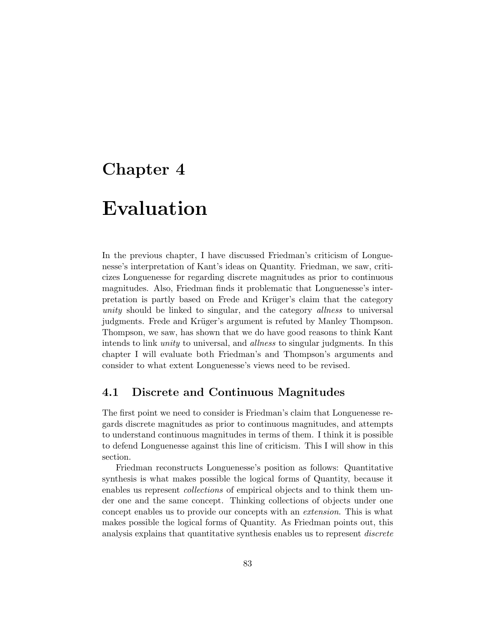# Chapter 4

# Evaluation

In the previous chapter, I have discussed Friedman's criticism of Longuenesse's interpretation of Kant's ideas on Quantity. Friedman, we saw, criticizes Longuenesse for regarding discrete magnitudes as prior to continuous magnitudes. Also, Friedman finds it problematic that Longuenesse's interpretation is partly based on Frede and Krüger's claim that the category unity should be linked to singular, and the category *allness* to universal judgments. Frede and Krüger's argument is refuted by Manley Thompson. Thompson, we saw, has shown that we do have good reasons to think Kant intends to link unity to universal, and allness to singular judgments. In this chapter I will evaluate both Friedman's and Thompson's arguments and consider to what extent Longuenesse's views need to be revised.

#### 4.1 Discrete and Continuous Magnitudes

The first point we need to consider is Friedman's claim that Longuenesse regards discrete magnitudes as prior to continuous magnitudes, and attempts to understand continuous magnitudes in terms of them. I think it is possible to defend Longuenesse against this line of criticism. This I will show in this section.

Friedman reconstructs Longuenesse's position as follows: Quantitative synthesis is what makes possible the logical forms of Quantity, because it enables us represent *collections* of empirical objects and to think them under one and the same concept. Thinking collections of objects under one concept enables us to provide our concepts with an extension. This is what makes possible the logical forms of Quantity. As Friedman points out, this analysis explains that quantitative synthesis enables us to represent *discrete*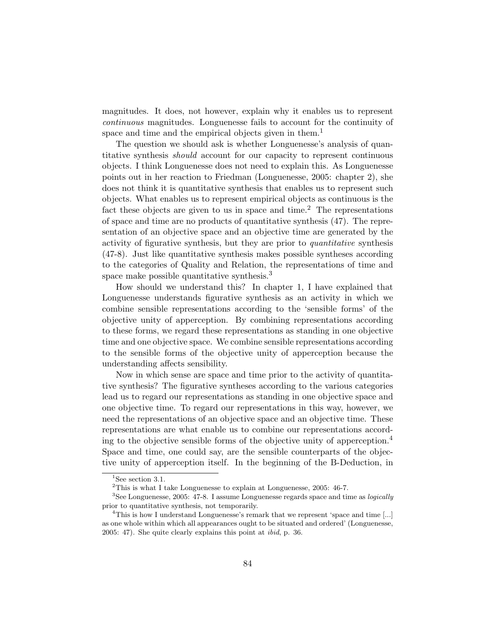magnitudes. It does, not however, explain why it enables us to represent continuous magnitudes. Longuenesse fails to account for the continuity of space and time and the empirical objects given in them.<sup>1</sup>

The question we should ask is whether Longuenesse's analysis of quantitative synthesis should account for our capacity to represent continuous objects. I think Longuenesse does not need to explain this. As Longuenesse points out in her reaction to Friedman (Longuenesse, 2005: chapter 2), she does not think it is quantitative synthesis that enables us to represent such objects. What enables us to represent empirical objects as continuous is the fact these objects are given to us in space and time.<sup>2</sup> The representations of space and time are no products of quantitative synthesis (47). The representation of an objective space and an objective time are generated by the activity of figurative synthesis, but they are prior to quantitative synthesis (47-8). Just like quantitative synthesis makes possible syntheses according to the categories of Quality and Relation, the representations of time and space make possible quantitative synthesis.<sup>3</sup>

How should we understand this? In chapter 1, I have explained that Longuenesse understands figurative synthesis as an activity in which we combine sensible representations according to the 'sensible forms' of the objective unity of apperception. By combining representations according to these forms, we regard these representations as standing in one objective time and one objective space. We combine sensible representations according to the sensible forms of the objective unity of apperception because the understanding affects sensibility.

Now in which sense are space and time prior to the activity of quantitative synthesis? The figurative syntheses according to the various categories lead us to regard our representations as standing in one objective space and one objective time. To regard our representations in this way, however, we need the representations of an objective space and an objective time. These representations are what enable us to combine our representations according to the objective sensible forms of the objective unity of apperception.<sup>4</sup> Space and time, one could say, are the sensible counterparts of the objective unity of apperception itself. In the beginning of the B-Deduction, in

<sup>&</sup>lt;sup>1</sup>See section 3.1.

 $2$ This is what I take Longuenesse to explain at Longuenesse, 2005: 46-7.

 $3$ See Longuenesse, 2005: 47-8. I assume Longuenesse regards space and time as *logically* prior to quantitative synthesis, not temporarily.

<sup>&</sup>lt;sup>4</sup>This is how I understand Longuenesse's remark that we represent 'space and time [...] as one whole within which all appearances ought to be situated and ordered' (Longuenesse, 2005: 47). She quite clearly explains this point at ibid, p. 36.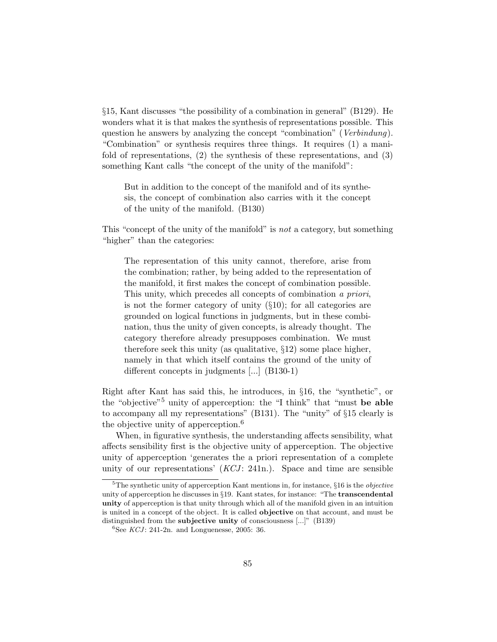§15, Kant discusses "the possibility of a combination in general" (B129). He wonders what it is that makes the synthesis of representations possible. This question he answers by analyzing the concept "combination" (Verbindung). "Combination" or synthesis requires three things. It requires (1) a manifold of representations, (2) the synthesis of these representations, and (3) something Kant calls "the concept of the unity of the manifold":

But in addition to the concept of the manifold and of its synthesis, the concept of combination also carries with it the concept of the unity of the manifold. (B130)

This "concept of the unity of the manifold" is not a category, but something "higher" than the categories:

The representation of this unity cannot, therefore, arise from the combination; rather, by being added to the representation of the manifold, it first makes the concept of combination possible. This unity, which precedes all concepts of combination a priori, is not the former category of unity  $(\S10)$ ; for all categories are grounded on logical functions in judgments, but in these combination, thus the unity of given concepts, is already thought. The category therefore already presupposes combination. We must therefore seek this unity (as qualitative, §12) some place higher, namely in that which itself contains the ground of the unity of different concepts in judgments [...] (B130-1)

Right after Kant has said this, he introduces, in §16, the "synthetic", or the "objective"<sup>5</sup> unity of apperception: the "I think" that "must be able to accompany all my representations" (B131). The "unity" of §15 clearly is the objective unity of apperception.<sup>6</sup>

When, in figurative synthesis, the understanding affects sensibility, what affects sensibility first is the objective unity of apperception. The objective unity of apperception 'generates the a priori representation of a complete unity of our representations'  $(KCI: 241n)$ . Space and time are sensible

 $5$ The synthetic unity of apperception Kant mentions in, for instance,  $§16$  is the *objective* unity of apperception he discusses in  $\S 19$ . Kant states, for instance: "The **transcendental** unity of apperception is that unity through which all of the manifold given in an intuition is united in a concept of the object. It is called objective on that account, and must be distinguished from the subjective unity of consciousness [...]" (B139)

 $6$ See KCJ: 241-2n. and Longuenesse, 2005: 36.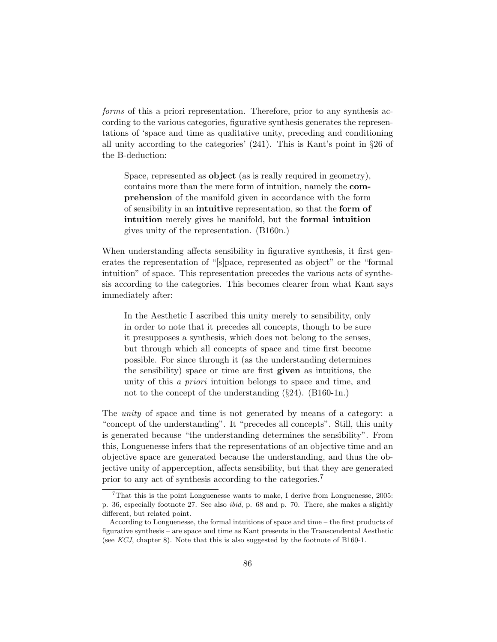forms of this a priori representation. Therefore, prior to any synthesis according to the various categories, figurative synthesis generates the representations of 'space and time as qualitative unity, preceding and conditioning all unity according to the categories' (241). This is Kant's point in §26 of the B-deduction:

Space, represented as **object** (as is really required in geometry), contains more than the mere form of intuition, namely the comprehension of the manifold given in accordance with the form of sensibility in an intuitive representation, so that the form of intuition merely gives he manifold, but the formal intuition gives unity of the representation. (B160n.)

When understanding affects sensibility in figurative synthesis, it first generates the representation of "[s]pace, represented as object" or the "formal intuition" of space. This representation precedes the various acts of synthesis according to the categories. This becomes clearer from what Kant says immediately after:

In the Aesthetic I ascribed this unity merely to sensibility, only in order to note that it precedes all concepts, though to be sure it presupposes a synthesis, which does not belong to the senses, but through which all concepts of space and time first become possible. For since through it (as the understanding determines the sensibility) space or time are first given as intuitions, the unity of this a priori intuition belongs to space and time, and not to the concept of the understanding  $(\S 24)$ . (B160-1n.)

The *unity* of space and time is not generated by means of a category: a "concept of the understanding". It "precedes all concepts". Still, this unity is generated because "the understanding determines the sensibility". From this, Longuenesse infers that the representations of an objective time and an objective space are generated because the understanding, and thus the objective unity of apperception, affects sensibility, but that they are generated prior to any act of synthesis according to the categories.<sup>7</sup>

 $7$ That this is the point Longuenesse wants to make, I derive from Longuenesse, 2005: p. 36, especially footnote 27. See also ibid, p. 68 and p. 70. There, she makes a slightly different, but related point.

According to Longuenesse, the formal intuitions of space and time – the first products of figurative synthesis – are space and time as Kant presents in the Transcendental Aesthetic (see KCJ, chapter 8). Note that this is also suggested by the footnote of B160-1.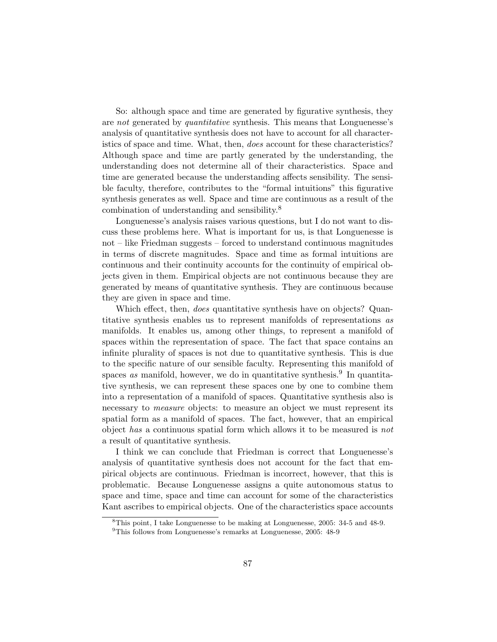So: although space and time are generated by figurative synthesis, they are not generated by quantitative synthesis. This means that Longuenesse's analysis of quantitative synthesis does not have to account for all characteristics of space and time. What, then, does account for these characteristics? Although space and time are partly generated by the understanding, the understanding does not determine all of their characteristics. Space and time are generated because the understanding affects sensibility. The sensible faculty, therefore, contributes to the "formal intuitions" this figurative synthesis generates as well. Space and time are continuous as a result of the combination of understanding and sensibility.<sup>8</sup>

Longuenesse's analysis raises various questions, but I do not want to discuss these problems here. What is important for us, is that Longuenesse is not – like Friedman suggests – forced to understand continuous magnitudes in terms of discrete magnitudes. Space and time as formal intuitions are continuous and their continuity accounts for the continuity of empirical objects given in them. Empirical objects are not continuous because they are generated by means of quantitative synthesis. They are continuous because they are given in space and time.

Which effect, then, *does* quantitative synthesis have on objects? Quantitative synthesis enables us to represent manifolds of representations as manifolds. It enables us, among other things, to represent a manifold of spaces within the representation of space. The fact that space contains an infinite plurality of spaces is not due to quantitative synthesis. This is due to the specific nature of our sensible faculty. Representing this manifold of spaces as manifold, however, we do in quantitative synthesis.<sup>9</sup> In quantitative synthesis, we can represent these spaces one by one to combine them into a representation of a manifold of spaces. Quantitative synthesis also is necessary to *measure* objects: to measure an object we must represent its spatial form as a manifold of spaces. The fact, however, that an empirical object has a continuous spatial form which allows it to be measured is not a result of quantitative synthesis.

I think we can conclude that Friedman is correct that Longuenesse's analysis of quantitative synthesis does not account for the fact that empirical objects are continuous. Friedman is incorrect, however, that this is problematic. Because Longuenesse assigns a quite autonomous status to space and time, space and time can account for some of the characteristics Kant ascribes to empirical objects. One of the characteristics space accounts

<sup>8</sup>This point, I take Longuenesse to be making at Longuenesse, 2005: 34-5 and 48-9.

<sup>9</sup>This follows from Longuenesse's remarks at Longuenesse, 2005: 48-9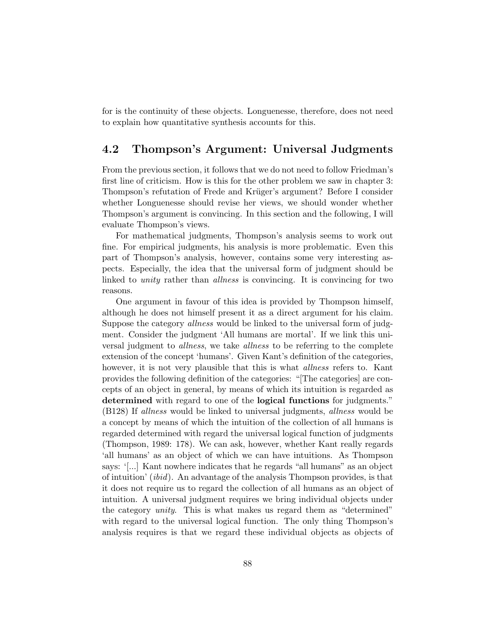for is the continuity of these objects. Longuenesse, therefore, does not need to explain how quantitative synthesis accounts for this.

#### 4.2 Thompson's Argument: Universal Judgments

From the previous section, it follows that we do not need to follow Friedman's first line of criticism. How is this for the other problem we saw in chapter 3: Thompson's refutation of Frede and Krüger's argument? Before I consider whether Longuenesse should revise her views, we should wonder whether Thompson's argument is convincing. In this section and the following, I will evaluate Thompson's views.

For mathematical judgments, Thompson's analysis seems to work out fine. For empirical judgments, his analysis is more problematic. Even this part of Thompson's analysis, however, contains some very interesting aspects. Especially, the idea that the universal form of judgment should be linked to unity rather than allness is convincing. It is convincing for two reasons.

One argument in favour of this idea is provided by Thompson himself, although he does not himself present it as a direct argument for his claim. Suppose the category allness would be linked to the universal form of judgment. Consider the judgment 'All humans are mortal'. If we link this universal judgment to *allness*, we take *allness* to be referring to the complete extension of the concept 'humans'. Given Kant's definition of the categories, however, it is not very plausible that this is what *allness* refers to. Kant provides the following definition of the categories: "[The categories] are concepts of an object in general, by means of which its intuition is regarded as determined with regard to one of the logical functions for judgments." (B128) If allness would be linked to universal judgments, allness would be a concept by means of which the intuition of the collection of all humans is regarded determined with regard the universal logical function of judgments (Thompson, 1989: 178). We can ask, however, whether Kant really regards 'all humans' as an object of which we can have intuitions. As Thompson says: '[...] Kant nowhere indicates that he regards "all humans" as an object of intuition' (ibid). An advantage of the analysis Thompson provides, is that it does not require us to regard the collection of all humans as an object of intuition. A universal judgment requires we bring individual objects under the category unity. This is what makes us regard them as "determined" with regard to the universal logical function. The only thing Thompson's analysis requires is that we regard these individual objects as objects of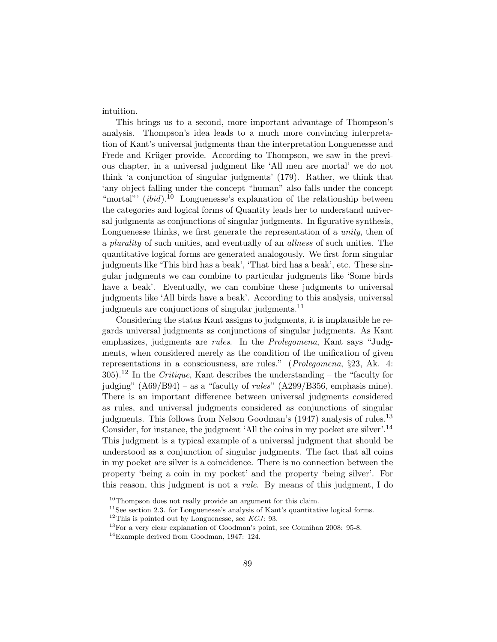intuition.

This brings us to a second, more important advantage of Thompson's analysis. Thompson's idea leads to a much more convincing interpretation of Kant's universal judgments than the interpretation Longuenesse and Frede and Krüger provide. According to Thompson, we saw in the previous chapter, in a universal judgment like 'All men are mortal' we do not think 'a conjunction of singular judgments' (179). Rather, we think that 'any object falling under the concept "human" also falls under the concept "mortal"'  $(ibid).^{10}$  Longuenesse's explanation of the relationship between the categories and logical forms of Quantity leads her to understand universal judgments as conjunctions of singular judgments. In figurative synthesis, Longuenesse thinks, we first generate the representation of a *unity*, then of a plurality of such unities, and eventually of an allness of such unities. The quantitative logical forms are generated analogously. We first form singular judgments like 'This bird has a beak', 'That bird has a beak', etc. These singular judgments we can combine to particular judgments like 'Some birds have a beak'. Eventually, we can combine these judgments to universal judgments like 'All birds have a beak'. According to this analysis, universal judgments are conjunctions of singular judgments.<sup>11</sup>

Considering the status Kant assigns to judgments, it is implausible he regards universal judgments as conjunctions of singular judgments. As Kant emphasizes, judgments are rules. In the Prolegomena, Kant says "Judgments, when considered merely as the condition of the unification of given representations in a consciousness, are rules." (Prolegomena, §23, Ak. 4:  $305$ .<sup>12</sup> In the *Critique*, Kant describes the understanding – the "faculty for judging"  $(AG9/B94)$  – as a "faculty of *rules*"  $(A299/B356$ , emphasis mine). There is an important difference between universal judgments considered as rules, and universal judgments considered as conjunctions of singular judgments. This follows from Nelson Goodman's (1947) analysis of rules.<sup>13</sup> Consider, for instance, the judgment 'All the coins in my pocket are silver'.<sup>14</sup> This judgment is a typical example of a universal judgment that should be understood as a conjunction of singular judgments. The fact that all coins in my pocket are silver is a coincidence. There is no connection between the property 'being a coin in my pocket' and the property 'being silver'. For this reason, this judgment is not a rule. By means of this judgment, I do

 $10$ Thompson does not really provide an argument for this claim.

<sup>&</sup>lt;sup>11</sup>See section 2.3. for Longuenesse's analysis of Kant's quantitative logical forms.

 $12$ This is pointed out by Longuenesse, see  $KCI$ : 93.

<sup>13</sup>For a very clear explanation of Goodman's point, see Counihan 2008: 95-8.

<sup>&</sup>lt;sup>14</sup>Example derived from Goodman, 1947: 124.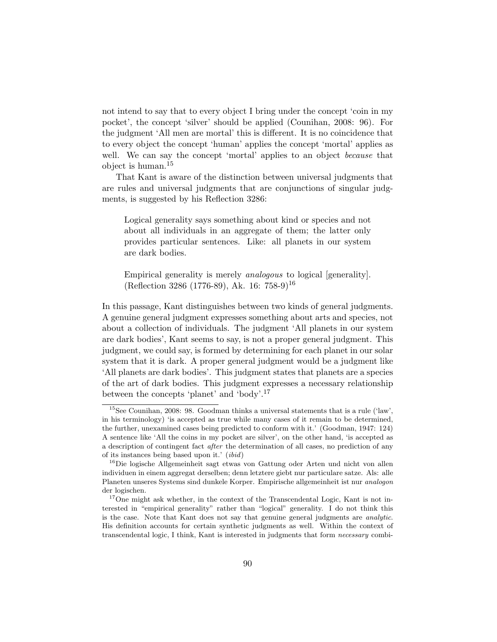not intend to say that to every object I bring under the concept 'coin in my pocket', the concept 'silver' should be applied (Counihan, 2008: 96). For the judgment 'All men are mortal' this is different. It is no coincidence that to every object the concept 'human' applies the concept 'mortal' applies as well. We can say the concept 'mortal' applies to an object *because* that object is human.<sup>15</sup>

That Kant is aware of the distinction between universal judgments that are rules and universal judgments that are conjunctions of singular judgments, is suggested by his Reflection 3286:

Logical generality says something about kind or species and not about all individuals in an aggregate of them; the latter only provides particular sentences. Like: all planets in our system are dark bodies.

Empirical generality is merely analogous to logical [generality]. (Reflection 3286 (1776-89), Ak. 16: 758-9)<sup>16</sup>

In this passage, Kant distinguishes between two kinds of general judgments. A genuine general judgment expresses something about arts and species, not about a collection of individuals. The judgment 'All planets in our system are dark bodies', Kant seems to say, is not a proper general judgment. This judgment, we could say, is formed by determining for each planet in our solar system that it is dark. A proper general judgment would be a judgment like 'All planets are dark bodies'. This judgment states that planets are a species of the art of dark bodies. This judgment expresses a necessary relationship between the concepts 'planet' and 'body'.<sup>17</sup>

 $15$ See Counihan, 2008: 98. Goodman thinks a universal statements that is a rule ('law', in his terminology) 'is accepted as true while many cases of it remain to be determined, the further, unexamined cases being predicted to conform with it.' (Goodman, 1947: 124) A sentence like 'All the coins in my pocket are silver', on the other hand, 'is accepted as a description of contingent fact after the determination of all cases, no prediction of any of its instances being based upon it.' (ibid)

<sup>&</sup>lt;sup>16</sup>Die logische Allgemeinheit sagt etwas von Gattung oder Arten und nicht von allen individuen in einem aggregat derselben; denn letztere giebt nur particulare satze. Als: alle Planeten unseres Systems sind dunkele Korper. Empirische allgemeinheit ist nur analogon der logischen.

<sup>&</sup>lt;sup>17</sup>One might ask whether, in the context of the Transcendental Logic, Kant is not interested in "empirical generality" rather than "logical" generality. I do not think this is the case. Note that Kant does not say that genuine general judgments are analytic. His definition accounts for certain synthetic judgments as well. Within the context of transcendental logic, I think, Kant is interested in judgments that form necessary combi-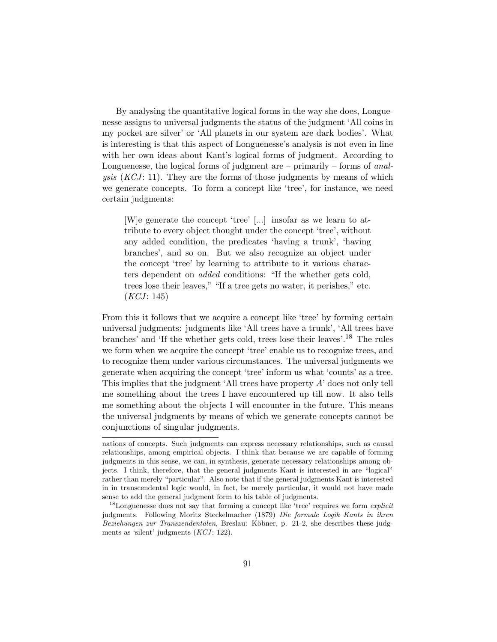By analysing the quantitative logical forms in the way she does, Longuenesse assigns to universal judgments the status of the judgment 'All coins in my pocket are silver' or 'All planets in our system are dark bodies'. What is interesting is that this aspect of Longuenesse's analysis is not even in line with her own ideas about Kant's logical forms of judgment. According to Longuenesse, the logical forms of judgment are – primarily – forms of *anal*ysis  $(KCI: 11)$ . They are the forms of those judgments by means of which we generate concepts. To form a concept like 'tree', for instance, we need certain judgments:

[W]e generate the concept 'tree' [...] insofar as we learn to attribute to every object thought under the concept 'tree', without any added condition, the predicates 'having a trunk', 'having branches', and so on. But we also recognize an object under the concept 'tree' by learning to attribute to it various characters dependent on added conditions: "If the whether gets cold, trees lose their leaves," "If a tree gets no water, it perishes," etc.  $(KCI: 145)$ 

From this it follows that we acquire a concept like 'tree' by forming certain universal judgments: judgments like 'All trees have a trunk', 'All trees have branches' and 'If the whether gets cold, trees lose their leaves'.<sup>18</sup> The rules we form when we acquire the concept 'tree' enable us to recognize trees, and to recognize them under various circumstances. The universal judgments we generate when acquiring the concept 'tree' inform us what 'counts' as a tree. This implies that the judgment 'All trees have property A' does not only tell me something about the trees I have encountered up till now. It also tells me something about the objects I will encounter in the future. This means the universal judgments by means of which we generate concepts cannot be conjunctions of singular judgments.

nations of concepts. Such judgments can express necessary relationships, such as causal relationships, among empirical objects. I think that because we are capable of forming judgments in this sense, we can, in synthesis, generate necessary relationships among objects. I think, therefore, that the general judgments Kant is interested in are "logical" rather than merely "particular". Also note that if the general judgments Kant is interested in in transcendental logic would, in fact, be merely particular, it would not have made sense to add the general judgment form to his table of judgments.

<sup>&</sup>lt;sup>18</sup>Longuenesse does not say that forming a concept like 'tree' requires we form *explicit* judgments. Following Moritz Steckelmacher (1879) Die formale Logik Kants in ihren Beziehungen zur Transzendentalen, Breslau: Köbner, p. 21-2, she describes these judgments as 'silent' judgments  $(KCI: 122)$ .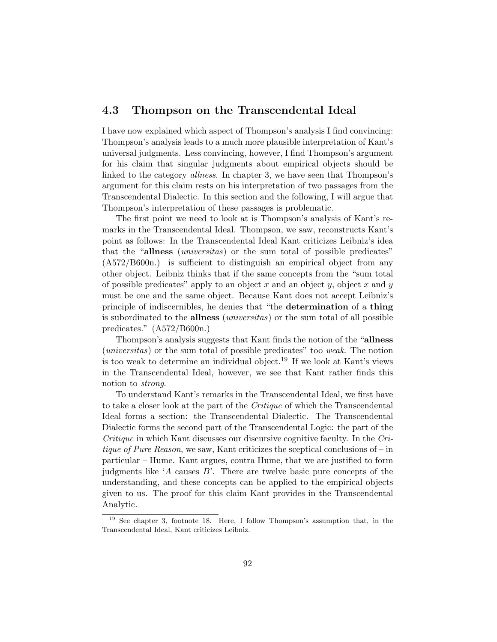## 4.3 Thompson on the Transcendental Ideal

I have now explained which aspect of Thompson's analysis I find convincing: Thompson's analysis leads to a much more plausible interpretation of Kant's universal judgments. Less convincing, however, I find Thompson's argument for his claim that singular judgments about empirical objects should be linked to the category *allness*. In chapter 3, we have seen that Thompson's argument for this claim rests on his interpretation of two passages from the Transcendental Dialectic. In this section and the following, I will argue that Thompson's interpretation of these passages is problematic.

The first point we need to look at is Thompson's analysis of Kant's remarks in the Transcendental Ideal. Thompson, we saw, reconstructs Kant's point as follows: In the Transcendental Ideal Kant criticizes Leibniz's idea that the "allness *(universitas)* or the sum total of possible predicates" (A572/B600n.) is sufficient to distinguish an empirical object from any other object. Leibniz thinks that if the same concepts from the "sum total of possible predicates" apply to an object x and an object y, object x and y must be one and the same object. Because Kant does not accept Leibniz's principle of indiscernibles, he denies that "the determination of a thing is subordinated to the allness (universitas) or the sum total of all possible predicates." (A572/B600n.)

Thompson's analysis suggests that Kant finds the notion of the "allness (universitas) or the sum total of possible predicates" too weak. The notion is too weak to determine an individual object.<sup>19</sup> If we look at Kant's views in the Transcendental Ideal, however, we see that Kant rather finds this notion to strong.

To understand Kant's remarks in the Transcendental Ideal, we first have to take a closer look at the part of the Critique of which the Transcendental Ideal forms a section: the Transcendental Dialectic. The Transcendental Dialectic forms the second part of the Transcendental Logic: the part of the Critique in which Kant discusses our discursive cognitive faculty. In the Critique of Pure Reason, we saw, Kant criticizes the sceptical conclusions of – in particular – Hume. Kant argues, contra Hume, that we are justified to form judgments like  $A$  causes  $B$ . There are twelve basic pure concepts of the understanding, and these concepts can be applied to the empirical objects given to us. The proof for this claim Kant provides in the Transcendental Analytic.

<sup>19</sup> See chapter 3, footnote 18. Here, I follow Thompson's assumption that, in the Transcendental Ideal, Kant criticizes Leibniz.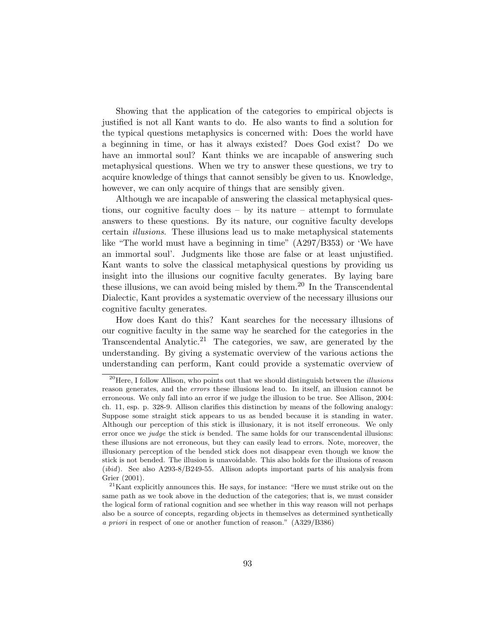Showing that the application of the categories to empirical objects is justified is not all Kant wants to do. He also wants to find a solution for the typical questions metaphysics is concerned with: Does the world have a beginning in time, or has it always existed? Does God exist? Do we have an immortal soul? Kant thinks we are incapable of answering such metaphysical questions. When we try to answer these questions, we try to acquire knowledge of things that cannot sensibly be given to us. Knowledge, however, we can only acquire of things that are sensibly given.

Although we are incapable of answering the classical metaphysical questions, our cognitive faculty does – by its nature – attempt to formulate answers to these questions. By its nature, our cognitive faculty develops certain illusions. These illusions lead us to make metaphysical statements like "The world must have a beginning in time" (A297/B353) or 'We have an immortal soul'. Judgments like those are false or at least unjustified. Kant wants to solve the classical metaphysical questions by providing us insight into the illusions our cognitive faculty generates. By laying bare these illusions, we can avoid being misled by them.<sup>20</sup> In the Transcendental Dialectic, Kant provides a systematic overview of the necessary illusions our cognitive faculty generates.

How does Kant do this? Kant searches for the necessary illusions of our cognitive faculty in the same way he searched for the categories in the Transcendental Analytic.<sup>21</sup> The categories, we saw, are generated by the understanding. By giving a systematic overview of the various actions the understanding can perform, Kant could provide a systematic overview of

 $^{20}$ Here, I follow Allison, who points out that we should distinguish between the *illusions* reason generates, and the errors these illusions lead to. In itself, an illusion cannot be erroneous. We only fall into an error if we judge the illusion to be true. See Allison, 2004: ch. 11, esp. p. 328-9. Allison clarifies this distinction by means of the following analogy: Suppose some straight stick appears to us as bended because it is standing in water. Although our perception of this stick is illusionary, it is not itself erroneous. We only error once we *judge* the stick *is* bended. The same holds for our transcendental illusions: these illusions are not erroneous, but they can easily lead to errors. Note, moreover, the illusionary perception of the bended stick does not disappear even though we know the stick is not bended. The illusion is unavoidable. This also holds for the illusions of reason (*ibid*). See also A293-8/B249-55. Allison adopts important parts of his analysis from Grier (2001).

 $21$ Kant explicitly announces this. He says, for instance: "Here we must strike out on the same path as we took above in the deduction of the categories; that is, we must consider the logical form of rational cognition and see whether in this way reason will not perhaps also be a source of concepts, regarding objects in themselves as determined synthetically a priori in respect of one or another function of reason." (A329/B386)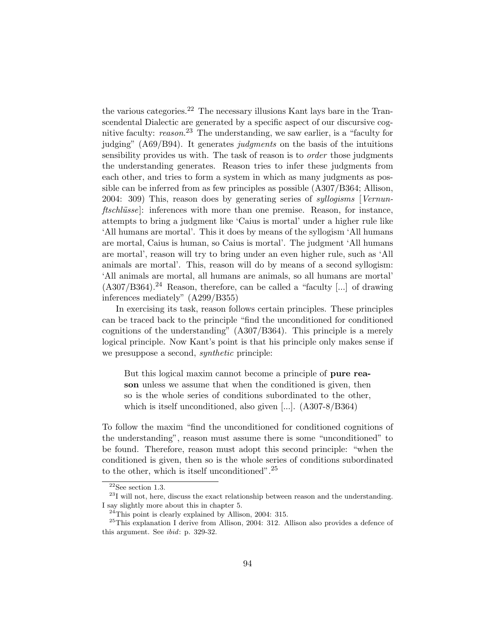the various categories.<sup>22</sup> The necessary illusions Kant lays bare in the Transcendental Dialectic are generated by a specific aspect of our discursive cognitive faculty: reason.<sup>23</sup> The understanding, we saw earlier, is a "faculty for judging"  $(AG9/B94)$ . It generates judgments on the basis of the intuitions sensibility provides us with. The task of reason is to *order* those judgments the understanding generates. Reason tries to infer these judgments from each other, and tries to form a system in which as many judgments as possible can be inferred from as few principles as possible (A307/B364; Allison, 2004: 309) This, reason does by generating series of syllogisms [Vernun $ftschlüsse$ : inferences with more than one premise. Reason, for instance, attempts to bring a judgment like 'Caius is mortal' under a higher rule like 'All humans are mortal'. This it does by means of the syllogism 'All humans are mortal, Caius is human, so Caius is mortal'. The judgment 'All humans are mortal', reason will try to bring under an even higher rule, such as 'All animals are mortal'. This, reason will do by means of a second syllogism: 'All animals are mortal, all humans are animals, so all humans are mortal'  $(A307/B364).<sup>24</sup>$  Reason, therefore, can be called a "faculty [...] of drawing inferences mediately" (A299/B355)

In exercising its task, reason follows certain principles. These principles can be traced back to the principle "find the unconditioned for conditioned cognitions of the understanding" (A307/B364). This principle is a merely logical principle. Now Kant's point is that his principle only makes sense if we presuppose a second, *synthetic* principle:

But this logical maxim cannot become a principle of **pure rea**son unless we assume that when the conditioned is given, then so is the whole series of conditions subordinated to the other, which is itself unconditioned, also given [...]. (A307-8/B364)

To follow the maxim "find the unconditioned for conditioned cognitions of the understanding", reason must assume there is some "unconditioned" to be found. Therefore, reason must adopt this second principle: "when the conditioned is given, then so is the whole series of conditions subordinated to the other, which is itself unconditioned".<sup>25</sup>

 $^{22}\mathrm{See}$  section 1.3.

 $^{23}\mathrm{I}$  will not, here, discuss the exact relationship between reason and the understanding. I say slightly more about this in chapter 5.

 $^{24}$ This point is clearly explained by Allison, 2004: 315.

<sup>25</sup>This explanation I derive from Allison, 2004: 312. Allison also provides a defence of this argument. See ibid: p. 329-32.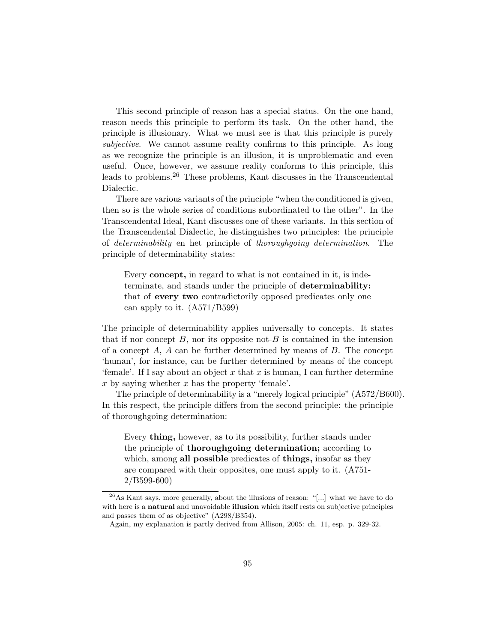This second principle of reason has a special status. On the one hand, reason needs this principle to perform its task. On the other hand, the principle is illusionary. What we must see is that this principle is purely subjective. We cannot assume reality confirms to this principle. As long as we recognize the principle is an illusion, it is unproblematic and even useful. Once, however, we assume reality conforms to this principle, this leads to problems.<sup>26</sup> These problems, Kant discusses in the Transcendental Dialectic.

There are various variants of the principle "when the conditioned is given, then so is the whole series of conditions subordinated to the other". In the Transcendental Ideal, Kant discusses one of these variants. In this section of the Transcendental Dialectic, he distinguishes two principles: the principle of determinability en het principle of thoroughgoing determination. The principle of determinability states:

Every concept, in regard to what is not contained in it, is indeterminate, and stands under the principle of determinability: that of every two contradictorily opposed predicates only one can apply to it. (A571/B599)

The principle of determinability applies universally to concepts. It states that if nor concept  $B$ , nor its opposite not- $B$  is contained in the intension of a concept  $A$ ,  $A$  can be further determined by means of  $B$ . The concept 'human', for instance, can be further determined by means of the concept 'female'. If I say about an object x that x is human, I can further determine  $x$  by saying whether  $x$  has the property 'female'.

The principle of determinability is a "merely logical principle" (A572/B600). In this respect, the principle differs from the second principle: the principle of thoroughgoing determination:

Every thing, however, as to its possibility, further stands under the principle of thoroughgoing determination; according to which, among all possible predicates of things, insofar as they are compared with their opposites, one must apply to it. (A751- 2/B599-600)

 $^{26}$ As Kant says, more generally, about the illusions of reason: "[...] what we have to do with here is a **natural** and unavoidable **illusion** which itself rests on subjective principles and passes them of as objective" (A298/B354).

Again, my explanation is partly derived from Allison, 2005: ch. 11, esp. p. 329-32.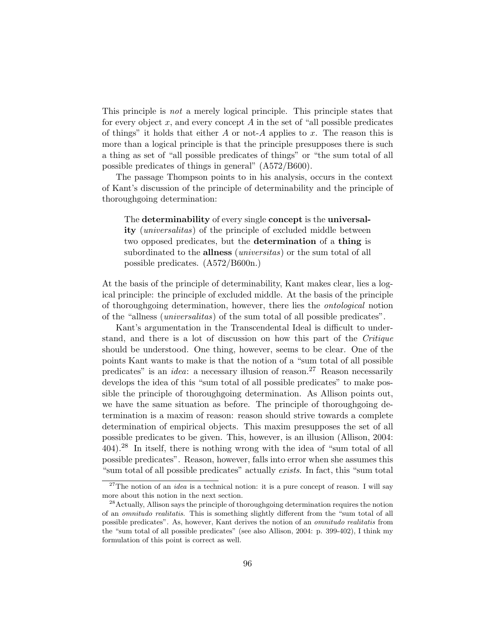This principle is not a merely logical principle. This principle states that for every object x, and every concept  $A$  in the set of "all possible predicates" of things" it holds that either  $A$  or not- $A$  applies to  $x$ . The reason this is more than a logical principle is that the principle presupposes there is such a thing as set of "all possible predicates of things" or "the sum total of all possible predicates of things in general" (A572/B600).

The passage Thompson points to in his analysis, occurs in the context of Kant's discussion of the principle of determinability and the principle of thoroughgoing determination:

The determinability of every single concept is the universal**ity** (*universalitas*) of the principle of excluded middle between two opposed predicates, but the determination of a thing is subordinated to the **allness** (*universitas*) or the sum total of all possible predicates. (A572/B600n.)

At the basis of the principle of determinability, Kant makes clear, lies a logical principle: the principle of excluded middle. At the basis of the principle of thoroughgoing determination, however, there lies the ontological notion of the "allness (universalitas) of the sum total of all possible predicates".

Kant's argumentation in the Transcendental Ideal is difficult to understand, and there is a lot of discussion on how this part of the Critique should be understood. One thing, however, seems to be clear. One of the points Kant wants to make is that the notion of a "sum total of all possible predicates" is an *idea*: a necessary illusion of reason.<sup>27</sup> Reason necessarily develops the idea of this "sum total of all possible predicates" to make possible the principle of thoroughgoing determination. As Allison points out, we have the same situation as before. The principle of thoroughgoing determination is a maxim of reason: reason should strive towards a complete determination of empirical objects. This maxim presupposes the set of all possible predicates to be given. This, however, is an illusion (Allison, 2004: 404).<sup>28</sup> In itself, there is nothing wrong with the idea of "sum total of all possible predicates". Reason, however, falls into error when she assumes this "sum total of all possible predicates" actually exists. In fact, this "sum total

<sup>&</sup>lt;sup>27</sup>The notion of an *idea* is a technical notion: it is a pure concept of reason. I will say more about this notion in the next section.

<sup>&</sup>lt;sup>28</sup> Actually, Allison says the principle of thoroughgoing determination requires the notion of an omnitudo realitatis. This is something slightly different from the "sum total of all possible predicates". As, however, Kant derives the notion of an omnitudo realitatis from the "sum total of all possible predicates" (see also Allison, 2004: p. 399-402), I think my formulation of this point is correct as well.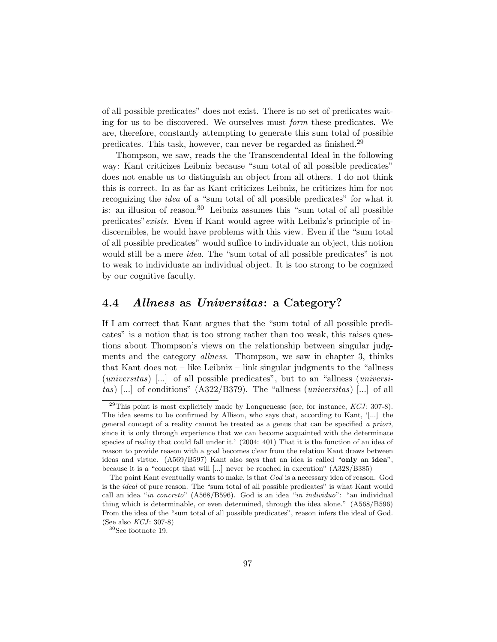of all possible predicates" does not exist. There is no set of predicates waiting for us to be discovered. We ourselves must form these predicates. We are, therefore, constantly attempting to generate this sum total of possible predicates. This task, however, can never be regarded as finished.<sup>29</sup>

Thompson, we saw, reads the the Transcendental Ideal in the following way: Kant criticizes Leibniz because "sum total of all possible predicates" does not enable us to distinguish an object from all others. I do not think this is correct. In as far as Kant criticizes Leibniz, he criticizes him for not recognizing the idea of a "sum total of all possible predicates" for what it is: an illusion of reason.<sup>30</sup> Leibniz assumes this "sum total of all possible predicates"exists. Even if Kant would agree with Leibniz's principle of indiscernibles, he would have problems with this view. Even if the "sum total of all possible predicates" would suffice to individuate an object, this notion would still be a mere *idea*. The "sum total of all possible predicates" is not to weak to individuate an individual object. It is too strong to be cognized by our cognitive faculty.

#### 4.4 Allness as Universitas: a Category?

If I am correct that Kant argues that the "sum total of all possible predicates" is a notion that is too strong rather than too weak, this raises questions about Thompson's views on the relationship between singular judgments and the category *allness*. Thompson, we saw in chapter 3, thinks that Kant does not – like Leibniz – link singular judgments to the "allness (universitas) [...] of all possible predicates", but to an "allness (universitas) [...] of conditions"  $(A322/B379)$ . The "allness (*universitas*) [...] of all

 $^{29}$ This point is most explicitely made by Longuenesse (see, for instance, KCJ: 307-8). The idea seems to be confirmed by Allison, who says that, according to Kant, '[...] the general concept of a reality cannot be treated as a genus that can be specified a priori, since it is only through experience that we can become acquainted with the determinate species of reality that could fall under it.' (2004: 401) That it is the function of an idea of reason to provide reason with a goal becomes clear from the relation Kant draws between ideas and virtue. (A569/B597) Kant also says that an idea is called "only an idea", because it is a "concept that will [...] never be reached in execution" (A328/B385)

The point Kant eventually wants to make, is that God is a necessary idea of reason. God is the ideal of pure reason. The "sum total of all possible predicates" is what Kant would call an idea "in concreto" (A568/B596). God is an idea "in individuo": "an individual thing which is determinable, or even determined, through the idea alone." (A568/B596) From the idea of the "sum total of all possible predicates", reason infers the ideal of God. (See also  $KCJ: 307-8$ )

<sup>30</sup>See footnote 19.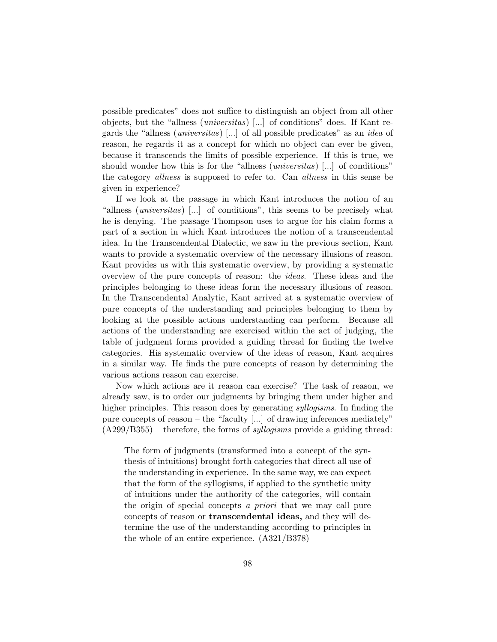possible predicates" does not suffice to distinguish an object from all other objects, but the "allness (universitas) [...] of conditions" does. If Kant regards the "allness (universitas) [...] of all possible predicates" as an idea of reason, he regards it as a concept for which no object can ever be given, because it transcends the limits of possible experience. If this is true, we should wonder how this is for the "allness (*universitas*) [...] of conditions" the category *allness* is supposed to refer to. Can *allness* in this sense be given in experience?

If we look at the passage in which Kant introduces the notion of an "allness (universitas) [...] of conditions", this seems to be precisely what he is denying. The passage Thompson uses to argue for his claim forms a part of a section in which Kant introduces the notion of a transcendental idea. In the Transcendental Dialectic, we saw in the previous section, Kant wants to provide a systematic overview of the necessary illusions of reason. Kant provides us with this systematic overview, by providing a systematic overview of the pure concepts of reason: the ideas. These ideas and the principles belonging to these ideas form the necessary illusions of reason. In the Transcendental Analytic, Kant arrived at a systematic overview of pure concepts of the understanding and principles belonging to them by looking at the possible actions understanding can perform. Because all actions of the understanding are exercised within the act of judging, the table of judgment forms provided a guiding thread for finding the twelve categories. His systematic overview of the ideas of reason, Kant acquires in a similar way. He finds the pure concepts of reason by determining the various actions reason can exercise.

Now which actions are it reason can exercise? The task of reason, we already saw, is to order our judgments by bringing them under higher and higher principles. This reason does by generating *syllogisms*. In finding the pure concepts of reason – the "faculty [...] of drawing inferences mediately"  $(A299/B355)$  – therefore, the forms of *syllogisms* provide a guiding thread:

The form of judgments (transformed into a concept of the synthesis of intuitions) brought forth categories that direct all use of the understanding in experience. In the same way, we can expect that the form of the syllogisms, if applied to the synthetic unity of intuitions under the authority of the categories, will contain the origin of special concepts a *priori* that we may call pure concepts of reason or transcendental ideas, and they will determine the use of the understanding according to principles in the whole of an entire experience. (A321/B378)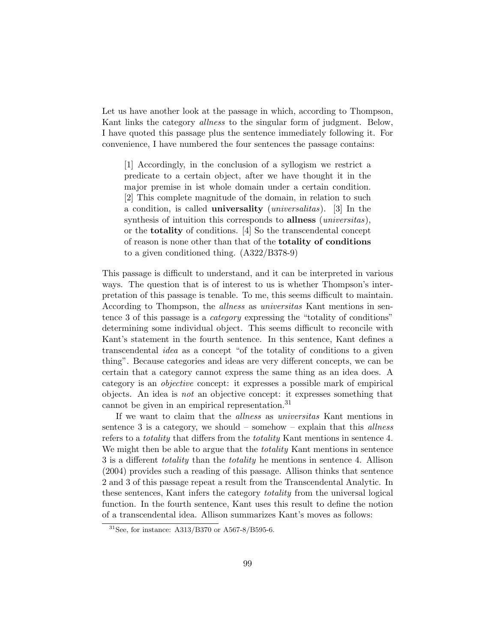Let us have another look at the passage in which, according to Thompson, Kant links the category allness to the singular form of judgment. Below, I have quoted this passage plus the sentence immediately following it. For convenience, I have numbered the four sentences the passage contains:

[1] Accordingly, in the conclusion of a syllogism we restrict a predicate to a certain object, after we have thought it in the major premise in ist whole domain under a certain condition. [2] This complete magnitude of the domain, in relation to such a condition, is called **universality** (*universalitas*). [3] In the synthesis of intuition this corresponds to **allness** *(universitas)*, or the totality of conditions. [4] So the transcendental concept of reason is none other than that of the totality of conditions to a given conditioned thing. (A322/B378-9)

This passage is difficult to understand, and it can be interpreted in various ways. The question that is of interest to us is whether Thompson's interpretation of this passage is tenable. To me, this seems difficult to maintain. According to Thompson, the allness as universitas Kant mentions in sentence 3 of this passage is a *category* expressing the "totality of conditions" determining some individual object. This seems difficult to reconcile with Kant's statement in the fourth sentence. In this sentence, Kant defines a transcendental idea as a concept "of the totality of conditions to a given thing". Because categories and ideas are very different concepts, we can be certain that a category cannot express the same thing as an idea does. A category is an objective concept: it expresses a possible mark of empirical objects. An idea is not an objective concept: it expresses something that cannot be given in an empirical representation.<sup>31</sup>

If we want to claim that the allness as universitas Kant mentions in sentence 3 is a category, we should – somehow – explain that this *allness* refers to a *totality* that differs from the *totality* Kant mentions in sentence 4. We might then be able to argue that the *totality* Kant mentions in sentence 3 is a different totality than the totality he mentions in sentence 4. Allison (2004) provides such a reading of this passage. Allison thinks that sentence 2 and 3 of this passage repeat a result from the Transcendental Analytic. In these sentences, Kant infers the category *totality* from the universal logical function. In the fourth sentence, Kant uses this result to define the notion of a transcendental idea. Allison summarizes Kant's moves as follows:

<sup>31</sup>See, for instance: A313/B370 or A567-8/B595-6.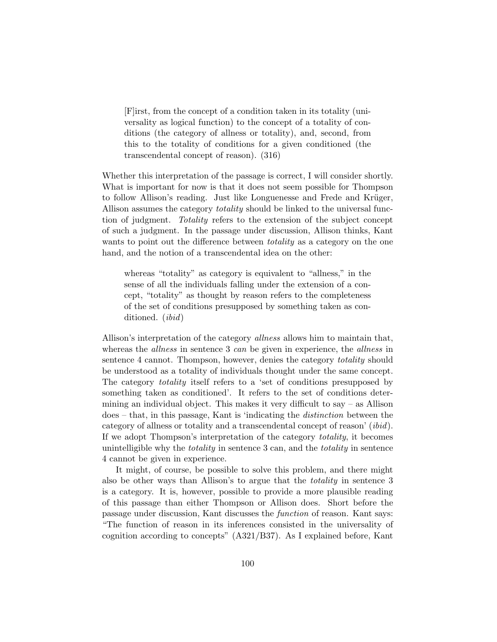[F]irst, from the concept of a condition taken in its totality (universality as logical function) to the concept of a totality of conditions (the category of allness or totality), and, second, from this to the totality of conditions for a given conditioned (the transcendental concept of reason). (316)

Whether this interpretation of the passage is correct, I will consider shortly. What is important for now is that it does not seem possible for Thompson to follow Allison's reading. Just like Longuenesse and Frede and Krüger, Allison assumes the category *totality* should be linked to the universal function of judgment. Totality refers to the extension of the subject concept of such a judgment. In the passage under discussion, Allison thinks, Kant wants to point out the difference between *totality* as a category on the one hand, and the notion of a transcendental idea on the other:

whereas "totality" as category is equivalent to "allness," in the sense of all the individuals falling under the extension of a concept, "totality" as thought by reason refers to the completeness of the set of conditions presupposed by something taken as conditioned. (ibid)

Allison's interpretation of the category *allness* allows him to maintain that, whereas the *allness* in sentence 3 can be given in experience, the *allness* in sentence 4 cannot. Thompson, however, denies the category *totality* should be understood as a totality of individuals thought under the same concept. The category totality itself refers to a 'set of conditions presupposed by something taken as conditioned'. It refers to the set of conditions determining an individual object. This makes it very difficult to say – as Allison does – that, in this passage, Kant is 'indicating the distinction between the category of allness or totality and a transcendental concept of reason' (ibid). If we adopt Thompson's interpretation of the category totality, it becomes unintelligible why the totality in sentence 3 can, and the totality in sentence 4 cannot be given in experience.

It might, of course, be possible to solve this problem, and there might also be other ways than Allison's to argue that the totality in sentence 3 is a category. It is, however, possible to provide a more plausible reading of this passage than either Thompson or Allison does. Short before the passage under discussion, Kant discusses the function of reason. Kant says: "The function of reason in its inferences consisted in the universality of cognition according to concepts" (A321/B37). As I explained before, Kant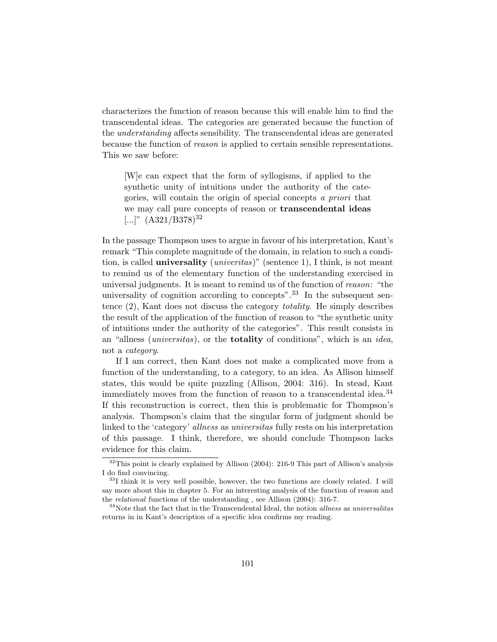characterizes the function of reason because this will enable him to find the transcendental ideas. The categories are generated because the function of the understanding affects sensibility. The transcendental ideas are generated because the function of reason is applied to certain sensible representations. This we saw before:

[W]e can expect that the form of syllogisms, if applied to the synthetic unity of intuitions under the authority of the categories, will contain the origin of special concepts a priori that we may call pure concepts of reason or transcendental ideas  $[...]$ "  $(A321/B378)^{32}$ 

In the passage Thompson uses to argue in favour of his interpretation, Kant's remark "This complete magnitude of the domain, in relation to such a condition, is called **universality** (*univeritas*)" (sentence 1), I think, is not meant to remind us of the elementary function of the understanding exercised in universal judgments. It is meant to remind us of the function of reason: "the universality of cognition according to concepts".<sup>33</sup> In the subsequent sentence (2), Kant does not discuss the category totality. He simply describes the result of the application of the function of reason to "the synthetic unity of intuitions under the authority of the categories". This result consists in an "allness (universitas), or the totality of conditions", which is an idea, not a category.

If I am correct, then Kant does not make a complicated move from a function of the understanding, to a category, to an idea. As Allison himself states, this would be quite puzzling (Allison, 2004: 316). In stead, Kant immediately moves from the function of reason to a transcendental idea.<sup>34</sup> If this reconstruction is correct, then this is problematic for Thompson's analysis. Thompson's claim that the singular form of judgment should be linked to the 'category' allness as universitas fully rests on his interpretation of this passage. I think, therefore, we should conclude Thompson lacks evidence for this claim.

 $32$ This point is clearly explained by Allison (2004): 216-9 This part of Allison's analysis I do find convincing.

<sup>33</sup>I think it is very well possible, however, the two functions are closely related. I will say more about this in chapter 5. For an interesting analysis of the function of reason and the relational functions of the understanding , see Allison (2004): 316-7.

 $34$ Note that the fact that in the Transcendental Ideal, the notion *allness* as *universalitas* returns in in Kant's description of a specific idea confirms my reading.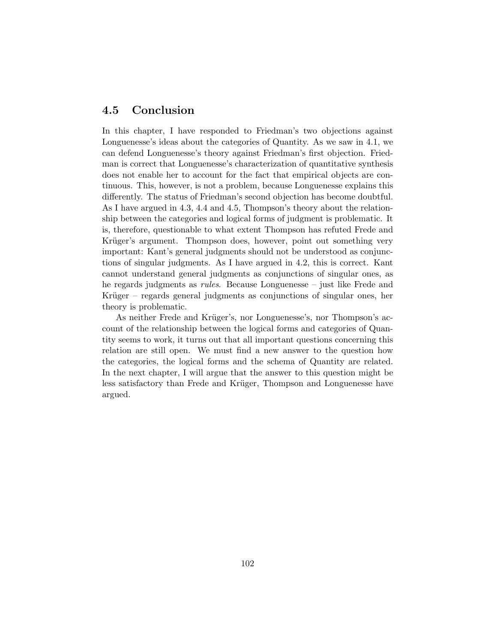## 4.5 Conclusion

In this chapter, I have responded to Friedman's two objections against Longuenesse's ideas about the categories of Quantity. As we saw in 4.1, we can defend Longuenesse's theory against Friedman's first objection. Friedman is correct that Longuenesse's characterization of quantitative synthesis does not enable her to account for the fact that empirical objects are continuous. This, however, is not a problem, because Longuenesse explains this differently. The status of Friedman's second objection has become doubtful. As I have argued in 4.3, 4.4 and 4.5, Thompson's theory about the relationship between the categories and logical forms of judgment is problematic. It is, therefore, questionable to what extent Thompson has refuted Frede and Krüger's argument. Thompson does, however, point out something very important: Kant's general judgments should not be understood as conjunctions of singular judgments. As I have argued in 4.2, this is correct. Kant cannot understand general judgments as conjunctions of singular ones, as he regards judgments as rules. Because Longuenesse – just like Frede and Krüger – regards general judgments as conjunctions of singular ones, her theory is problematic.

As neither Frede and Krüger's, nor Longuenesse's, nor Thompson's account of the relationship between the logical forms and categories of Quantity seems to work, it turns out that all important questions concerning this relation are still open. We must find a new answer to the question how the categories, the logical forms and the schema of Quantity are related. In the next chapter, I will argue that the answer to this question might be less satisfactory than Frede and Krüger, Thompson and Longuenesse have argued.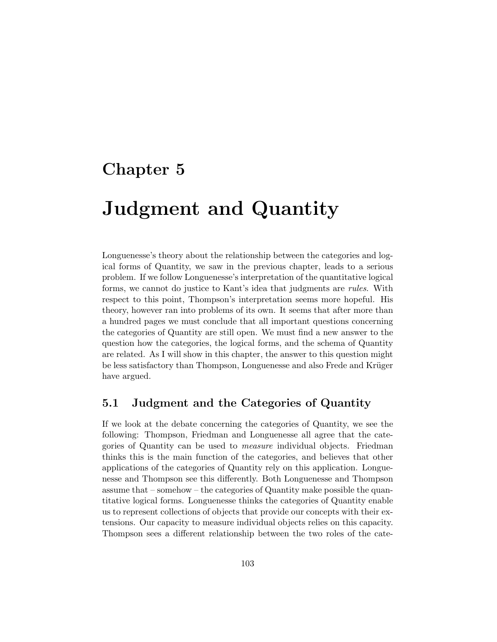# Chapter 5

# Judgment and Quantity

Longuenesse's theory about the relationship between the categories and logical forms of Quantity, we saw in the previous chapter, leads to a serious problem. If we follow Longuenesse's interpretation of the quantitative logical forms, we cannot do justice to Kant's idea that judgments are rules. With respect to this point, Thompson's interpretation seems more hopeful. His theory, however ran into problems of its own. It seems that after more than a hundred pages we must conclude that all important questions concerning the categories of Quantity are still open. We must find a new answer to the question how the categories, the logical forms, and the schema of Quantity are related. As I will show in this chapter, the answer to this question might be less satisfactory than Thompson, Longuenesse and also Frede and Krüger have argued.

#### 5.1 Judgment and the Categories of Quantity

If we look at the debate concerning the categories of Quantity, we see the following: Thompson, Friedman and Longuenesse all agree that the categories of Quantity can be used to measure individual objects. Friedman thinks this is the main function of the categories, and believes that other applications of the categories of Quantity rely on this application. Longuenesse and Thompson see this differently. Both Longuenesse and Thompson assume that – somehow – the categories of Quantity make possible the quantitative logical forms. Longuenesse thinks the categories of Quantity enable us to represent collections of objects that provide our concepts with their extensions. Our capacity to measure individual objects relies on this capacity. Thompson sees a different relationship between the two roles of the cate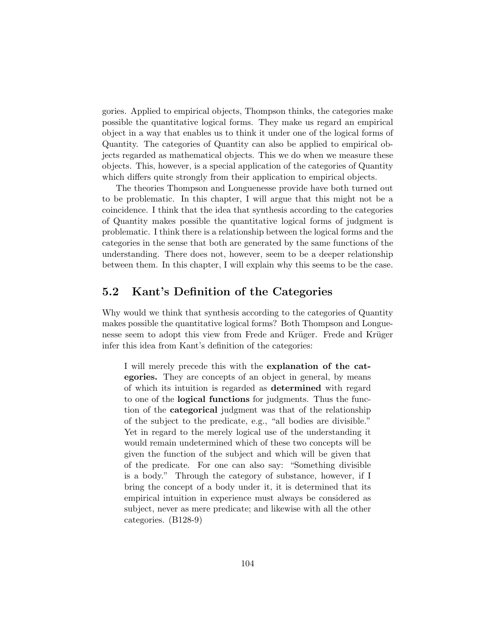gories. Applied to empirical objects, Thompson thinks, the categories make possible the quantitative logical forms. They make us regard an empirical object in a way that enables us to think it under one of the logical forms of Quantity. The categories of Quantity can also be applied to empirical objects regarded as mathematical objects. This we do when we measure these objects. This, however, is a special application of the categories of Quantity which differs quite strongly from their application to empirical objects.

The theories Thompson and Longuenesse provide have both turned out to be problematic. In this chapter, I will argue that this might not be a coincidence. I think that the idea that synthesis according to the categories of Quantity makes possible the quantitative logical forms of judgment is problematic. I think there is a relationship between the logical forms and the categories in the sense that both are generated by the same functions of the understanding. There does not, however, seem to be a deeper relationship between them. In this chapter, I will explain why this seems to be the case.

#### 5.2 Kant's Definition of the Categories

Why would we think that synthesis according to the categories of Quantity makes possible the quantitative logical forms? Both Thompson and Longuenesse seem to adopt this view from Frede and Krüger. Frede and Krüger infer this idea from Kant's definition of the categories:

I will merely precede this with the explanation of the categories. They are concepts of an object in general, by means of which its intuition is regarded as determined with regard to one of the logical functions for judgments. Thus the function of the categorical judgment was that of the relationship of the subject to the predicate, e.g., "all bodies are divisible." Yet in regard to the merely logical use of the understanding it would remain undetermined which of these two concepts will be given the function of the subject and which will be given that of the predicate. For one can also say: "Something divisible is a body." Through the category of substance, however, if I bring the concept of a body under it, it is determined that its empirical intuition in experience must always be considered as subject, never as mere predicate; and likewise with all the other categories. (B128-9)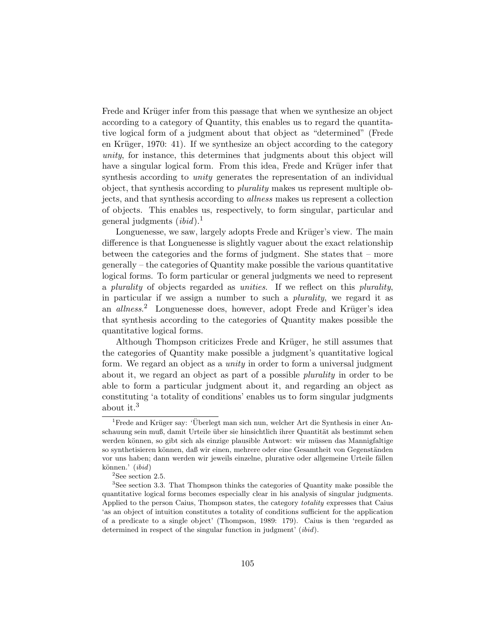Frede and Krüger infer from this passage that when we synthesize an object according to a category of Quantity, this enables us to regard the quantitative logical form of a judgment about that object as "determined" (Frede en Krüger, 1970: 41). If we synthesize an object according to the category unity, for instance, this determines that judgments about this object will have a singular logical form. From this idea, Frede and Krüger infer that synthesis according to *unity* generates the representation of an individual object, that synthesis according to plurality makes us represent multiple objects, and that synthesis according to allness makes us represent a collection of objects. This enables us, respectively, to form singular, particular and general judgments  $(ibid).<sup>1</sup>$ 

Longuenesse, we saw, largely adopts Frede and Krüger's view. The main difference is that Longuenesse is slightly vaguer about the exact relationship between the categories and the forms of judgment. She states that – more generally – the categories of Quantity make possible the various quantitative logical forms. To form particular or general judgments we need to represent a *plurality* of objects regarded as *unities*. If we reflect on this *plurality*, in particular if we assign a number to such a plurality, we regard it as an *allness*.<sup>2</sup> Longuenesse does, however, adopt Frede and Krüger's idea that synthesis according to the categories of Quantity makes possible the quantitative logical forms.

Although Thompson criticizes Frede and Krüger, he still assumes that the categories of Quantity make possible a judgment's quantitative logical form. We regard an object as a *unity* in order to form a universal judgment about it, we regard an object as part of a possible plurality in order to be able to form a particular judgment about it, and regarding an object as constituting 'a totality of conditions' enables us to form singular judgments about it.<sup>3</sup>

 $1$ Frede and Krüger say: 'Überlegt man sich nun, welcher Art die Synthesis in einer Anschauung sein muß, damit Urteile über sie hinsichtlich ihrer Quantität als bestimmt sehen werden können, so gibt sich als einzige plausible Antwort: wir müssen das Mannigfaltige so synthetisieren können, daß wir einen, mehrere oder eine Gesamtheit von Gegenständen vor uns haben; dann werden wir jeweils einzelne, plurative oder allgemeine Urteile fällen können.' (ibid)

 $2$ See section 2.5.

<sup>&</sup>lt;sup>3</sup>See section 3.3. That Thompson thinks the categories of Quantity make possible the quantitative logical forms becomes especially clear in his analysis of singular judgments. Applied to the person Caius, Thompson states, the category *totality* expresses that Caius 'as an object of intuition constitutes a totality of conditions sufficient for the application of a predicate to a single object' (Thompson, 1989: 179). Caius is then 'regarded as determined in respect of the singular function in judgment' (ibid).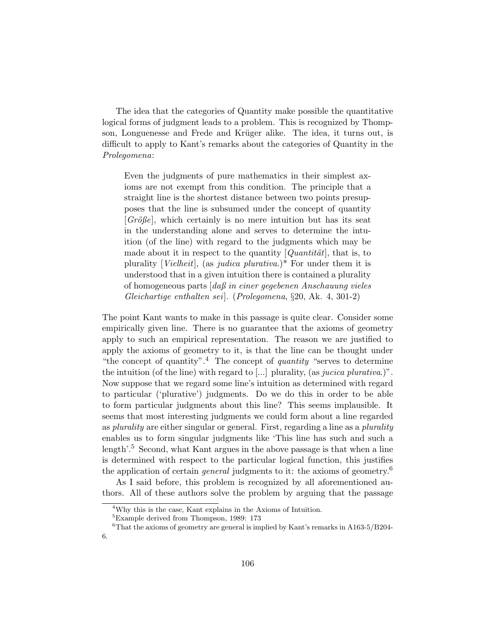The idea that the categories of Quantity make possible the quantitative logical forms of judgment leads to a problem. This is recognized by Thompson, Longuenesse and Frede and Krüger alike. The idea, it turns out, is difficult to apply to Kant's remarks about the categories of Quantity in the Prolegomena:

Even the judgments of pure mathematics in their simplest axioms are not exempt from this condition. The principle that a straight line is the shortest distance between two points presupposes that the line is subsumed under the concept of quantity  $[Gri\delta\ell\epsilon]$ , which certainly is no mere intuition but has its seat in the understanding alone and serves to determine the intuition (of the line) with regard to the judgments which may be made about it in respect to the quantity  $[Quantitat]$ , that is, to plurality [Vielheit], (as judica plurativa.)\* For under them it is understood that in a given intuition there is contained a plurality of homogeneous parts [daß in einer gegebenen Anschauung vieles Gleichartige enthalten sei]. (Prolegomena, §20, Ak. 4, 301-2)

The point Kant wants to make in this passage is quite clear. Consider some empirically given line. There is no guarantee that the axioms of geometry apply to such an empirical representation. The reason we are justified to apply the axioms of geometry to it, is that the line can be thought under "the concept of quantity".<sup>4</sup> The concept of *quantity* "serves to determine" the intuition (of the line) with regard to [...] plurality, (as *jucica plurativa*.)". Now suppose that we regard some line's intuition as determined with regard to particular ('plurative') judgments. Do we do this in order to be able to form particular judgments about this line? This seems implausible. It seems that most interesting judgments we could form about a line regarded as *plurality* are either singular or general. First, regarding a line as a *plurality* enables us to form singular judgments like 'This line has such and such a length'.<sup>5</sup> Second, what Kant argues in the above passage is that when a line is determined with respect to the particular logical function, this justifies the application of certain *general* judgments to it: the axioms of geometry.<sup>6</sup>

As I said before, this problem is recognized by all aforementioned authors. All of these authors solve the problem by arguing that the passage

<sup>4</sup>Why this is the case, Kant explains in the Axioms of Intuition.

<sup>5</sup>Example derived from Thompson, 1989: 173

<sup>&</sup>lt;sup>6</sup>That the axioms of geometry are general is implied by Kant's remarks in A163-5/B204-6.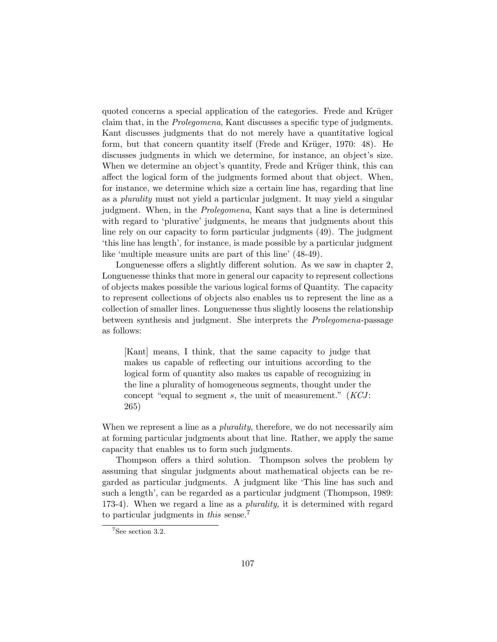quoted concerns a special application of the categories. Frede and Krüger claim that, in the Prolegomena, Kant discusses a specific type of judgments. Kant discusses judgments that do not merely have a quantitative logical form, but that concern quantity itself (Frede and Krüger, 1970:  $48$ ). He discusses judgments in which we determine, for instance, an object's size. When we determine an object's quantity, Frede and Krüger think, this can affect the logical form of the judgments formed about that object. When, for instance, we determine which size a certain line has, regarding that line as a plurality must not yield a particular judgment. It may yield a singular judgment. When, in the Prolegomena, Kant says that a line is determined with regard to 'plurative' judgments, he means that judgments about this line rely on our capacity to form particular judgments (49). The judgment 'this line has length', for instance, is made possible by a particular judgment like 'multiple measure units are part of this line' (48-49).

Longuenesse offers a slightly different solution. As we saw in chapter 2, Longuenesse thinks that more in general our capacity to represent collections of objects makes possible the various logical forms of Quantity. The capacity to represent collections of objects also enables us to represent the line as a collection of smaller lines. Longuenesse thus slightly loosens the relationship between synthesis and judgment. She interprets the Prolegomena-passage as follows:

[Kant] means, I think, that the same capacity to judge that makes us capable of reflecting our intuitions according to the logical form of quantity also makes us capable of recognizing in the line a plurality of homogeneous segments, thought under the concept "equal to segment s, the unit of measurement."  $(KCI:$ 265)

When we represent a line as a *plurality*, therefore, we do not necessarily aim at forming particular judgments about that line. Rather, we apply the same capacity that enables us to form such judgments.

Thompson offers a third solution. Thompson solves the problem by assuming that singular judgments about mathematical objects can be regarded as particular judgments. A judgment like 'This line has such and such a length', can be regarded as a particular judgment (Thompson, 1989: 173-4). When we regard a line as a *plurality*, it is determined with regard to particular judgments in this sense.<sup>7</sup>

 $7$ See section 3.2.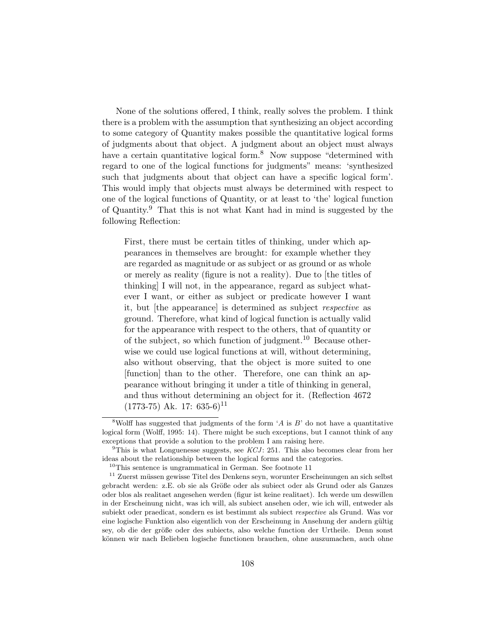None of the solutions offered, I think, really solves the problem. I think there is a problem with the assumption that synthesizing an object according to some category of Quantity makes possible the quantitative logical forms of judgments about that object. A judgment about an object must always have a certain quantitative logical form.<sup>8</sup> Now suppose "determined with regard to one of the logical functions for judgments" means: 'synthesized such that judgments about that object can have a specific logical form'. This would imply that objects must always be determined with respect to one of the logical functions of Quantity, or at least to 'the' logical function of Quantity.<sup>9</sup> That this is not what Kant had in mind is suggested by the following Reflection:

First, there must be certain titles of thinking, under which appearances in themselves are brought: for example whether they are regarded as magnitude or as subject or as ground or as whole or merely as reality (figure is not a reality). Due to [the titles of thinking] I will not, in the appearance, regard as subject whatever I want, or either as subject or predicate however I want it, but [the appearance] is determined as subject respective as ground. Therefore, what kind of logical function is actually valid for the appearance with respect to the others, that of quantity or of the subject, so which function of judgment.<sup>10</sup> Because otherwise we could use logical functions at will, without determining, also without observing, that the object is more suited to one [function] than to the other. Therefore, one can think an appearance without bringing it under a title of thinking in general, and thus without determining an object for it. (Reflection 4672  $(1773-75)$  Ak. 17: 635-6)<sup>11</sup>

<sup>&</sup>lt;sup>8</sup>Wolff has suggested that judgments of the form  $'A$  is  $B'$  do not have a quantitative logical form (Wolff, 1995: 14). There might be such exceptions, but I cannot think of any exceptions that provide a solution to the problem I am raising here.

<sup>&</sup>lt;sup>9</sup>This is what Longuenesse suggests, see  $KCJ: 251$ . This also becomes clear from her ideas about the relationship between the logical forms and the categories.

 $10$ This sentence is ungrammatical in German. See footnote 11

 $11$  Zuerst müssen gewisse Titel des Denkens seyn, worunter Erscheinungen an sich selbst gebracht werden: z.E. ob sie als Größe oder als subiect oder als Grund oder als Ganzes oder blos als realitaet angesehen werden (figur ist keine realitaet). Ich werde um deswillen in der Erscheinung nicht, was ich will, als subiect ansehen oder, wie ich will, entweder als subiekt oder praedicat, sondern es ist bestimmt als subiect respective als Grund. Was vor eine logische Funktion also eigentlich von der Erscheinung in Ansehung der andern gültig sey, ob die der größe oder des subiects, also welche function der Urtheile. Denn sonst können wir nach Belieben logische functionen brauchen, ohne auszumachen, auch ohne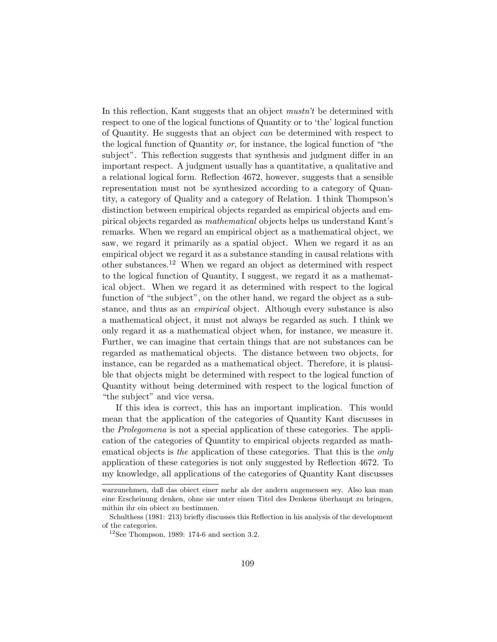In this reflection, Kant suggests that an object *mustn't* be determined with respect to one of the logical functions of Quantity or to 'the' logical function of Quantity. He suggests that an object can be determined with respect to the logical function of Quantity or, for instance, the logical function of "the subject". This reflection suggests that synthesis and judgment differ in an important respect. A judgment usually has a quantitative, a qualitative and a relational logical form. Reflection 4672, however, suggests that a sensible representation must not be synthesized according to a category of Quantity, a category of Quality and a category of Relation. I think Thompson's distinction between empirical objects regarded as empirical objects and empirical objects regarded as mathematical objects helps us understand Kant's remarks. When we regard an empirical object as a mathematical object, we saw, we regard it primarily as a spatial object. When we regard it as an empirical object we regard it as a substance standing in causal relations with other substances.<sup>12</sup> When we regard an object as determined with respect to the logical function of Quantity, I suggest, we regard it as a mathematical object. When we regard it as determined with respect to the logical function of "the subject", on the other hand, we regard the object as a substance, and thus as an empirical object. Although every substance is also a mathematical object, it must not always be regarded as such. I think we only regard it as a mathematical object when, for instance, we measure it. Further, we can imagine that certain things that are not substances can be regarded as mathematical objects. The distance between two objects, for instance, can be regarded as a mathematical object. Therefore, it is plausible that objects might be determined with respect to the logical function of Quantity without being determined with respect to the logical function of "the subject" and vice versa.

If this idea is correct, this has an important implication. This would mean that the application of the categories of Quantity Kant discusses in the Prolegomena is not a special application of these categories. The application of the categories of Quantity to empirical objects regarded as mathematical objects is the application of these categories. That this is the only application of these categories is not only suggested by Reflection 4672. To my knowledge, all applications of the categories of Quantity Kant discusses

warzunehmen, daß das obiect einer mehr als der andern angemessen sey. Also kan man eine Erscheinung denken, ohne sie unter einen Titel des Denkens ¨uberhaupt zu bringen, mithin ihr ein obiect zu bestimmen.

Schulthess (1981: 213) briefly discusses this Reflection in his analysis of the development of the categories.

 $^{12}$  See Thompson, 1989: 174-6 and section 3.2.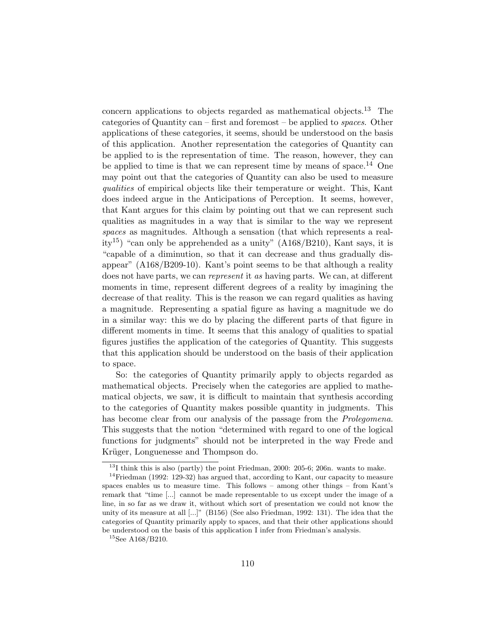concern applications to objects regarded as mathematical objects.<sup>13</sup> The categories of Quantity can – first and foremost – be applied to *spaces*. Other applications of these categories, it seems, should be understood on the basis of this application. Another representation the categories of Quantity can be applied to is the representation of time. The reason, however, they can be applied to time is that we can represent time by means of space.<sup>14</sup> One may point out that the categories of Quantity can also be used to measure qualities of empirical objects like their temperature or weight. This, Kant does indeed argue in the Anticipations of Perception. It seems, however, that Kant argues for this claim by pointing out that we can represent such qualities as magnitudes in a way that is similar to the way we represent spaces as magnitudes. Although a sensation (that which represents a reality<sup>15</sup>) "can only be apprehended as a unity" (A168/B210), Kant says, it is "capable of a diminution, so that it can decrease and thus gradually disappear" (A168/B209-10). Kant's point seems to be that although a reality does not have parts, we can *represent* it as having parts. We can, at different moments in time, represent different degrees of a reality by imagining the decrease of that reality. This is the reason we can regard qualities as having a magnitude. Representing a spatial figure as having a magnitude we do in a similar way: this we do by placing the different parts of that figure in different moments in time. It seems that this analogy of qualities to spatial figures justifies the application of the categories of Quantity. This suggests that this application should be understood on the basis of their application to space.

So: the categories of Quantity primarily apply to objects regarded as mathematical objects. Precisely when the categories are applied to mathematical objects, we saw, it is difficult to maintain that synthesis according to the categories of Quantity makes possible quantity in judgments. This has become clear from our analysis of the passage from the *Prolegomena*. This suggests that the notion "determined with regard to one of the logical functions for judgments" should not be interpreted in the way Frede and Krüger, Longuenesse and Thompson do.

 $13$ I think this is also (partly) the point Friedman, 2000: 205-6; 206n. wants to make.

<sup>&</sup>lt;sup>14</sup>Friedman (1992: 129-32) has argued that, according to Kant, our capacity to measure spaces enables us to measure time. This follows – among other things – from Kant's remark that "time [...] cannot be made representable to us except under the image of a line, in so far as we draw it, without which sort of presentation we could not know the unity of its measure at all [...]" (B156) (See also Friedman, 1992: 131). The idea that the categories of Quantity primarily apply to spaces, and that their other applications should be understood on the basis of this application I infer from Friedman's analysis.

 ${}^{15}\mathrm{See}$ A168/B210.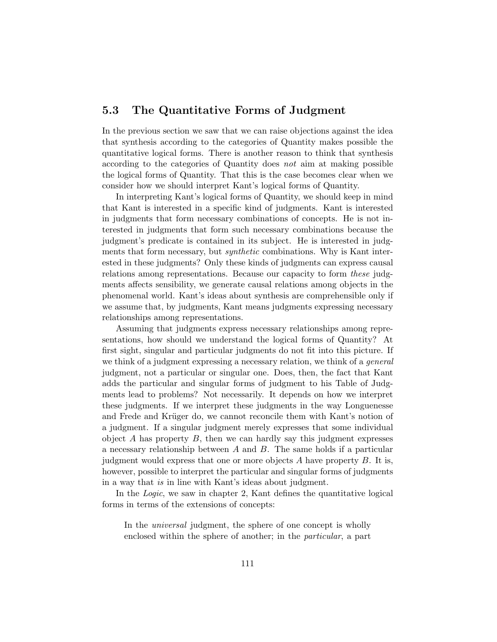## 5.3 The Quantitative Forms of Judgment

In the previous section we saw that we can raise objections against the idea that synthesis according to the categories of Quantity makes possible the quantitative logical forms. There is another reason to think that synthesis according to the categories of Quantity does not aim at making possible the logical forms of Quantity. That this is the case becomes clear when we consider how we should interpret Kant's logical forms of Quantity.

In interpreting Kant's logical forms of Quantity, we should keep in mind that Kant is interested in a specific kind of judgments. Kant is interested in judgments that form necessary combinations of concepts. He is not interested in judgments that form such necessary combinations because the judgment's predicate is contained in its subject. He is interested in judgments that form necessary, but synthetic combinations. Why is Kant interested in these judgments? Only these kinds of judgments can express causal relations among representations. Because our capacity to form these judgments affects sensibility, we generate causal relations among objects in the phenomenal world. Kant's ideas about synthesis are comprehensible only if we assume that, by judgments, Kant means judgments expressing necessary relationships among representations.

Assuming that judgments express necessary relationships among representations, how should we understand the logical forms of Quantity? At first sight, singular and particular judgments do not fit into this picture. If we think of a judgment expressing a necessary relation, we think of a *general* judgment, not a particular or singular one. Does, then, the fact that Kant adds the particular and singular forms of judgment to his Table of Judgments lead to problems? Not necessarily. It depends on how we interpret these judgments. If we interpret these judgments in the way Longuenesse and Frede and Krüger do, we cannot reconcile them with Kant's notion of a judgment. If a singular judgment merely expresses that some individual object  $A$  has property  $B$ , then we can hardly say this judgment expresses a necessary relationship between A and B. The same holds if a particular judgment would express that one or more objects A have property B. It is, however, possible to interpret the particular and singular forms of judgments in a way that is in line with Kant's ideas about judgment.

In the Logic, we saw in chapter 2, Kant defines the quantitative logical forms in terms of the extensions of concepts:

In the *universal* judgment, the sphere of one concept is wholly enclosed within the sphere of another; in the particular, a part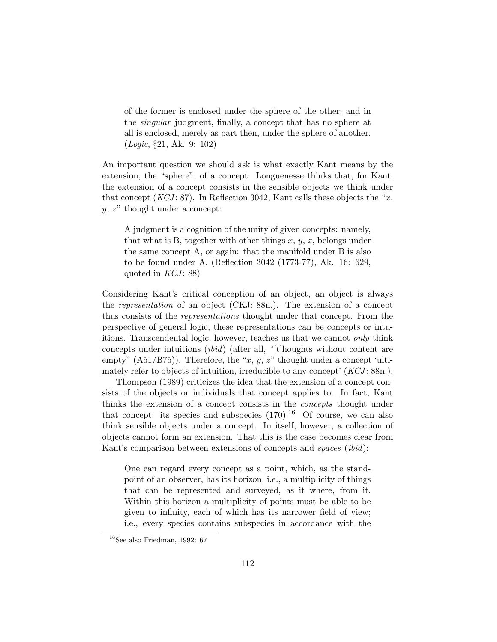of the former is enclosed under the sphere of the other; and in the singular judgment, finally, a concept that has no sphere at all is enclosed, merely as part then, under the sphere of another. (Logic, §21, Ak. 9: 102)

An important question we should ask is what exactly Kant means by the extension, the "sphere", of a concept. Longuenesse thinks that, for Kant, the extension of a concept consists in the sensible objects we think under that concept  $(KCI: 87)$ . In Reflection 3042, Kant calls these objects the "x,  $y, z$ " thought under a concept:

A judgment is a cognition of the unity of given concepts: namely, that what is B, together with other things  $x, y, z$ , belongs under the same concept A, or again: that the manifold under B is also to be found under A. (Reflection 3042 (1773-77), Ak. 16: 629, quoted in  $KCJ: 88$ )

Considering Kant's critical conception of an object, an object is always the representation of an object (CKJ: 88n.). The extension of a concept thus consists of the representations thought under that concept. From the perspective of general logic, these representations can be concepts or intuitions. Transcendental logic, however, teaches us that we cannot only think concepts under intuitions (ibid) (after all, "[t]houghts without content are empty"  $(A51/B75)$ ). Therefore, the "x, y, z" thought under a concept 'ultimately refer to objects of intuition, irreducible to any concept'  $(KCI: 88n)$ .

Thompson (1989) criticizes the idea that the extension of a concept consists of the objects or individuals that concept applies to. In fact, Kant thinks the extension of a concept consists in the concepts thought under that concept: its species and subspecies  $(170)^{16}$  Of course, we can also think sensible objects under a concept. In itself, however, a collection of objects cannot form an extension. That this is the case becomes clear from Kant's comparison between extensions of concepts and *spaces (ibid)*:

One can regard every concept as a point, which, as the standpoint of an observer, has its horizon, i.e., a multiplicity of things that can be represented and surveyed, as it where, from it. Within this horizon a multiplicity of points must be able to be given to infinity, each of which has its narrower field of view; i.e., every species contains subspecies in accordance with the

 $16$ See also Friedman, 1992: 67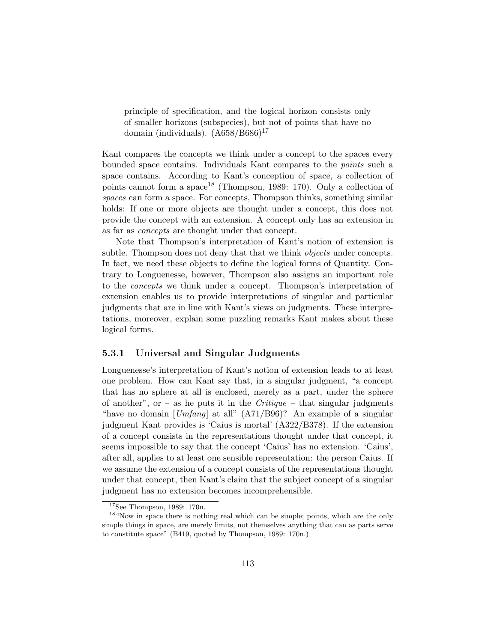principle of specification, and the logical horizon consists only of smaller horizons (subspecies), but not of points that have no domain (individuals).  $(A658/B686)^{17}$ 

Kant compares the concepts we think under a concept to the spaces every bounded space contains. Individuals Kant compares to the points such a space contains. According to Kant's conception of space, a collection of points cannot form a space<sup>18</sup> (Thompson, 1989: 170). Only a collection of spaces can form a space. For concepts, Thompson thinks, something similar holds: If one or more objects are thought under a concept, this does not provide the concept with an extension. A concept only has an extension in as far as concepts are thought under that concept.

Note that Thompson's interpretation of Kant's notion of extension is subtle. Thompson does not deny that that we think *objects* under concepts. In fact, we need these objects to define the logical forms of Quantity. Contrary to Longuenesse, however, Thompson also assigns an important role to the concepts we think under a concept. Thompson's interpretation of extension enables us to provide interpretations of singular and particular judgments that are in line with Kant's views on judgments. These interpretations, moreover, explain some puzzling remarks Kant makes about these logical forms.

#### 5.3.1 Universal and Singular Judgments

Longuenesse's interpretation of Kant's notion of extension leads to at least one problem. How can Kant say that, in a singular judgment, "a concept that has no sphere at all is enclosed, merely as a part, under the sphere of another", or – as he puts it in the *Critique* – that singular judgments "have no domain  $[Umfang]$  at all"  $(A71/B96)$ ? An example of a singular judgment Kant provides is 'Caius is mortal' (A322/B378). If the extension of a concept consists in the representations thought under that concept, it seems impossible to say that the concept 'Caius' has no extension. 'Caius', after all, applies to at least one sensible representation: the person Caius. If we assume the extension of a concept consists of the representations thought under that concept, then Kant's claim that the subject concept of a singular judgment has no extension becomes incomprehensible.

<sup>17</sup>See Thompson, 1989: 170n.

<sup>&</sup>lt;sup>18</sup> "Now in space there is nothing real which can be simple; points, which are the only simple things in space, are merely limits, not themselves anything that can as parts serve to constitute space" (B419, quoted by Thompson, 1989: 170n.)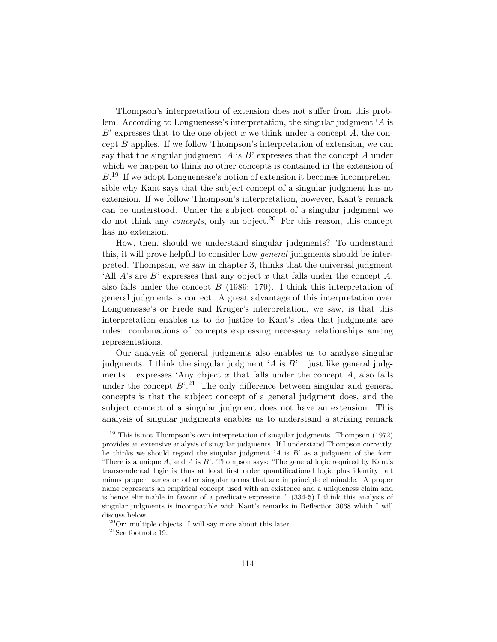Thompson's interpretation of extension does not suffer from this problem. According to Longuenesse's interpretation, the singular judgment 'A is  $B'$  expresses that to the one object x we think under a concept  $A$ , the concept B applies. If we follow Thompson's interpretation of extension, we can say that the singular judgment 'A is  $B$ ' expresses that the concept A under which we happen to think no other concepts is contained in the extension of  $B<sup>19</sup>$  If we adopt Longuenesse's notion of extension it becomes incomprehensible why Kant says that the subject concept of a singular judgment has no extension. If we follow Thompson's interpretation, however, Kant's remark can be understood. Under the subject concept of a singular judgment we do not think any *concepts*, only an object.<sup>20</sup> For this reason, this concept has no extension.

How, then, should we understand singular judgments? To understand this, it will prove helpful to consider how *general* judgments should be interpreted. Thompson, we saw in chapter 3, thinks that the universal judgment 'All  $A$ 's are  $B$ ' expresses that any object x that falls under the concept  $A$ , also falls under the concept  $B$  (1989: 179). I think this interpretation of general judgments is correct. A great advantage of this interpretation over Longuenesse's or Frede and Krüger's interpretation, we saw, is that this interpretation enables us to do justice to Kant's idea that judgments are rules: combinations of concepts expressing necessary relationships among representations.

Our analysis of general judgments also enables us to analyse singular judgments. I think the singular judgment 'A is  $B'$  – just like general judgments – expresses 'Any object  $x$  that falls under the concept  $A$ , also falls under the concept  $B^{2,1}$ . The only difference between singular and general concepts is that the subject concept of a general judgment does, and the subject concept of a singular judgment does not have an extension. This analysis of singular judgments enables us to understand a striking remark

<sup>19</sup> This is not Thompson's own interpretation of singular judgments. Thompson (1972) provides an extensive analysis of singular judgments. If I understand Thompson correctly, he thinks we should regard the singular judgment 'A is B' as a judgment of the form There is a unique  $A$ , and  $A$  is  $B'$ . Thompson says: 'The general logic required by Kant's transcendental logic is thus at least first order quantificational logic plus identity but minus proper names or other singular terms that are in principle eliminable. A proper name represents an empirical concept used with an existence and a uniqueness claim and is hence eliminable in favour of a predicate expression.' (334-5) I think this analysis of singular judgments is incompatible with Kant's remarks in Reflection 3068 which I will discuss below.

 $20$ Or: multiple objects. I will say more about this later.

 $\rm{^{21}See}$  footnote 19.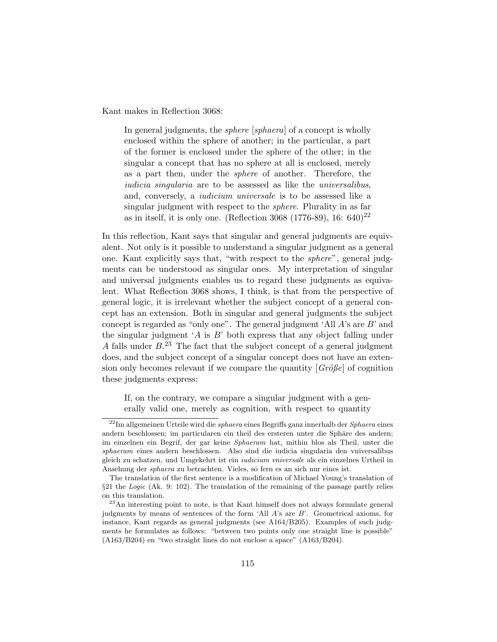Kant makes in Reflection 3068:

In general judgments, the *sphere* [*sphaera*] of a concept is wholly enclosed within the sphere of another; in the particular, a part of the former is enclosed under the sphere of the other; in the singular a concept that has no sphere at all is enclosed, merely as a part then, under the sphere of another. Therefore, the iudicia singularia are to be assessed as like the universalibus, and, conversely, a iudicium universale is to be assessed like a singular judgment with respect to the sphere. Plurality in as far as in itself, it is only one. (Reflection 3068 (1776-89), 16: 640)<sup>22</sup>

In this reflection, Kant says that singular and general judgments are equivalent. Not only is it possible to understand a singular judgment as a general one. Kant explicitly says that, "with respect to the sphere", general judgments can be understood as singular ones. My interpretation of singular and universal judgments enables us to regard these judgments as equivalent. What Reflection 3068 shows, I think, is that from the perspective of general logic, it is irrelevant whether the subject concept of a general concept has an extension. Both in singular and general judgments the subject concept is regarded as "only one". The general judgment 'All  $A$ 's are  $B$ ' and the singular judgment  $A$  is  $B$  both express that any object falling under A falls under  $B^{23}$ . The fact that the subject concept of a general judgment does, and the subject concept of a singular concept does not have an extension only becomes relevant if we compare the quantity  $\left[G\tilde{r}\tilde{\theta}g\right]$  of cognition these judgments express:

If, on the contrary, we compare a singular judgment with a generally valid one, merely as cognition, with respect to quantity

 $^{22}$ Im allgemeinen Urteile wird die sphaera eines Begriffs ganz innerhalb der Sphaera eines andern beschlossen; im particularen ein theil des ersteren unter die Sphäre des andern; im einzelnen ein Begrif, der gar keine Sphaeram hat, mithin blos als Theil, unter die sphaeram eines andern beschlossen. Also sind die iudicia singularia den vniversalibus gleich zu schatzen, und Umgekehrt ist ein iudicium vniversale als ein einzelnes Urtheil in Ansehung der sphaera zu betrachten. Vieles, so fern es an sich nur eines ist.

The translation of the first sentence is a modification of Michael Young's translation of §21 the Logic (Ak. 9: 102). The translation of the remaining of the passage partly relies on this translation.

<sup>23</sup>An interesting point to note, is that Kant himself does not always formulate general judgments by means of sentences of the form 'All A's are B'. Geometrical axioms, for instance, Kant regards as general judgments (see A164/B205). Examples of such judgments he formulates as follows: "between two points only one straight line is possible" (A163/B204) en "two straight lines do not enclose a space" (A163/B204).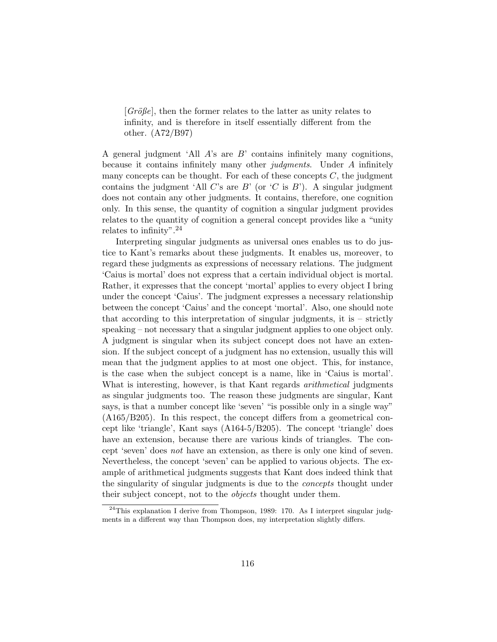$[Gr\ddot{o}j\theta e]$ , then the former relates to the latter as unity relates to infinity, and is therefore in itself essentially different from the other. (A72/B97)

A general judgment 'All  $\hat{A}$ 's are  $\hat{B}$ ' contains infinitely many cognitions, because it contains infinitely many other judgments. Under A infinitely many concepts can be thought. For each of these concepts  $C$ , the judgment contains the judgment 'All C's are B' (or  $(C \text{ is } B')$ ). A singular judgment does not contain any other judgments. It contains, therefore, one cognition only. In this sense, the quantity of cognition a singular judgment provides relates to the quantity of cognition a general concept provides like a "unity relates to infinity".  $24$ 

Interpreting singular judgments as universal ones enables us to do justice to Kant's remarks about these judgments. It enables us, moreover, to regard these judgments as expressions of necessary relations. The judgment 'Caius is mortal' does not express that a certain individual object is mortal. Rather, it expresses that the concept 'mortal' applies to every object I bring under the concept 'Caius'. The judgment expresses a necessary relationship between the concept 'Caius' and the concept 'mortal'. Also, one should note that according to this interpretation of singular judgments, it is – strictly speaking – not necessary that a singular judgment applies to one object only. A judgment is singular when its subject concept does not have an extension. If the subject concept of a judgment has no extension, usually this will mean that the judgment applies to at most one object. This, for instance, is the case when the subject concept is a name, like in 'Caius is mortal'. What is interesting, however, is that Kant regards *arithmetical* judgments as singular judgments too. The reason these judgments are singular, Kant says, is that a number concept like 'seven' "is possible only in a single way" (A165/B205). In this respect, the concept differs from a geometrical concept like 'triangle', Kant says (A164-5/B205). The concept 'triangle' does have an extension, because there are various kinds of triangles. The concept 'seven' does not have an extension, as there is only one kind of seven. Nevertheless, the concept 'seven' can be applied to various objects. The example of arithmetical judgments suggests that Kant does indeed think that the singularity of singular judgments is due to the *concepts* thought under their subject concept, not to the *objects* thought under them.

 $24$ This explanation I derive from Thompson, 1989: 170. As I interpret singular judgments in a different way than Thompson does, my interpretation slightly differs.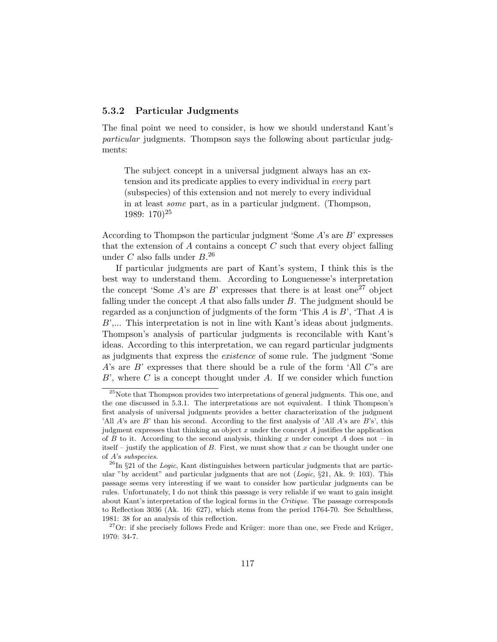#### 5.3.2 Particular Judgments

The final point we need to consider, is how we should understand Kant's particular judgments. Thompson says the following about particular judgments:

The subject concept in a universal judgment always has an extension and its predicate applies to every individual in every part (subspecies) of this extension and not merely to every individual in at least some part, as in a particular judgment. (Thompson, 1989: 170)<sup>25</sup>

According to Thompson the particular judgment 'Some A's are B' expresses that the extension of  $A$  contains a concept  $C$  such that every object falling under  $C$  also falls under  $B^{26}$ 

If particular judgments are part of Kant's system, I think this is the best way to understand them. According to Longuenesse's interpretation the concept 'Some A's are B' expresses that there is at least one<sup>27</sup> object falling under the concept  $A$  that also falls under  $B$ . The judgment should be regarded as a conjunction of judgments of the form 'This  $A$  is  $B$ ', 'That  $A$  is B',... This interpretation is not in line with Kant's ideas about judgments. Thompson's analysis of particular judgments is reconcilable with Kant's ideas. According to this interpretation, we can regard particular judgments as judgments that express the existence of some rule. The judgment 'Some A's are B' expresses that there should be a rule of the form 'All  $C$ 's are  $B'$ , where C is a concept thought under A. If we consider which function

<sup>&</sup>lt;sup>25</sup>Note that Thompson provides two interpretations of general judgments. This one, and the one discussed in 5.3.1. The interpretations are not equivalent. I think Thompson's first analysis of universal judgments provides a better characterization of the judgment 'All  $A$ 's are  $B$ ' than his second. According to the first analysis of 'All  $A$ 's are  $B$ 's', this judgment expresses that thinking an object  $x$  under the concept  $A$  justifies the application of B to it. According to the second analysis, thinking x under concept A does not – in itself – justify the application of B. First, we must show that x can be thought under one of A's subspecies.

 $^{26}$ In §21 of the *Logic*, Kant distinguishes between particular judgments that are particular "by accident" and particular judgments that are not (*Logic*,  $\S 21$ , Ak. 9: 103). This passage seems very interesting if we want to consider how particular judgments can be rules. Unfortunately, I do not think this passage is very reliable if we want to gain insight about Kant's interpretation of the logical forms in the Critique. The passage corresponds to Reflection 3036 (Ak. 16: 627), which stems from the period 1764-70. See Schulthess, 1981: 38 for an analysis of this reflection.

<sup>&</sup>lt;sup>27</sup>Or: if she precisely follows Frede and Krüger: more than one, see Frede and Krüger, 1970: 34-7.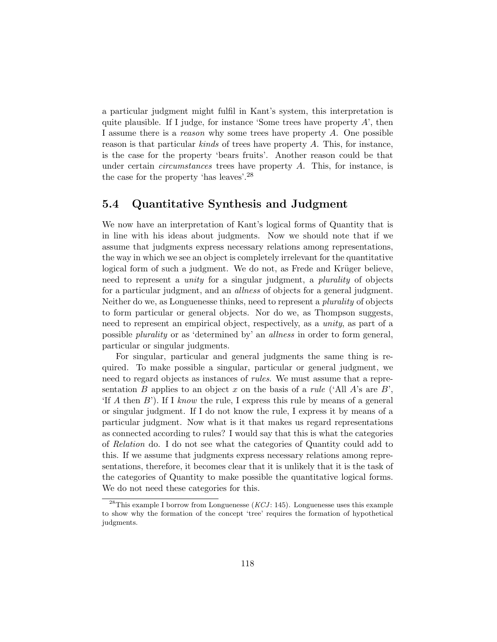a particular judgment might fulfil in Kant's system, this interpretation is quite plausible. If I judge, for instance 'Some trees have property  $A'$ , then I assume there is a reason why some trees have property A. One possible reason is that particular kinds of trees have property A. This, for instance, is the case for the property 'bears fruits'. Another reason could be that under certain *circumstances* trees have property  $A$ . This, for instance, is the case for the property 'has leaves'.<sup>28</sup>

#### 5.4 Quantitative Synthesis and Judgment

We now have an interpretation of Kant's logical forms of Quantity that is in line with his ideas about judgments. Now we should note that if we assume that judgments express necessary relations among representations, the way in which we see an object is completely irrelevant for the quantitative logical form of such a judgment. We do not, as Frede and Krüger believe, need to represent a unity for a singular judgment, a plurality of objects for a particular judgment, and an allness of objects for a general judgment. Neither do we, as Longuenesse thinks, need to represent a *plurality* of objects to form particular or general objects. Nor do we, as Thompson suggests, need to represent an empirical object, respectively, as a unity, as part of a possible plurality or as 'determined by' an allness in order to form general, particular or singular judgments.

For singular, particular and general judgments the same thing is required. To make possible a singular, particular or general judgment, we need to regard objects as instances of *rules*. We must assume that a representation B applies to an object x on the basis of a rule ('All A's are B', 'If A then B'). If I know the rule, I express this rule by means of a general or singular judgment. If I do not know the rule, I express it by means of a particular judgment. Now what is it that makes us regard representations as connected according to rules? I would say that this is what the categories of Relation do. I do not see what the categories of Quantity could add to this. If we assume that judgments express necessary relations among representations, therefore, it becomes clear that it is unlikely that it is the task of the categories of Quantity to make possible the quantitative logical forms. We do not need these categories for this.

<sup>&</sup>lt;sup>28</sup>This example I borrow from Longuenesse (*KCJ*: 145). Longuenesse uses this example to show why the formation of the concept 'tree' requires the formation of hypothetical judgments.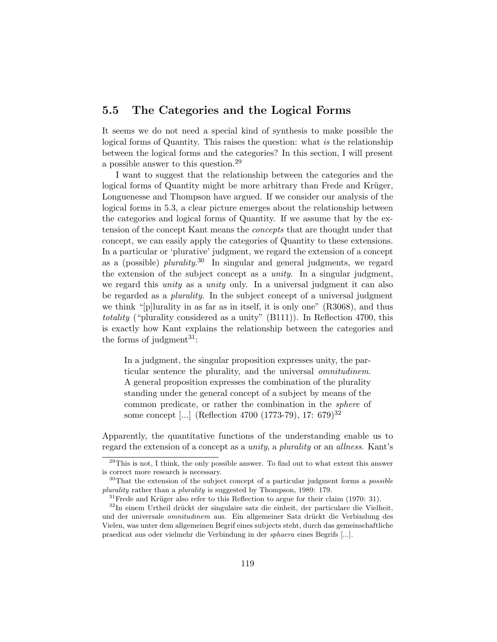## 5.5 The Categories and the Logical Forms

It seems we do not need a special kind of synthesis to make possible the logical forms of Quantity. This raises the question: what is the relationship between the logical forms and the categories? In this section, I will present a possible answer to this question.<sup>29</sup>

I want to suggest that the relationship between the categories and the logical forms of Quantity might be more arbitrary than Frede and Krüger, Longuenesse and Thompson have argued. If we consider our analysis of the logical forms in 5.3, a clear picture emerges about the relationship between the categories and logical forms of Quantity. If we assume that by the extension of the concept Kant means the concepts that are thought under that concept, we can easily apply the categories of Quantity to these extensions. In a particular or 'plurative' judgment, we regard the extension of a concept as a (possible)  $plurality$ <sup>30</sup> In singular and general judgments, we regard the extension of the subject concept as a *unity*. In a singular judgment, we regard this *unity* as a *unity* only. In a universal judgment it can also be regarded as a *plurality*. In the subject concept of a universal judgment we think "[p]lurality in as far as in itself, it is only one" (R3068), and thus totality ("plurality considered as a unity" (B111)). In Reflection 4700, this is exactly how Kant explains the relationship between the categories and the forms of judgment<sup>31</sup>:

In a judgment, the singular proposition expresses unity, the particular sentence the plurality, and the universal omnitudinem. A general proposition expresses the combination of the plurality standing under the general concept of a subject by means of the common predicate, or rather the combination in the sphere of some concept [...] (Reflection 4700 (1773-79), 17: 679)<sup>32</sup>

Apparently, the quantitative functions of the understanding enable us to regard the extension of a concept as a unity, a plurality or an allness. Kant's

 $29$ This is not, I think, the only possible answer. To find out to what extent this answer is correct more research is necessary.

 $30$ That the extension of the subject concept of a particular judgment forms a *possible* plurality rather than a plurality is suggested by Thompson, 1989: 179.

 $31$  Frede and Krüger also refer to this Reflection to argue for their claim (1970: 31).

<sup>&</sup>lt;sup>32</sup>In einem Urtheil drückt der singulaire satz die einheit, der particulare die Vielheit, und der universale omnitudinem aus. Ein allgemeiner Satz drückt die Verbindung des Vielen, was unter dem allgemeinen Begrif eines subjects steht, durch das gemeinschaftliche praedicat aus oder vielmehr die Verbindung in der sphaera eines Begrifs [...].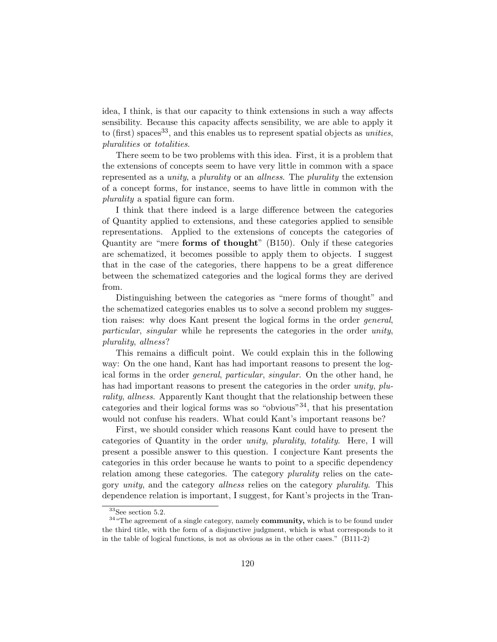idea, I think, is that our capacity to think extensions in such a way affects sensibility. Because this capacity affects sensibility, we are able to apply it to (first) spaces<sup>33</sup>, and this enables us to represent spatial objects as *unities*, pluralities or totalities.

There seem to be two problems with this idea. First, it is a problem that the extensions of concepts seem to have very little in common with a space represented as a unity, a plurality or an allness. The plurality the extension of a concept forms, for instance, seems to have little in common with the plurality a spatial figure can form.

I think that there indeed is a large difference between the categories of Quantity applied to extensions, and these categories applied to sensible representations. Applied to the extensions of concepts the categories of Quantity are "mere forms of thought" (B150). Only if these categories are schematized, it becomes possible to apply them to objects. I suggest that in the case of the categories, there happens to be a great difference between the schematized categories and the logical forms they are derived from.

Distinguishing between the categories as "mere forms of thought" and the schematized categories enables us to solve a second problem my suggestion raises: why does Kant present the logical forms in the order general, particular, singular while he represents the categories in the order unity, plurality, allness?

This remains a difficult point. We could explain this in the following way: On the one hand, Kant has had important reasons to present the logical forms in the order general, particular, singular. On the other hand, he has had important reasons to present the categories in the order unity, plurality, allness. Apparently Kant thought that the relationship between these categories and their logical forms was so "obvious"<sup>34</sup>, that his presentation would not confuse his readers. What could Kant's important reasons be?

First, we should consider which reasons Kant could have to present the categories of Quantity in the order unity, plurality, totality. Here, I will present a possible answer to this question. I conjecture Kant presents the categories in this order because he wants to point to a specific dependency relation among these categories. The category plurality relies on the category *unity*, and the category *allness* relies on the category *plurality*. This dependence relation is important, I suggest, for Kant's projects in the Tran-

 $33$ See section 5.2.

<sup>&</sup>lt;sup>34</sup> "The agreement of a single category, namely **community**, which is to be found under the third title, with the form of a disjunctive judgment, which is what corresponds to it in the table of logical functions, is not as obvious as in the other cases." (B111-2)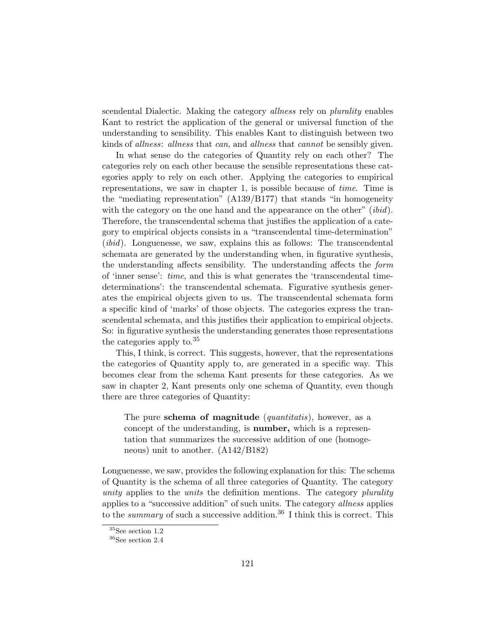scendental Dialectic. Making the category allness rely on plurality enables Kant to restrict the application of the general or universal function of the understanding to sensibility. This enables Kant to distinguish between two kinds of allness: allness that can, and allness that cannot be sensibly given.

In what sense do the categories of Quantity rely on each other? The categories rely on each other because the sensible representations these categories apply to rely on each other. Applying the categories to empirical representations, we saw in chapter 1, is possible because of time. Time is the "mediating representation" (A139/B177) that stands "in homogeneity with the category on the one hand and the appearance on the other" *(ibid)*. Therefore, the transcendental schema that justifies the application of a category to empirical objects consists in a "transcendental time-determination" (ibid). Longuenesse, we saw, explains this as follows: The transcendental schemata are generated by the understanding when, in figurative synthesis, the understanding affects sensibility. The understanding affects the form of 'inner sense': time, and this is what generates the 'transcendental timedeterminations': the transcendental schemata. Figurative synthesis generates the empirical objects given to us. The transcendental schemata form a specific kind of 'marks' of those objects. The categories express the transcendental schemata, and this justifies their application to empirical objects. So: in figurative synthesis the understanding generates those representations the categories apply to.<sup>35</sup>

This, I think, is correct. This suggests, however, that the representations the categories of Quantity apply to, are generated in a specific way. This becomes clear from the schema Kant presents for these categories. As we saw in chapter 2, Kant presents only one schema of Quantity, even though there are three categories of Quantity:

The pure **schema of magnitude** (*quantitatis*), however, as a concept of the understanding, is number, which is a representation that summarizes the successive addition of one (homogeneous) unit to another. (A142/B182)

Longuenesse, we saw, provides the following explanation for this: The schema of Quantity is the schema of all three categories of Quantity. The category unity applies to the units the definition mentions. The category plurality applies to a "successive addition" of such units. The category allness applies to the *summary* of such a successive addition.<sup>36</sup> I think this is correct. This

 $^{35}\mathrm{See}$  section  $1.2$ 

 $36\mathrm{See}$  section  $2.4$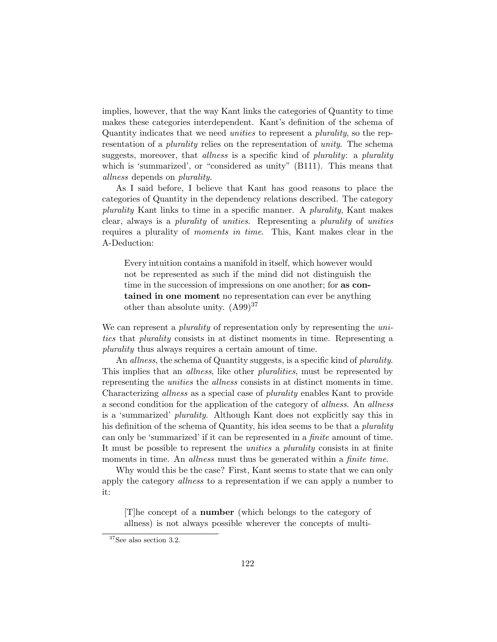implies, however, that the way Kant links the categories of Quantity to time makes these categories interdependent. Kant's definition of the schema of Quantity indicates that we need unities to represent a plurality, so the representation of a *plurality* relies on the representation of *unity*. The schema suggests, moreover, that *allness* is a specific kind of *plurality*: a *plurality* which is 'summarized', or "considered as unity" (B111). This means that allness depends on plurality.

As I said before, I believe that Kant has good reasons to place the categories of Quantity in the dependency relations described. The category plurality Kant links to time in a specific manner. A plurality, Kant makes clear, always is a plurality of unities. Representing a plurality of unities requires a plurality of moments in time. This, Kant makes clear in the A-Deduction:

Every intuition contains a manifold in itself, which however would not be represented as such if the mind did not distinguish the time in the succession of impressions on one another; for as contained in one moment no representation can ever be anything other than absolute unity.  $(A99)^{37}$ 

We can represent a *plurality* of representation only by representing the unities that plurality consists in at distinct moments in time. Representing a plurality thus always requires a certain amount of time.

An *allness*, the schema of Quantity suggests, is a specific kind of *plurality*. This implies that an *allness*, like other *pluralities*, must be represented by representing the unities the allness consists in at distinct moments in time. Characterizing *allness* as a special case of *plurality* enables Kant to provide a second condition for the application of the category of allness. An allness is a 'summarized' plurality. Although Kant does not explicitly say this in his definition of the schema of Quantity, his idea seems to be that a *plurality* can only be 'summarized' if it can be represented in a finite amount of time. It must be possible to represent the unities a plurality consists in at finite moments in time. An *allness* must thus be generated within a *finite time*.

Why would this be the case? First, Kant seems to state that we can only apply the category *allness* to a representation if we can apply a number to it:

[T]he concept of a number (which belongs to the category of allness) is not always possible wherever the concepts of multi-

<sup>37</sup>See also section 3.2.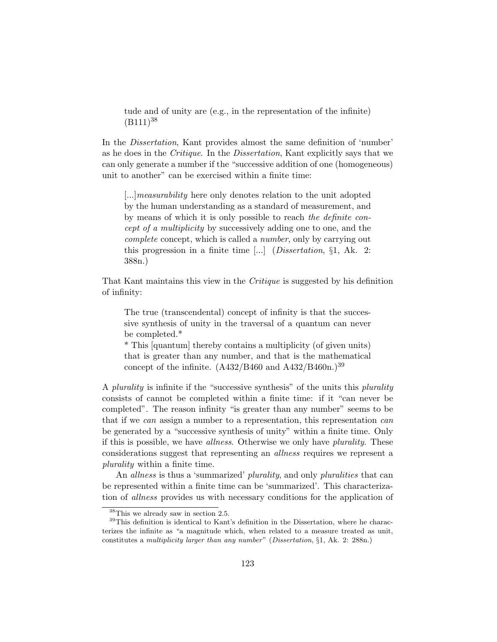tude and of unity are (e.g., in the representation of the infinite)  $(B111)^{38}$ 

In the Dissertation, Kant provides almost the same definition of 'number' as he does in the Critique. In the Dissertation, Kant explicitly says that we can only generate a number if the "successive addition of one (homogeneous) unit to another" can be exercised within a finite time:

[...]measurability here only denotes relation to the unit adopted by the human understanding as a standard of measurement, and by means of which it is only possible to reach the definite concept of a multiplicity by successively adding one to one, and the complete concept, which is called a number, only by carrying out this progression in a finite time  $\left[\ldots\right]$  (*Dissertation*, §1, Ak. 2: 388n.)

That Kant maintains this view in the Critique is suggested by his definition of infinity:

The true (transcendental) concept of infinity is that the successive synthesis of unity in the traversal of a quantum can never be completed.\*

\* This [quantum] thereby contains a multiplicity (of given units) that is greater than any number, and that is the mathematical concept of the infinite.  $(A432/B460$  and  $A432/B460$ n.)<sup>39</sup>

A *plurality* is infinite if the "successive synthesis" of the units this *plurality* consists of cannot be completed within a finite time: if it "can never be completed". The reason infinity "is greater than any number" seems to be that if we can assign a number to a representation, this representation can be generated by a "successive synthesis of unity" within a finite time. Only if this is possible, we have allness. Otherwise we only have plurality. These considerations suggest that representing an allness requires we represent a plurality within a finite time.

An *allness* is thus a 'summarized' *plurality*, and only *pluralities* that can be represented within a finite time can be 'summarized'. This characterization of allness provides us with necessary conditions for the application of

 $38$ This we already saw in section 2.5.

<sup>&</sup>lt;sup>39</sup>This definition is identical to Kant's definition in the Dissertation, where he characterizes the infinite as "a magnitude which, when related to a measure treated as unit, constitutes a multiplicity larger than any number" (Dissertation, §1, Ak. 2: 288n.)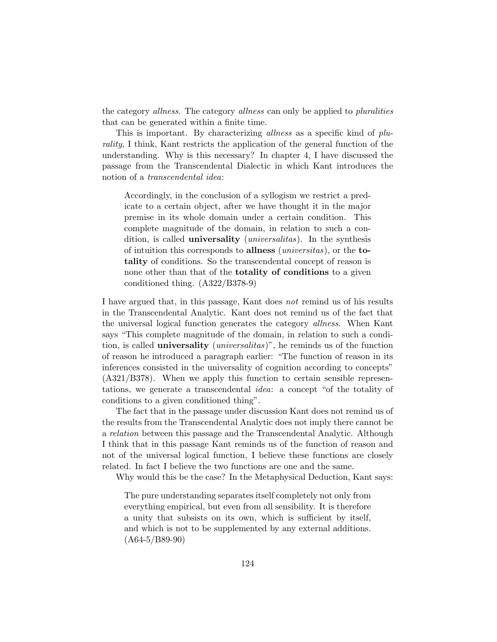the category *allness*. The category *allness* can only be applied to *pluralities* that can be generated within a finite time.

This is important. By characterizing *allness* as a specific kind of *plu*rality, I think, Kant restricts the application of the general function of the understanding. Why is this necessary? In chapter 4, I have discussed the passage from the Transcendental Dialectic in which Kant introduces the notion of a transcendental idea:

Accordingly, in the conclusion of a syllogism we restrict a predicate to a certain object, after we have thought it in the major premise in its whole domain under a certain condition. This complete magnitude of the domain, in relation to such a condition, is called **universality** (*universalitas*). In the synthesis of intuition this corresponds to allness (universitas), or the totality of conditions. So the transcendental concept of reason is none other than that of the **totality of conditions** to a given conditioned thing. (A322/B378-9)

I have argued that, in this passage, Kant does not remind us of his results in the Transcendental Analytic. Kant does not remind us of the fact that the universal logical function generates the category allness. When Kant says "This complete magnitude of the domain, in relation to such a condition, is called **universality** (*universalitas*)", he reminds us of the function of reason he introduced a paragraph earlier: "The function of reason in its inferences consisted in the universality of cognition according to concepts" (A321/B378). When we apply this function to certain sensible representations, we generate a transcendental idea: a concept "of the totality of conditions to a given conditioned thing".

The fact that in the passage under discussion Kant does not remind us of the results from the Transcendental Analytic does not imply there cannot be a relation between this passage and the Transcendental Analytic. Although I think that in this passage Kant reminds us of the function of reason and not of the universal logical function, I believe these functions are closely related. In fact I believe the two functions are one and the same.

Why would this be the case? In the Metaphysical Deduction, Kant says:

The pure understanding separates itself completely not only from everything empirical, but even from all sensibility. It is therefore a unity that subsists on its own, which is sufficient by itself, and which is not to be supplemented by any external additions. (A64-5/B89-90)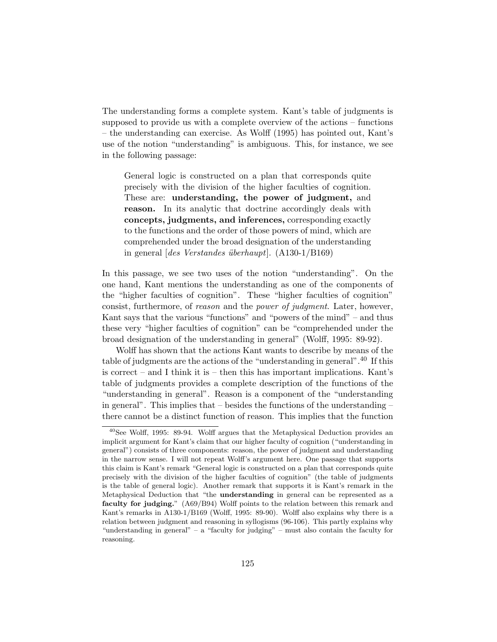The understanding forms a complete system. Kant's table of judgments is supposed to provide us with a complete overview of the actions – functions – the understanding can exercise. As Wolff (1995) has pointed out, Kant's use of the notion "understanding" is ambiguous. This, for instance, we see in the following passage:

General logic is constructed on a plan that corresponds quite precisely with the division of the higher faculties of cognition. These are: understanding, the power of judgment, and reason. In its analytic that doctrine accordingly deals with concepts, judgments, and inferences, corresponding exactly to the functions and the order of those powers of mind, which are comprehended under the broad designation of the understanding in general  $\left[des\; Verstandes\;überhaupt\right]$ . (A130-1/B169)

In this passage, we see two uses of the notion "understanding". On the one hand, Kant mentions the understanding as one of the components of the "higher faculties of cognition". These "higher faculties of cognition" consist, furthermore, of reason and the power of judgment. Later, however, Kant says that the various "functions" and "powers of the mind" – and thus these very "higher faculties of cognition" can be "comprehended under the broad designation of the understanding in general" (Wolff, 1995: 89-92).

Wolff has shown that the actions Kant wants to describe by means of the table of judgments are the actions of the "understanding in general".<sup>40</sup> If this is correct – and I think it is – then this has important implications. Kant's table of judgments provides a complete description of the functions of the "understanding in general". Reason is a component of the "understanding in general". This implies that – besides the functions of the understanding – there cannot be a distinct function of reason. This implies that the function

<sup>40</sup>See Wolff, 1995: 89-94. Wolff argues that the Metaphysical Deduction provides an implicit argument for Kant's claim that our higher faculty of cognition ("understanding in general") consists of three components: reason, the power of judgment and understanding in the narrow sense. I will not repeat Wolff's argument here. One passage that supports this claim is Kant's remark "General logic is constructed on a plan that corresponds quite precisely with the division of the higher faculties of cognition" (the table of judgments is the table of general logic). Another remark that supports it is Kant's remark in the Metaphysical Deduction that "the understanding in general can be represented as a faculty for judging." (A69/B94) Wolff points to the relation between this remark and Kant's remarks in A130-1/B169 (Wolff, 1995: 89-90). Wolff also explains why there is a relation between judgment and reasoning in syllogisms (96-106). This partly explains why "understanding in general" – a "faculty for judging" – must also contain the faculty for reasoning.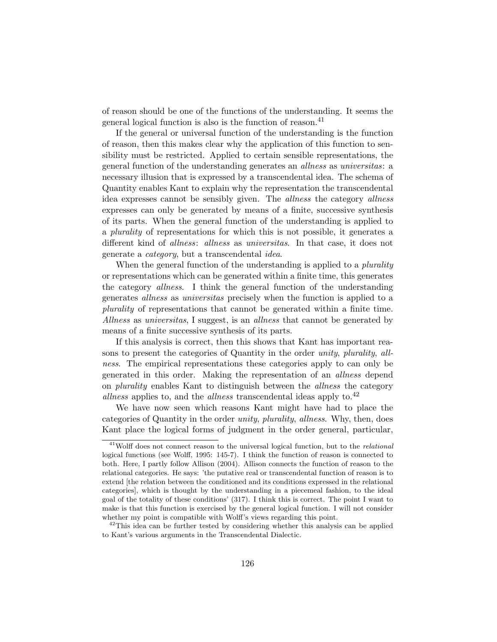of reason should be one of the functions of the understanding. It seems the general logical function is also is the function of reason.<sup>41</sup>

If the general or universal function of the understanding is the function of reason, then this makes clear why the application of this function to sensibility must be restricted. Applied to certain sensible representations, the general function of the understanding generates an allness as universitas: a necessary illusion that is expressed by a transcendental idea. The schema of Quantity enables Kant to explain why the representation the transcendental idea expresses cannot be sensibly given. The allness the category allness expresses can only be generated by means of a finite, successive synthesis of its parts. When the general function of the understanding is applied to a plurality of representations for which this is not possible, it generates a different kind of *allness*: *allness* as *universitas*. In that case, it does not generate a category, but a transcendental idea.

When the general function of the understanding is applied to a *plurality* or representations which can be generated within a finite time, this generates the category allness. I think the general function of the understanding generates allness as universitas precisely when the function is applied to a plurality of representations that cannot be generated within a finite time. Allness as universitas, I suggest, is an allness that cannot be generated by means of a finite successive synthesis of its parts.

If this analysis is correct, then this shows that Kant has important reasons to present the categories of Quantity in the order unity, plurality, allness. The empirical representations these categories apply to can only be generated in this order. Making the representation of an allness depend on plurality enables Kant to distinguish between the allness the category *allness* applies to, and the *allness* transcendental ideas apply to.<sup>42</sup>

We have now seen which reasons Kant might have had to place the categories of Quantity in the order unity, plurality, allness. Why, then, does Kant place the logical forms of judgment in the order general, particular,

<sup>&</sup>lt;sup>41</sup>Wolff does not connect reason to the universal logical function, but to the *relational* logical functions (see Wolff, 1995: 145-7). I think the function of reason is connected to both. Here, I partly follow Allison (2004). Allison connects the function of reason to the relational categories. He says: 'the putative real or transcendental function of reason is to extend [the relation between the conditioned and its conditions expressed in the relational categories], which is thought by the understanding in a piecemeal fashion, to the ideal goal of the totality of these conditions' (317). I think this is correct. The point I want to make is that this function is exercised by the general logical function. I will not consider whether my point is compatible with Wolff's views regarding this point.

 $42$ This idea can be further tested by considering whether this analysis can be applied to Kant's various arguments in the Transcendental Dialectic.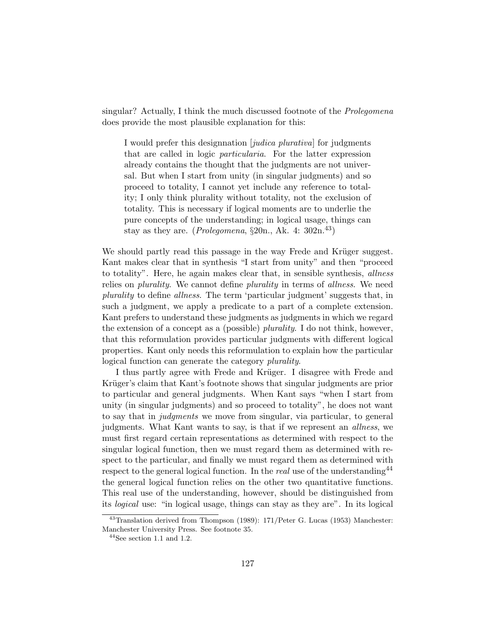singular? Actually, I think the much discussed footnote of the Prolegomena does provide the most plausible explanation for this:

I would prefer this designnation *[judica plurativa]* for judgments that are called in logic particularia. For the latter expression already contains the thought that the judgments are not universal. But when I start from unity (in singular judgments) and so proceed to totality, I cannot yet include any reference to totality; I only think plurality without totality, not the exclusion of totality. This is necessary if logical moments are to underlie the pure concepts of the understanding; in logical usage, things can stay as they are. (*Prolegomena*,  $\S20n$ , Ak. 4:  $302n$ <sup>43</sup>)

We should partly read this passage in the way Frede and Krüger suggest. Kant makes clear that in synthesis "I start from unity" and then "proceed to totality". Here, he again makes clear that, in sensible synthesis, allness relies on *plurality*. We cannot define *plurality* in terms of *allness*. We need plurality to define allness. The term 'particular judgment' suggests that, in such a judgment, we apply a predicate to a part of a complete extension. Kant prefers to understand these judgments as judgments in which we regard the extension of a concept as a (possible) plurality. I do not think, however, that this reformulation provides particular judgments with different logical properties. Kant only needs this reformulation to explain how the particular logical function can generate the category plurality.

I thus partly agree with Frede and Krüger. I disagree with Frede and Krüger's claim that Kant's footnote shows that singular judgments are prior to particular and general judgments. When Kant says "when I start from unity (in singular judgments) and so proceed to totality", he does not want to say that in *judgments* we move from singular, via particular, to general judgments. What Kant wants to say, is that if we represent an allness, we must first regard certain representations as determined with respect to the singular logical function, then we must regard them as determined with respect to the particular, and finally we must regard them as determined with respect to the general logical function. In the *real* use of the understanding  $44$ the general logical function relies on the other two quantitative functions. This real use of the understanding, however, should be distinguished from its logical use: "in logical usage, things can stay as they are". In its logical

<sup>43</sup>Translation derived from Thompson (1989): 171/Peter G. Lucas (1953) Manchester: Manchester University Press. See footnote 35.

 $44$ See section 1.1 and 1.2.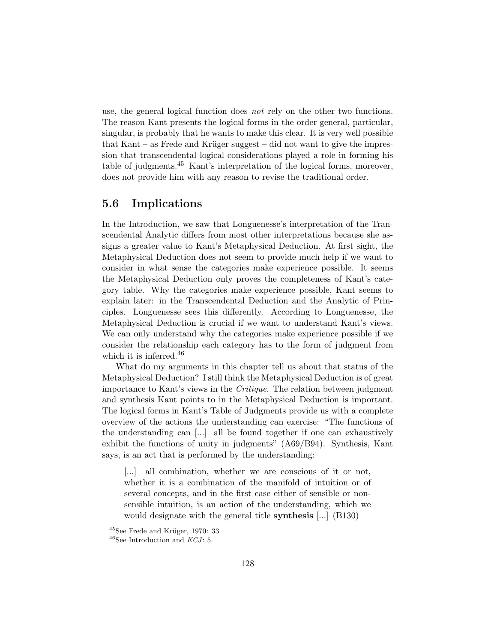use, the general logical function does not rely on the other two functions. The reason Kant presents the logical forms in the order general, particular, singular, is probably that he wants to make this clear. It is very well possible that Kant – as Frede and Krüger suggest – did not want to give the impression that transcendental logical considerations played a role in forming his table of judgments.<sup>45</sup> Kant's interpretation of the logical forms, moreover, does not provide him with any reason to revise the traditional order.

#### 5.6 Implications

In the Introduction, we saw that Longuenesse's interpretation of the Transcendental Analytic differs from most other interpretations because she assigns a greater value to Kant's Metaphysical Deduction. At first sight, the Metaphysical Deduction does not seem to provide much help if we want to consider in what sense the categories make experience possible. It seems the Metaphysical Deduction only proves the completeness of Kant's category table. Why the categories make experience possible, Kant seems to explain later: in the Transcendental Deduction and the Analytic of Principles. Longuenesse sees this differently. According to Longuenesse, the Metaphysical Deduction is crucial if we want to understand Kant's views. We can only understand why the categories make experience possible if we consider the relationship each category has to the form of judgment from which it is inferred.<sup>46</sup>

What do my arguments in this chapter tell us about that status of the Metaphysical Deduction? I still think the Metaphysical Deduction is of great importance to Kant's views in the Critique. The relation between judgment and synthesis Kant points to in the Metaphysical Deduction is important. The logical forms in Kant's Table of Judgments provide us with a complete overview of the actions the understanding can exercise: "The functions of the understanding can [...] all be found together if one can exhaustively exhibit the functions of unity in judgments" (A69/B94). Synthesis, Kant says, is an act that is performed by the understanding:

[...] all combination, whether we are conscious of it or not, whether it is a combination of the manifold of intuition or of several concepts, and in the first case either of sensible or nonsensible intuition, is an action of the understanding, which we would designate with the general title **synthesis** [...] (B130)

 $45$ See Frede and Krüger, 1970: 33

 $^{46}\mathrm{See}$  Introduction and  $KCI$  : 5.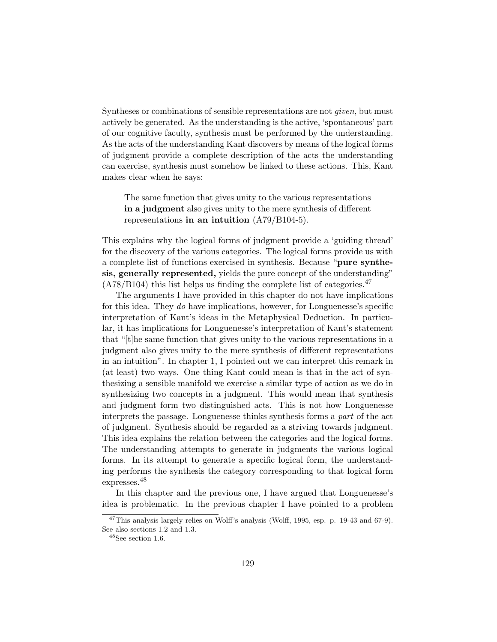Syntheses or combinations of sensible representations are not given, but must actively be generated. As the understanding is the active, 'spontaneous' part of our cognitive faculty, synthesis must be performed by the understanding. As the acts of the understanding Kant discovers by means of the logical forms of judgment provide a complete description of the acts the understanding can exercise, synthesis must somehow be linked to these actions. This, Kant makes clear when he says:

The same function that gives unity to the various representations in a judgment also gives unity to the mere synthesis of different representations in an intuition  $(A79/B104-5)$ .

This explains why the logical forms of judgment provide a 'guiding thread' for the discovery of the various categories. The logical forms provide us with a complete list of functions exercised in synthesis. Because "pure synthesis, generally represented, yields the pure concept of the understanding"  $(A78/B104)$  this list helps us finding the complete list of categories.<sup>47</sup>

The arguments I have provided in this chapter do not have implications for this idea. They do have implications, however, for Longuenesse's specific interpretation of Kant's ideas in the Metaphysical Deduction. In particular, it has implications for Longuenesse's interpretation of Kant's statement that "[t]he same function that gives unity to the various representations in a judgment also gives unity to the mere synthesis of different representations in an intuition". In chapter 1, I pointed out we can interpret this remark in (at least) two ways. One thing Kant could mean is that in the act of synthesizing a sensible manifold we exercise a similar type of action as we do in synthesizing two concepts in a judgment. This would mean that synthesis and judgment form two distinguished acts. This is not how Longuenesse interprets the passage. Longuenesse thinks synthesis forms a part of the act of judgment. Synthesis should be regarded as a striving towards judgment. This idea explains the relation between the categories and the logical forms. The understanding attempts to generate in judgments the various logical forms. In its attempt to generate a specific logical form, the understanding performs the synthesis the category corresponding to that logical form expresses.<sup>48</sup>

In this chapter and the previous one, I have argued that Longuenesse's idea is problematic. In the previous chapter I have pointed to a problem

<sup>&</sup>lt;sup>47</sup>This analysis largely relies on Wolff's analysis (Wolff, 1995, esp. p. 19-43 and 67-9). See also sections 1.2 and 1.3.

 $48$ See section 1.6.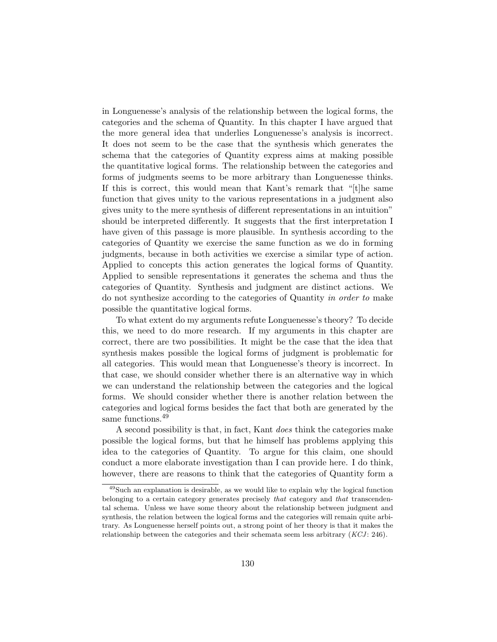in Longuenesse's analysis of the relationship between the logical forms, the categories and the schema of Quantity. In this chapter I have argued that the more general idea that underlies Longuenesse's analysis is incorrect. It does not seem to be the case that the synthesis which generates the schema that the categories of Quantity express aims at making possible the quantitative logical forms. The relationship between the categories and forms of judgments seems to be more arbitrary than Longuenesse thinks. If this is correct, this would mean that Kant's remark that "[t]he same function that gives unity to the various representations in a judgment also gives unity to the mere synthesis of different representations in an intuition" should be interpreted differently. It suggests that the first interpretation I have given of this passage is more plausible. In synthesis according to the categories of Quantity we exercise the same function as we do in forming judgments, because in both activities we exercise a similar type of action. Applied to concepts this action generates the logical forms of Quantity. Applied to sensible representations it generates the schema and thus the categories of Quantity. Synthesis and judgment are distinct actions. We do not synthesize according to the categories of Quantity in order to make possible the quantitative logical forms.

To what extent do my arguments refute Longuenesse's theory? To decide this, we need to do more research. If my arguments in this chapter are correct, there are two possibilities. It might be the case that the idea that synthesis makes possible the logical forms of judgment is problematic for all categories. This would mean that Longuenesse's theory is incorrect. In that case, we should consider whether there is an alternative way in which we can understand the relationship between the categories and the logical forms. We should consider whether there is another relation between the categories and logical forms besides the fact that both are generated by the same functions.<sup>49</sup>

A second possibility is that, in fact, Kant does think the categories make possible the logical forms, but that he himself has problems applying this idea to the categories of Quantity. To argue for this claim, one should conduct a more elaborate investigation than I can provide here. I do think, however, there are reasons to think that the categories of Quantity form a

<sup>49</sup>Such an explanation is desirable, as we would like to explain why the logical function belonging to a certain category generates precisely that category and that transcendental schema. Unless we have some theory about the relationship between judgment and synthesis, the relation between the logical forms and the categories will remain quite arbitrary. As Longuenesse herself points out, a strong point of her theory is that it makes the relationship between the categories and their schemata seem less arbitrary  $(KCI: 246)$ .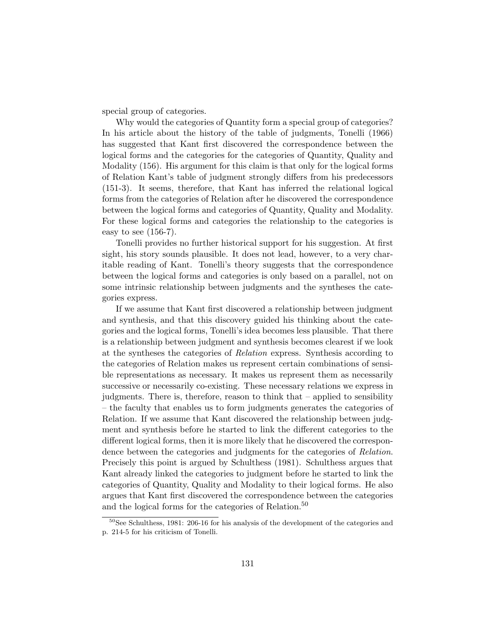special group of categories.

Why would the categories of Quantity form a special group of categories? In his article about the history of the table of judgments, Tonelli (1966) has suggested that Kant first discovered the correspondence between the logical forms and the categories for the categories of Quantity, Quality and Modality (156). His argument for this claim is that only for the logical forms of Relation Kant's table of judgment strongly differs from his predecessors (151-3). It seems, therefore, that Kant has inferred the relational logical forms from the categories of Relation after he discovered the correspondence between the logical forms and categories of Quantity, Quality and Modality. For these logical forms and categories the relationship to the categories is easy to see  $(156-7)$ .

Tonelli provides no further historical support for his suggestion. At first sight, his story sounds plausible. It does not lead, however, to a very charitable reading of Kant. Tonelli's theory suggests that the correspondence between the logical forms and categories is only based on a parallel, not on some intrinsic relationship between judgments and the syntheses the categories express.

If we assume that Kant first discovered a relationship between judgment and synthesis, and that this discovery guided his thinking about the categories and the logical forms, Tonelli's idea becomes less plausible. That there is a relationship between judgment and synthesis becomes clearest if we look at the syntheses the categories of Relation express. Synthesis according to the categories of Relation makes us represent certain combinations of sensible representations as necessary. It makes us represent them as necessarily successive or necessarily co-existing. These necessary relations we express in judgments. There is, therefore, reason to think that – applied to sensibility – the faculty that enables us to form judgments generates the categories of Relation. If we assume that Kant discovered the relationship between judgment and synthesis before he started to link the different categories to the different logical forms, then it is more likely that he discovered the correspondence between the categories and judgments for the categories of *Relation*. Precisely this point is argued by Schulthess (1981). Schulthess argues that Kant already linked the categories to judgment before he started to link the categories of Quantity, Quality and Modality to their logical forms. He also argues that Kant first discovered the correspondence between the categories and the logical forms for the categories of Relation.<sup>50</sup>

<sup>50</sup>See Schulthess, 1981: 206-16 for his analysis of the development of the categories and p. 214-5 for his criticism of Tonelli.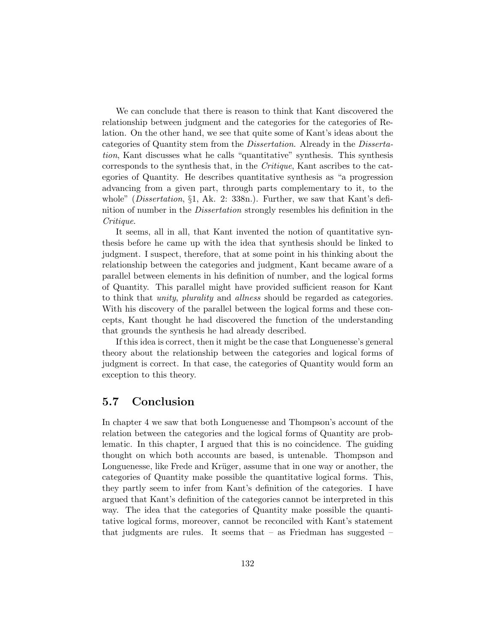We can conclude that there is reason to think that Kant discovered the relationship between judgment and the categories for the categories of Relation. On the other hand, we see that quite some of Kant's ideas about the categories of Quantity stem from the Dissertation. Already in the Dissertation, Kant discusses what he calls "quantitative" synthesis. This synthesis corresponds to the synthesis that, in the Critique, Kant ascribes to the categories of Quantity. He describes quantitative synthesis as "a progression advancing from a given part, through parts complementary to it, to the whole" (*Dissertation*,  $\S1$ , Ak. 2: 338n.). Further, we saw that Kant's definition of number in the *Dissertation* strongly resembles his definition in the Critique.

It seems, all in all, that Kant invented the notion of quantitative synthesis before he came up with the idea that synthesis should be linked to judgment. I suspect, therefore, that at some point in his thinking about the relationship between the categories and judgment, Kant became aware of a parallel between elements in his definition of number, and the logical forms of Quantity. This parallel might have provided sufficient reason for Kant to think that unity, plurality and allness should be regarded as categories. With his discovery of the parallel between the logical forms and these concepts, Kant thought he had discovered the function of the understanding that grounds the synthesis he had already described.

If this idea is correct, then it might be the case that Longuenesse's general theory about the relationship between the categories and logical forms of judgment is correct. In that case, the categories of Quantity would form an exception to this theory.

## 5.7 Conclusion

In chapter 4 we saw that both Longuenesse and Thompson's account of the relation between the categories and the logical forms of Quantity are problematic. In this chapter, I argued that this is no coincidence. The guiding thought on which both accounts are based, is untenable. Thompson and Longuenesse, like Frede and Krüger, assume that in one way or another, the categories of Quantity make possible the quantitative logical forms. This, they partly seem to infer from Kant's definition of the categories. I have argued that Kant's definition of the categories cannot be interpreted in this way. The idea that the categories of Quantity make possible the quantitative logical forms, moreover, cannot be reconciled with Kant's statement that judgments are rules. It seems that  $-$  as Friedman has suggested  $-$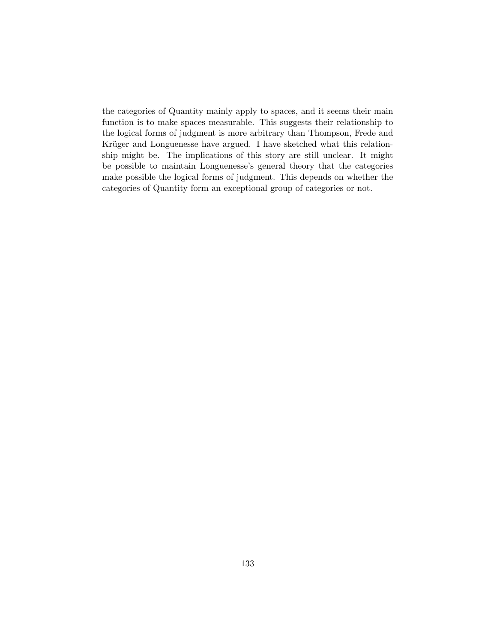the categories of Quantity mainly apply to spaces, and it seems their main function is to make spaces measurable. This suggests their relationship to the logical forms of judgment is more arbitrary than Thompson, Frede and Krüger and Longuenesse have argued. I have sketched what this relationship might be. The implications of this story are still unclear. It might be possible to maintain Longuenesse's general theory that the categories make possible the logical forms of judgment. This depends on whether the categories of Quantity form an exceptional group of categories or not.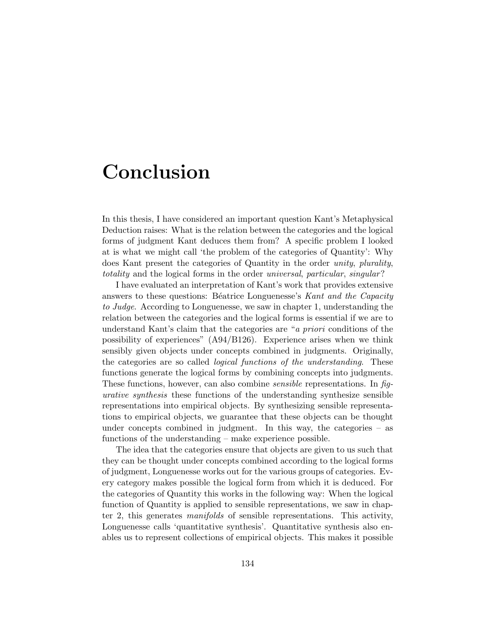## Conclusion

In this thesis, I have considered an important question Kant's Metaphysical Deduction raises: What is the relation between the categories and the logical forms of judgment Kant deduces them from? A specific problem I looked at is what we might call 'the problem of the categories of Quantity': Why does Kant present the categories of Quantity in the order unity, plurality, totality and the logical forms in the order universal, particular, singular?

I have evaluated an interpretation of Kant's work that provides extensive answers to these questions: Béatrice Longuenesse's Kant and the Capacity to Judge. According to Longuenesse, we saw in chapter 1, understanding the relation between the categories and the logical forms is essential if we are to understand Kant's claim that the categories are "a priori conditions of the possibility of experiences" (A94/B126). Experience arises when we think sensibly given objects under concepts combined in judgments. Originally, the categories are so called *logical functions of the understanding*. These functions generate the logical forms by combining concepts into judgments. These functions, however, can also combine *sensible* representations. In figurative synthesis these functions of the understanding synthesize sensible representations into empirical objects. By synthesizing sensible representations to empirical objects, we guarantee that these objects can be thought under concepts combined in judgment. In this way, the categories – as functions of the understanding – make experience possible.

The idea that the categories ensure that objects are given to us such that they can be thought under concepts combined according to the logical forms of judgment, Longuenesse works out for the various groups of categories. Every category makes possible the logical form from which it is deduced. For the categories of Quantity this works in the following way: When the logical function of Quantity is applied to sensible representations, we saw in chapter 2, this generates manifolds of sensible representations. This activity, Longuenesse calls 'quantitative synthesis'. Quantitative synthesis also enables us to represent collections of empirical objects. This makes it possible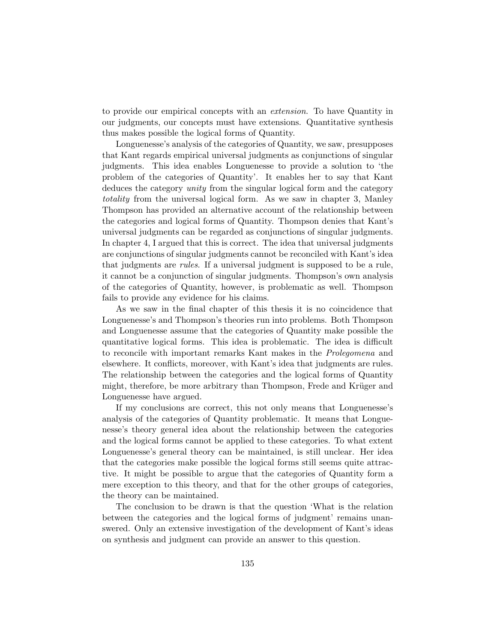to provide our empirical concepts with an extension. To have Quantity in our judgments, our concepts must have extensions. Quantitative synthesis thus makes possible the logical forms of Quantity.

Longuenesse's analysis of the categories of Quantity, we saw, presupposes that Kant regards empirical universal judgments as conjunctions of singular judgments. This idea enables Longuenesse to provide a solution to 'the problem of the categories of Quantity'. It enables her to say that Kant deduces the category unity from the singular logical form and the category totality from the universal logical form. As we saw in chapter 3, Manley Thompson has provided an alternative account of the relationship between the categories and logical forms of Quantity. Thompson denies that Kant's universal judgments can be regarded as conjunctions of singular judgments. In chapter 4, I argued that this is correct. The idea that universal judgments are conjunctions of singular judgments cannot be reconciled with Kant's idea that judgments are *rules*. If a universal judgment is supposed to be a rule, it cannot be a conjunction of singular judgments. Thompson's own analysis of the categories of Quantity, however, is problematic as well. Thompson fails to provide any evidence for his claims.

As we saw in the final chapter of this thesis it is no coincidence that Longuenesse's and Thompson's theories run into problems. Both Thompson and Longuenesse assume that the categories of Quantity make possible the quantitative logical forms. This idea is problematic. The idea is difficult to reconcile with important remarks Kant makes in the Prolegomena and elsewhere. It conflicts, moreover, with Kant's idea that judgments are rules. The relationship between the categories and the logical forms of Quantity might, therefore, be more arbitrary than Thompson, Frede and Krüger and Longuenesse have argued.

If my conclusions are correct, this not only means that Longuenesse's analysis of the categories of Quantity problematic. It means that Longuenesse's theory general idea about the relationship between the categories and the logical forms cannot be applied to these categories. To what extent Longuenesse's general theory can be maintained, is still unclear. Her idea that the categories make possible the logical forms still seems quite attractive. It might be possible to argue that the categories of Quantity form a mere exception to this theory, and that for the other groups of categories, the theory can be maintained.

The conclusion to be drawn is that the question 'What is the relation between the categories and the logical forms of judgment' remains unanswered. Only an extensive investigation of the development of Kant's ideas on synthesis and judgment can provide an answer to this question.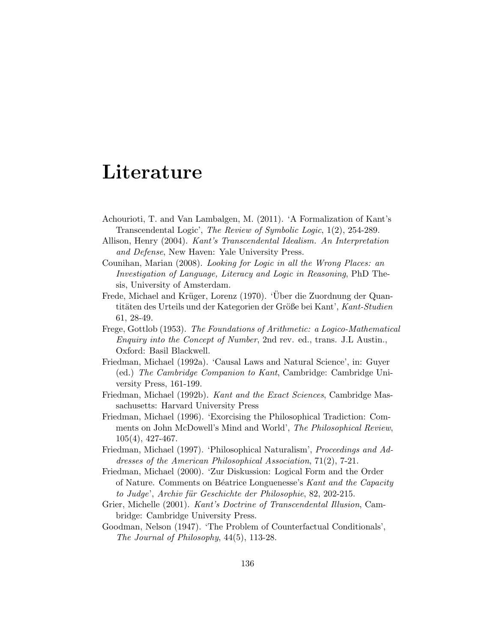# Literature

- Achourioti, T. and Van Lambalgen, M. (2011). 'A Formalization of Kant's Transcendental Logic', The Review of Symbolic Logic, 1(2), 254-289.
- Allison, Henry (2004). Kant's Transcendental Idealism. An Interpretation and Defense, New Haven: Yale University Press.
- Counihan, Marian (2008). Looking for Logic in all the Wrong Places: an Investigation of Language, Literacy and Logic in Reasoning, PhD Thesis, University of Amsterdam.
- Frede, Michael and Krüger, Lorenz (1970). 'Über die Zuordnung der Quantitäten des Urteils und der Kategorien der Größe bei Kant', Kant-Studien 61, 28-49.
- Frege, Gottlob (1953). The Foundations of Arithmetic: a Logico-Mathematical Enquiry into the Concept of Number, 2nd rev. ed., trans. J.L Austin., Oxford: Basil Blackwell.
- Friedman, Michael (1992a). 'Causal Laws and Natural Science', in: Guyer (ed.) The Cambridge Companion to Kant, Cambridge: Cambridge University Press, 161-199.
- Friedman, Michael (1992b). Kant and the Exact Sciences, Cambridge Massachusetts: Harvard University Press
- Friedman, Michael (1996). 'Exorcising the Philosophical Tradiction: Comments on John McDowell's Mind and World', The Philosophical Review, 105(4), 427-467.
- Friedman, Michael (1997). 'Philosophical Naturalism', Proceedings and Addresses of the American Philosophical Association, 71(2), 7-21.
- Friedman, Michael (2000). 'Zur Diskussion: Logical Form and the Order of Nature. Comments on Béatrice Longuenesse's Kant and the Capacity to Judge', Archiv für Geschichte der Philosophie, 82, 202-215.
- Grier, Michelle (2001). Kant's Doctrine of Transcendental Illusion, Cambridge: Cambridge University Press.
- Goodman, Nelson (1947). 'The Problem of Counterfactual Conditionals', The Journal of Philosophy, 44(5), 113-28.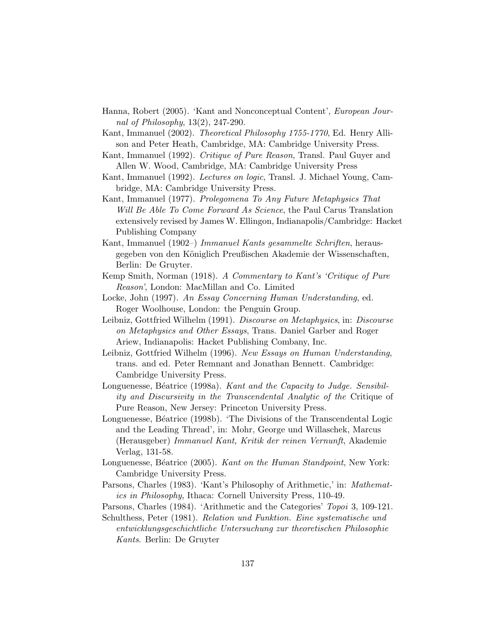- Hanna, Robert (2005). 'Kant and Nonconceptual Content', European Journal of Philosophy, 13(2), 247-290.
- Kant, Immanuel (2002). Theoretical Philosophy 1755-1770, Ed. Henry Allison and Peter Heath, Cambridge, MA: Cambridge University Press.
- Kant, Immanuel (1992). Critique of Pure Reason, Transl. Paul Guyer and Allen W. Wood, Cambridge, MA: Cambridge University Press
- Kant, Immanuel (1992). Lectures on logic, Transl. J. Michael Young, Cambridge, MA: Cambridge University Press.
- Kant, Immanuel (1977). Prolegomena To Any Future Metaphysics That Will Be Able To Come Forward As Science, the Paul Carus Translation extensively revised by James W. Ellingon, Indianapolis/Cambridge: Hacket Publishing Company
- Kant, Immanuel (1902–) Immanuel Kants gesammelte Schriften, herausgegeben von den Königlich Preußischen Akademie der Wissenschaften, Berlin: De Gruyter.
- Kemp Smith, Norman (1918). A Commentary to Kant's 'Critique of Pure Reason', London: MacMillan and Co. Limited
- Locke, John (1997). An Essay Concerning Human Understanding, ed. Roger Woolhouse, London: the Penguin Group.
- Leibniz, Gottfried Wilhelm (1991). Discourse on Metaphysics, in: Discourse on Metaphysics and Other Essays, Trans. Daniel Garber and Roger Ariew, Indianapolis: Hacket Publishing Combany, Inc.
- Leibniz, Gottfried Wilhelm (1996). New Essays on Human Understanding, trans. and ed. Peter Remnant and Jonathan Bennett. Cambridge: Cambridge University Press.
- Longuenesse, Béatrice (1998a). Kant and the Capacity to Judge. Sensibility and Discursivity in the Transcendental Analytic of the Critique of Pure Reason, New Jersey: Princeton University Press.
- Longuenesse, Béatrice (1998b). 'The Divisions of the Transcendental Logic and the Leading Thread', in: Mohr, George und Willaschek, Marcus (Herausgeber) Immanuel Kant, Kritik der reinen Vernunft, Akademie Verlag, 131-58.
- Longuenesse, Béatrice (2005). Kant on the Human Standpoint, New York: Cambridge University Press.
- Parsons, Charles (1983). 'Kant's Philosophy of Arithmetic,' in: Mathematics in Philosophy, Ithaca: Cornell University Press, 110-49.
- Parsons, Charles (1984). 'Arithmetic and the Categories' Topoi 3, 109-121.

Schulthess, Peter (1981). Relation und Funktion. Eine systematische und entwicklungsgeschichtliche Untersuchung zur theoretischen Philosophie Kants. Berlin: De Gruyter